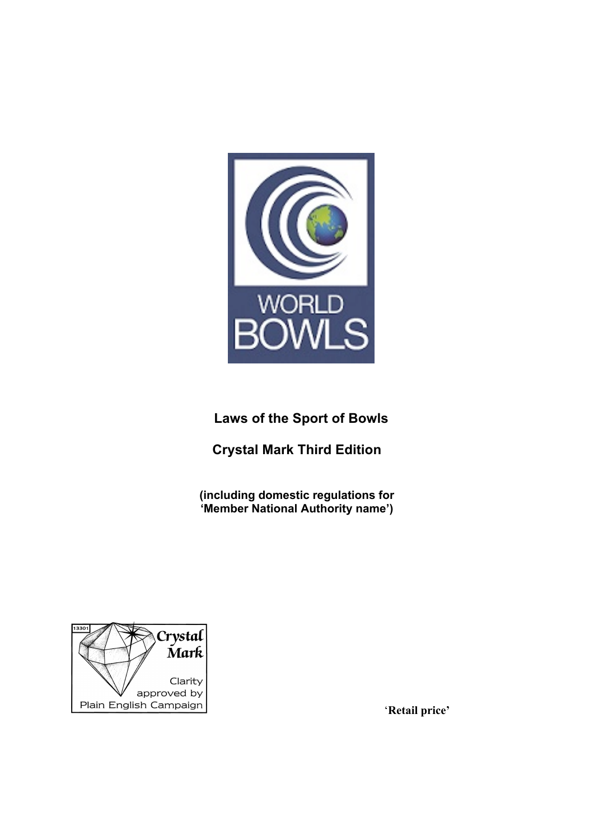

# **Laws of the Sport of Bowls**

# **Crystal Mark Third Edition**

**(including domestic regulations for 'Member National Authority name')**



'**Retail price'**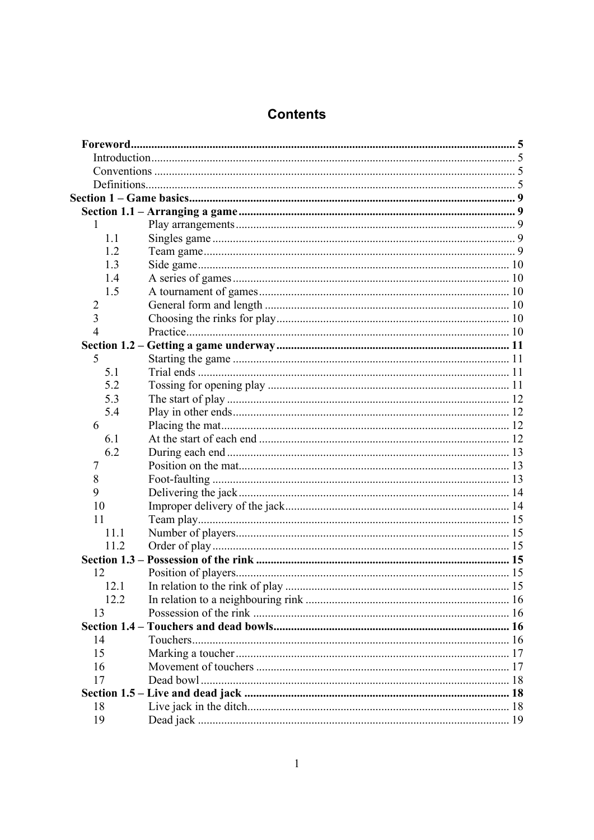# **Contents**

| 1              |  |
|----------------|--|
| 1.1            |  |
| 1.2            |  |
| 1.3            |  |
| 1.4            |  |
| 1.5            |  |
| 2              |  |
| 3              |  |
| $\overline{4}$ |  |
|                |  |
| 5              |  |
| 5.1            |  |
| 5.2            |  |
| 5.3            |  |
| 5.4            |  |
| 6              |  |
| 6.1            |  |
| 6.2            |  |
| 7              |  |
| 8              |  |
| 9              |  |
| 10             |  |
| 11             |  |
| 11.1           |  |
| 11.2           |  |
|                |  |
| 12             |  |
| 12.1           |  |
| 12.2           |  |
| 13             |  |
|                |  |
| 14             |  |
| 15             |  |
| 16             |  |
| 17             |  |
|                |  |
| 18             |  |
| 19             |  |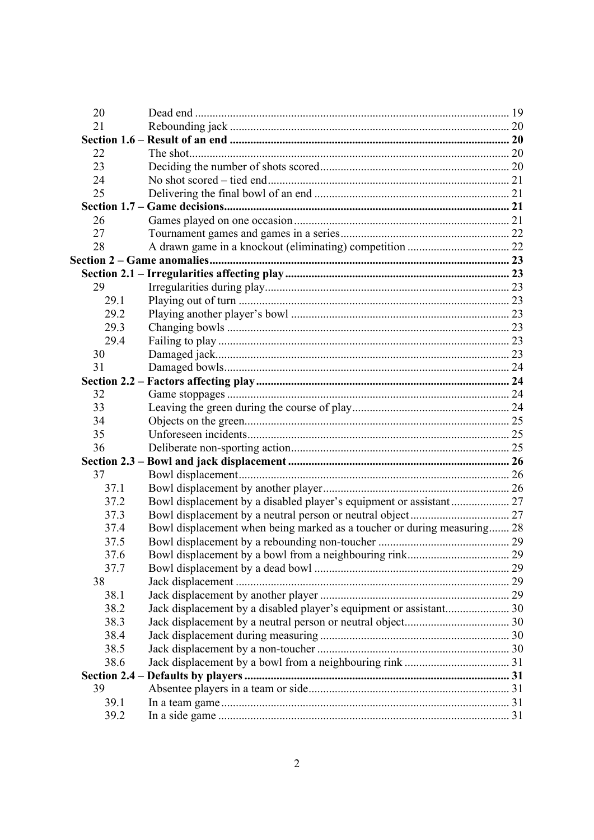| 20   |                                                                         |  |
|------|-------------------------------------------------------------------------|--|
| 21   |                                                                         |  |
|      |                                                                         |  |
| 22   |                                                                         |  |
| 23   |                                                                         |  |
| 24   |                                                                         |  |
| 25   |                                                                         |  |
|      |                                                                         |  |
| 26   |                                                                         |  |
| 27   |                                                                         |  |
| 28   |                                                                         |  |
|      |                                                                         |  |
|      |                                                                         |  |
| 29   |                                                                         |  |
| 29.1 |                                                                         |  |
| 29.2 |                                                                         |  |
| 29.3 |                                                                         |  |
| 29.4 |                                                                         |  |
| 30   |                                                                         |  |
| 31   |                                                                         |  |
|      |                                                                         |  |
| 32   |                                                                         |  |
| 33   |                                                                         |  |
| 34   |                                                                         |  |
| 35   |                                                                         |  |
| 36   |                                                                         |  |
|      |                                                                         |  |
| 37   |                                                                         |  |
| 37.1 |                                                                         |  |
| 37.2 |                                                                         |  |
| 37.3 |                                                                         |  |
| 37.4 | Bowl displacement when being marked as a toucher or during measuring 28 |  |
| 37.5 |                                                                         |  |
| 37.6 |                                                                         |  |
| 37.7 |                                                                         |  |
| 38   |                                                                         |  |
| 38.1 |                                                                         |  |
| 38.2 | Jack displacement by a disabled player's equipment or assistant 30      |  |
| 38.3 |                                                                         |  |
| 38.4 |                                                                         |  |
| 38.5 |                                                                         |  |
| 38.6 |                                                                         |  |
|      |                                                                         |  |
| 39   |                                                                         |  |
| 39.1 |                                                                         |  |
| 39.2 |                                                                         |  |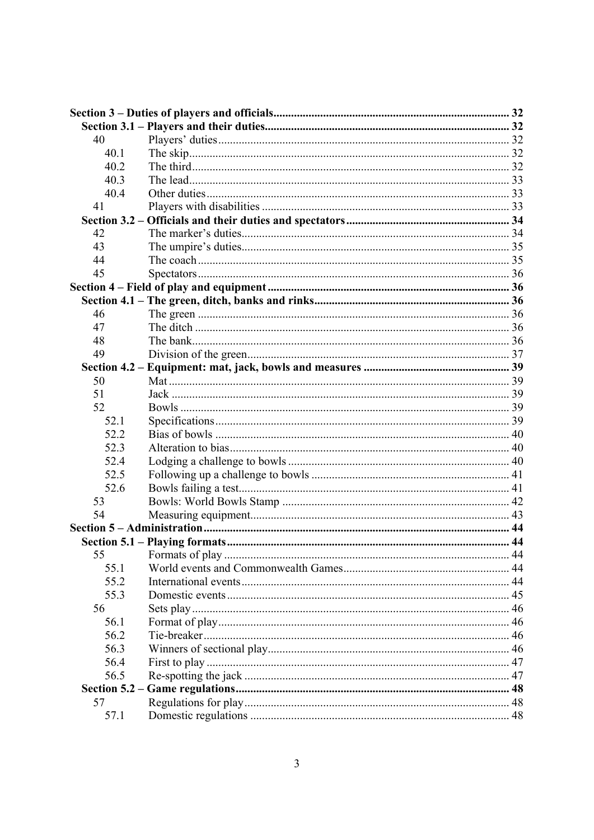| 40   |  |
|------|--|
| 40.1 |  |
| 40.2 |  |
| 40.3 |  |
| 40.4 |  |
| 41   |  |
|      |  |
| 42   |  |
| 43   |  |
| 44   |  |
| 45   |  |
|      |  |
|      |  |
| 46   |  |
| 47   |  |
| 48   |  |
| 49   |  |
|      |  |
| 50   |  |
| 51   |  |
| 52   |  |
| 52.1 |  |
| 52.2 |  |
| 52.3 |  |
| 52.4 |  |
| 52.5 |  |
| 52.6 |  |
| 53   |  |
| 54   |  |
|      |  |
|      |  |
| 55   |  |
| 55.1 |  |
| 55.2 |  |
| 55.3 |  |
| 56   |  |
| 56.1 |  |
| 56.2 |  |
| 56.3 |  |
| 56.4 |  |
| 56.5 |  |
|      |  |
| 57   |  |
| 57.1 |  |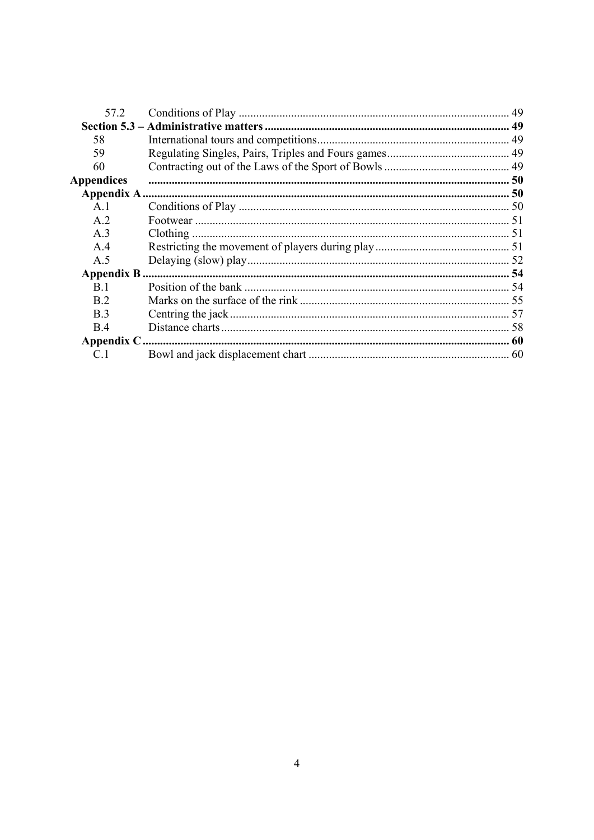| 57.2           |  |
|----------------|--|
|                |  |
| 58             |  |
| 59             |  |
| 60             |  |
| Appendices     |  |
|                |  |
| A.1            |  |
| A <sub>2</sub> |  |
| A.3            |  |
| A.4            |  |
| A.5            |  |
|                |  |
| <b>B</b> 1     |  |
| <b>B</b> 2     |  |
| B.3            |  |
| <b>B</b> 4     |  |
|                |  |
| C <sub>1</sub> |  |
|                |  |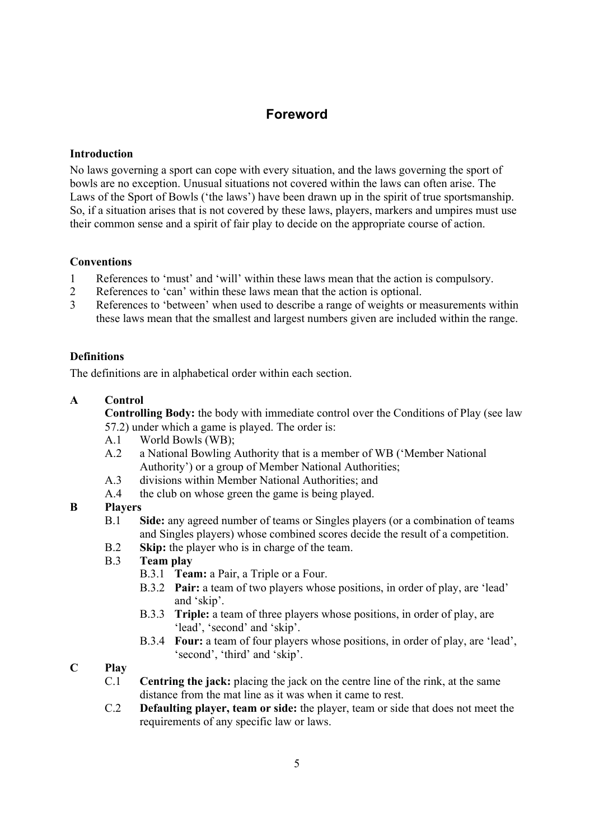# **Foreword**

### **Introduction**

No laws governing a sport can cope with every situation, and the laws governing the sport of bowls are no exception. Unusual situations not covered within the laws can often arise. The Laws of the Sport of Bowls ('the laws') have been drawn up in the spirit of true sportsmanship. So, if a situation arises that is not covered by these laws, players, markers and umpires must use their common sense and a spirit of fair play to decide on the appropriate course of action.

## **Conventions**

- 1 References to 'must' and 'will' within these laws mean that the action is compulsory.
- 2 References to 'can' within these laws mean that the action is optional.
- 3 References to 'between' when used to describe a range of weights or measurements within these laws mean that the smallest and largest numbers given are included within the range.

# **Definitions**

The definitions are in alphabetical order within each section.

# **A Control**

**Controlling Body:** the body with immediate control over the Conditions of Play (see law 57.2) under which a game is played. The order is:

- A.1 World Bowls (WB);
- A.2 a National Bowling Authority that is a member of WB ('Member National Authority') or a group of Member National Authorities;
- A.3 divisions within Member National Authorities; and
- A.4 the club on whose green the game is being played.

# **B Players**

- B.1 **Side:** any agreed number of teams or Singles players (or a combination of teams and Singles players) whose combined scores decide the result of a competition.
- B.2 **Skip:** the player who is in charge of the team.
- B.3 **Team play**
	- B.3.1 **Team:** a Pair, a Triple or a Four.
	- B.3.2 **Pair:** a team of two players whose positions, in order of play, are 'lead' and 'skip'.
	- B.3.3 **Triple:** a team of three players whose positions, in order of play, are 'lead', 'second' and 'skip'.
	- B.3.4 **Four:** a team of four players whose positions, in order of play, are 'lead', 'second', 'third' and 'skip'.

# **C Play**

- C.1 **Centring the jack:** placing the jack on the centre line of the rink, at the same distance from the mat line as it was when it came to rest.
- C.2 **Defaulting player, team or side:** the player, team or side that does not meet the requirements of any specific law or laws.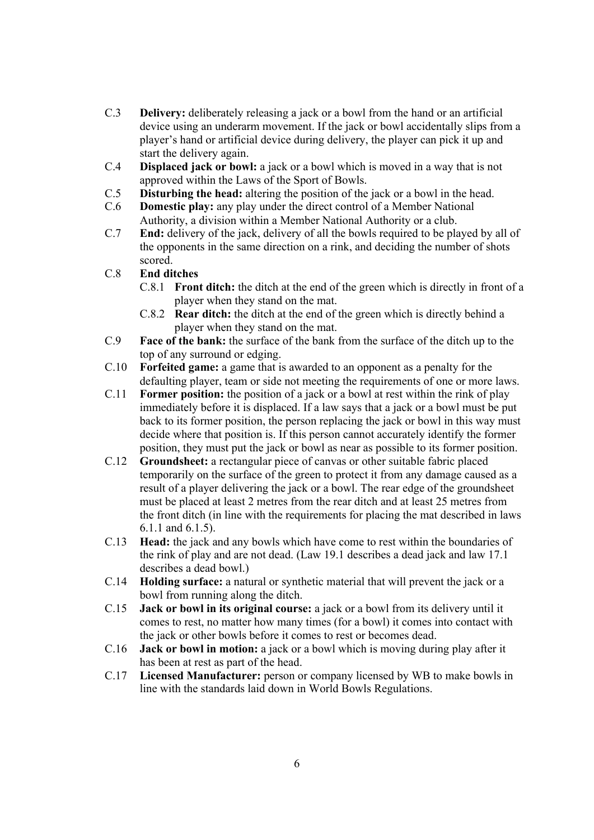- C.3 **Delivery:** deliberately releasing a jack or a bowl from the hand or an artificial device using an underarm movement. If the jack or bowl accidentally slips from a player's hand or artificial device during delivery, the player can pick it up and start the delivery again.
- C.4 **Displaced jack or bowl:** a jack or a bowl which is moved in a way that is not approved within the Laws of the Sport of Bowls.
- C.5 **Disturbing the head:** altering the position of the jack or a bowl in the head.
- C.6 **Domestic play:** any play under the direct control of a Member National Authority, a division within a Member National Authority or a club.
- C.7 **End:** delivery of the jack, delivery of all the bowls required to be played by all of the opponents in the same direction on a rink, and deciding the number of shots scored.

## C.8 **End ditches**

- C.8.1 **Front ditch:** the ditch at the end of the green which is directly in front of a player when they stand on the mat.
- C.8.2 **Rear ditch:** the ditch at the end of the green which is directly behind a player when they stand on the mat.
- C.9 **Face of the bank:** the surface of the bank from the surface of the ditch up to the top of any surround or edging.
- C.10 **Forfeited game:** a game that is awarded to an opponent as a penalty for the defaulting player, team or side not meeting the requirements of one or more laws.
- C.11 **Former position:** the position of a jack or a bowl at rest within the rink of play immediately before it is displaced. If a law says that a jack or a bowl must be put back to its former position, the person replacing the jack or bowl in this way must decide where that position is. If this person cannot accurately identify the former position, they must put the jack or bowl as near as possible to its former position.
- C.12 **Groundsheet:** a rectangular piece of canvas or other suitable fabric placed temporarily on the surface of the green to protect it from any damage caused as a result of a player delivering the jack or a bowl. The rear edge of the groundsheet must be placed at least 2 metres from the rear ditch and at least 25 metres from the front ditch (in line with the requirements for placing the mat described in laws 6.1.1 and 6.1.5).
- C.13 **Head:** the jack and any bowls which have come to rest within the boundaries of the rink of play and are not dead. (Law 19.1 describes a dead jack and law 17.1 describes a dead bowl.)
- C.14 **Holding surface:** a natural or synthetic material that will prevent the jack or a bowl from running along the ditch.
- C.15 **Jack or bowl in its original course:** a jack or a bowl from its delivery until it comes to rest, no matter how many times (for a bowl) it comes into contact with the jack or other bowls before it comes to rest or becomes dead.
- C.16 **Jack or bowl in motion:** a jack or a bowl which is moving during play after it has been at rest as part of the head.
- C.17 **Licensed Manufacturer:** person or company licensed by WB to make bowls in line with the standards laid down in World Bowls Regulations.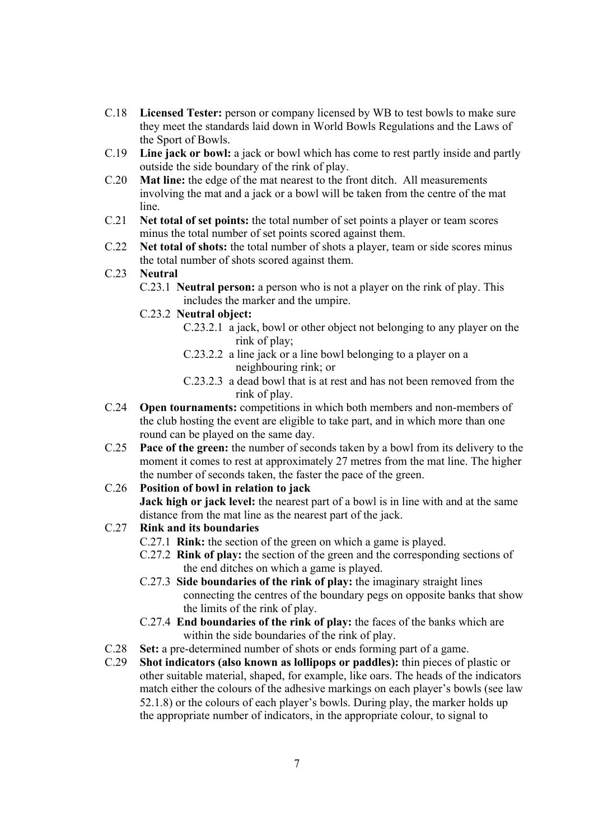- C.18 **Licensed Tester:** person or company licensed by WB to test bowls to make sure they meet the standards laid down in World Bowls Regulations and the Laws of the Sport of Bowls.
- C.19 **Line jack or bowl:** a jack or bowl which has come to rest partly inside and partly outside the side boundary of the rink of play.
- C.20 **Mat line:** the edge of the mat nearest to the front ditch. All measurements involving the mat and a jack or a bowl will be taken from the centre of the mat line.
- C.21 **Net total of set points:** the total number of set points a player or team scores minus the total number of set points scored against them.
- C.22 **Net total of shots:** the total number of shots a player, team or side scores minus the total number of shots scored against them.
- C.23 **Neutral**
	- C.23.1 **Neutral person:** a person who is not a player on the rink of play. This includes the marker and the umpire.
	- C.23.2 **Neutral object:**
		- C.23.2.1 a jack, bowl or other object not belonging to any player on the rink of play;
		- C.23.2.2 a line jack or a line bowl belonging to a player on a neighbouring rink; or
		- C.23.2.3 a dead bowl that is at rest and has not been removed from the rink of play.
- C.24 **Open tournaments:** competitions in which both members and non-members of the club hosting the event are eligible to take part, and in which more than one round can be played on the same day.
- C.25 **Pace of the green:** the number of seconds taken by a bowl from its delivery to the moment it comes to rest at approximately 27 metres from the mat line. The higher the number of seconds taken, the faster the pace of the green.

# C.26 **Position of bowl in relation to jack**

**Jack high or jack level:** the nearest part of a bowl is in line with and at the same distance from the mat line as the nearest part of the jack.

#### C.27 **Rink and its boundaries**

- C.27.1 **Rink:** the section of the green on which a game is played.
- C.27.2 **Rink of play:** the section of the green and the corresponding sections of the end ditches on which a game is played.
- C.27.3 **Side boundaries of the rink of play:** the imaginary straight lines connecting the centres of the boundary pegs on opposite banks that show the limits of the rink of play.
- C.27.4 **End boundaries of the rink of play:** the faces of the banks which are within the side boundaries of the rink of play.
- C.28 **Set:** a pre-determined number of shots or ends forming part of a game.<br>C.29 **Shot indicators (also known as lollipops or paddles):** thin pieces of r
- Shot indicators (also known as lollipops or paddles): thin pieces of plastic or other suitable material, shaped, for example, like oars. The heads of the indicators match either the colours of the adhesive markings on each player's bowls (see law 52.1.8) or the colours of each player's bowls. During play, the marker holds up the appropriate number of indicators, in the appropriate colour, to signal to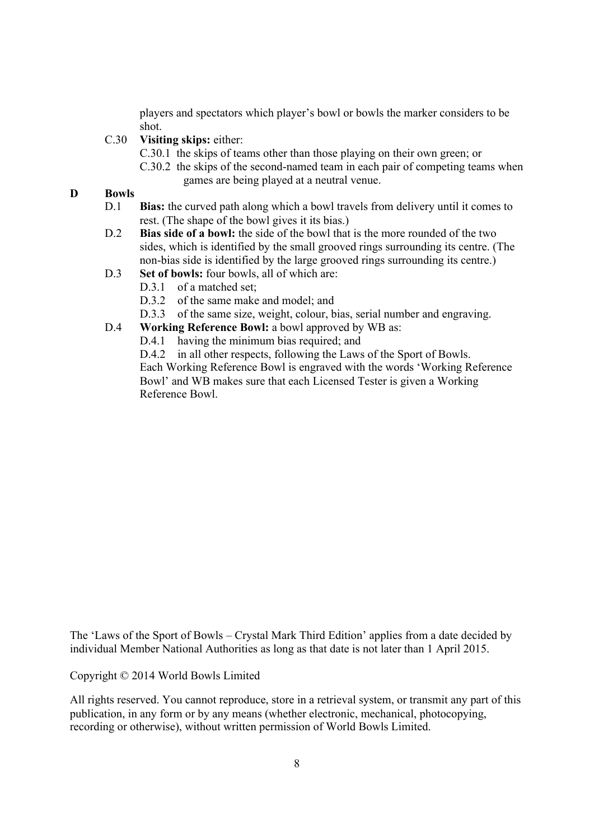players and spectators which player's bowl or bowls the marker considers to be shot.

- C.30 **Visiting skips:** either:
	- C.30.1 the skips of teams other than those playing on their own green; or
	- C.30.2 the skips of the second-named team in each pair of competing teams when games are being played at a neutral venue.

### **D Bowls**

- D.1 **Bias:** the curved path along which a bowl travels from delivery until it comes to rest. (The shape of the bowl gives it its bias.)
- D.2 **Bias side of a bowl:** the side of the bowl that is the more rounded of the two sides, which is identified by the small grooved rings surrounding its centre. (The non-bias side is identified by the large grooved rings surrounding its centre.)
- D.3 **Set of bowls:** four bowls, all of which are:
	- D.3.1 of a matched set;
	- D.3.2 of the same make and model; and
	- D.3.3 of the same size, weight, colour, bias, serial number and engraving.
- D.4 **Working Reference Bowl:** a bowl approved by WB as:
	- D.4.1 having the minimum bias required; and

D.4.2 in all other respects, following the Laws of the Sport of Bowls. Each Working Reference Bowl is engraved with the words 'Working Reference Bowl' and WB makes sure that each Licensed Tester is given a Working Reference Bowl.

The 'Laws of the Sport of Bowls – Crystal Mark Third Edition' applies from a date decided by individual Member National Authorities as long as that date is not later than 1 April 2015.

Copyright © 2014 World Bowls Limited

All rights reserved. You cannot reproduce, store in a retrieval system, or transmit any part of this publication, in any form or by any means (whether electronic, mechanical, photocopying, recording or otherwise), without written permission of World Bowls Limited.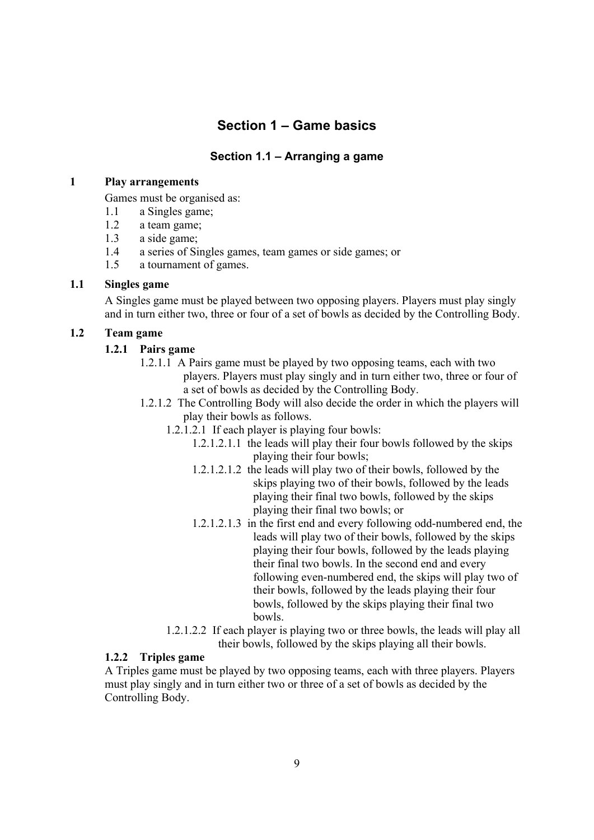# **Section 1 – Game basics**

# **Section 1.1 – Arranging a game**

#### **1 Play arrangements**

Games must be organised as:

- 1.1 a Singles game;
- 1.2 a team game;
- 1.3 a side game;
- 1.4 a series of Singles games, team games or side games; or
- 1.5 a tournament of games.

## **1.1 Singles game**

A Singles game must be played between two opposing players. Players must play singly and in turn either two, three or four of a set of bowls as decided by the Controlling Body.

# **1.2 Team game**

## **1.2.1 Pairs game**

- 1.2.1.1 A Pairs game must be played by two opposing teams, each with two players. Players must play singly and in turn either two, three or four of a set of bowls as decided by the Controlling Body.
- 1.2.1.2 The Controlling Body will also decide the order in which the players will play their bowls as follows.
	- 1.2.1.2.1 If each player is playing four bowls:
		- 1.2.1.2.1.1 the leads will play their four bowls followed by the skips playing their four bowls;
		- 1.2.1.2.1.2 the leads will play two of their bowls, followed by the skips playing two of their bowls, followed by the leads playing their final two bowls, followed by the skips playing their final two bowls; or
		- 1.2.1.2.1.3 in the first end and every following odd-numbered end, the leads will play two of their bowls, followed by the skips playing their four bowls, followed by the leads playing their final two bowls. In the second end and every following even-numbered end, the skips will play two of their bowls, followed by the leads playing their four bowls, followed by the skips playing their final two bowls.
	- 1.2.1.2.2 If each player is playing two or three bowls, the leads will play all their bowls, followed by the skips playing all their bowls.

### **1.2.2 Triples game**

A Triples game must be played by two opposing teams, each with three players. Players must play singly and in turn either two or three of a set of bowls as decided by the Controlling Body.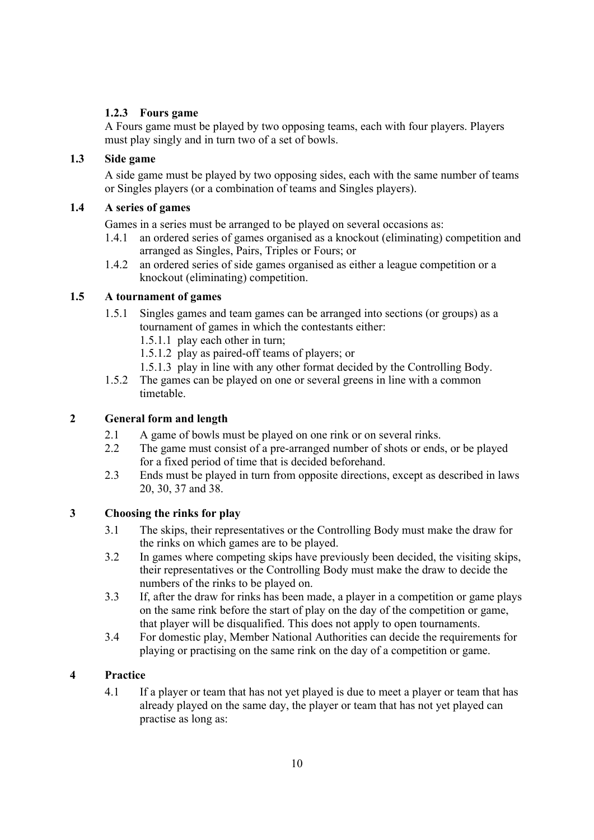# **1.2.3 Fours game**

A Fours game must be played by two opposing teams, each with four players. Players must play singly and in turn two of a set of bowls.

# **1.3 Side game**

A side game must be played by two opposing sides, each with the same number of teams or Singles players (or a combination of teams and Singles players).

# **1.4 A series of games**

Games in a series must be arranged to be played on several occasions as:

- 1.4.1 an ordered series of games organised as a knockout (eliminating) competition and arranged as Singles, Pairs, Triples or Fours; or
- 1.4.2 an ordered series of side games organised as either a league competition or a knockout (eliminating) competition.

## **1.5 A tournament of games**

- 1.5.1 Singles games and team games can be arranged into sections (or groups) as a tournament of games in which the contestants either:
	- 1.5.1.1 play each other in turn;
	- 1.5.1.2 play as paired-off teams of players; or
	- 1.5.1.3 play in line with any other format decided by the Controlling Body.
- 1.5.2 The games can be played on one or several greens in line with a common timetable.

# **2 General form and length**

- 2.1 A game of bowls must be played on one rink or on several rinks.
- 2.2 The game must consist of a pre-arranged number of shots or ends, or be played for a fixed period of time that is decided beforehand.
- 2.3 Ends must be played in turn from opposite directions, except as described in laws 20, 30, 37 and 38.

# **3 Choosing the rinks for play**

- 3.1 The skips, their representatives or the Controlling Body must make the draw for the rinks on which games are to be played.
- 3.2 In games where competing skips have previously been decided, the visiting skips, their representatives or the Controlling Body must make the draw to decide the numbers of the rinks to be played on.
- 3.3 If, after the draw for rinks has been made, a player in a competition or game plays on the same rink before the start of play on the day of the competition or game, that player will be disqualified. This does not apply to open tournaments.
- 3.4 For domestic play, Member National Authorities can decide the requirements for playing or practising on the same rink on the day of a competition or game.

# **4 Practice**

4.1 If a player or team that has not yet played is due to meet a player or team that has already played on the same day, the player or team that has not yet played can practise as long as: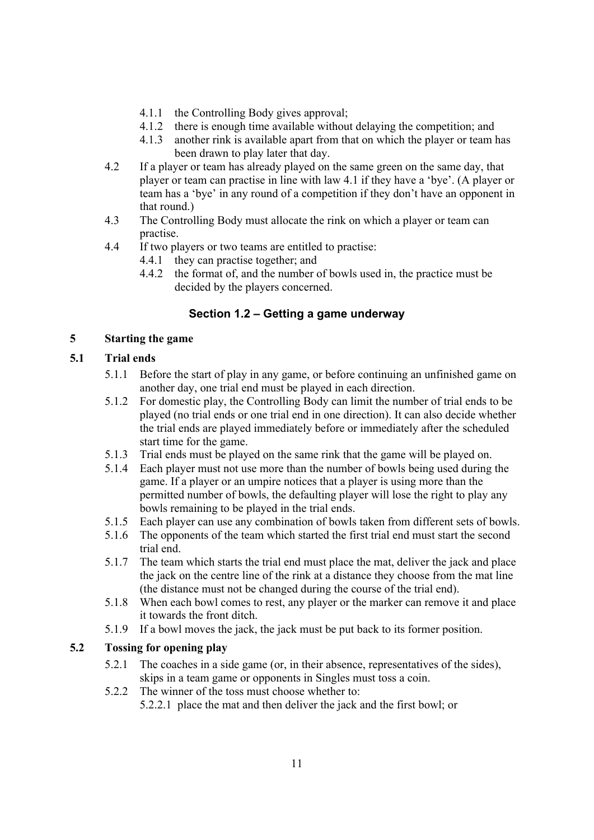- 4.1.1 the Controlling Body gives approval;
- 4.1.2 there is enough time available without delaying the competition; and
- 4.1.3 another rink is available apart from that on which the player or team has been drawn to play later that day.
- 4.2 If a player or team has already played on the same green on the same day, that player or team can practise in line with law 4.1 if they have a 'bye'. (A player or team has a 'bye' in any round of a competition if they don't have an opponent in that round.)
- 4.3 The Controlling Body must allocate the rink on which a player or team can practise.
- 4.4 If two players or two teams are entitled to practise:
	- 4.4.1 they can practise together; and
	- 4.4.2 the format of, and the number of bowls used in, the practice must be decided by the players concerned.

# **Section 1.2 – Getting a game underway**

## **5 Starting the game**

# **5.1 Trial ends**

- 5.1.1 Before the start of play in any game, or before continuing an unfinished game on another day, one trial end must be played in each direction.
- 5.1.2 For domestic play, the Controlling Body can limit the number of trial ends to be played (no trial ends or one trial end in one direction). It can also decide whether the trial ends are played immediately before or immediately after the scheduled start time for the game.
- 5.1.3 Trial ends must be played on the same rink that the game will be played on.
- 5.1.4 Each player must not use more than the number of bowls being used during the game. If a player or an umpire notices that a player is using more than the permitted number of bowls, the defaulting player will lose the right to play any bowls remaining to be played in the trial ends.
- 5.1.5 Each player can use any combination of bowls taken from different sets of bowls.
- 5.1.6 The opponents of the team which started the first trial end must start the second trial end.
- 5.1.7 The team which starts the trial end must place the mat, deliver the jack and place the jack on the centre line of the rink at a distance they choose from the mat line (the distance must not be changed during the course of the trial end).
- 5.1.8 When each bowl comes to rest, any player or the marker can remove it and place it towards the front ditch.
- 5.1.9 If a bowl moves the jack, the jack must be put back to its former position.

# **5.2 Tossing for opening play**

- 5.2.1 The coaches in a side game (or, in their absence, representatives of the sides), skips in a team game or opponents in Singles must toss a coin.
- 5.2.2 The winner of the toss must choose whether to:

5.2.2.1 place the mat and then deliver the jack and the first bowl; or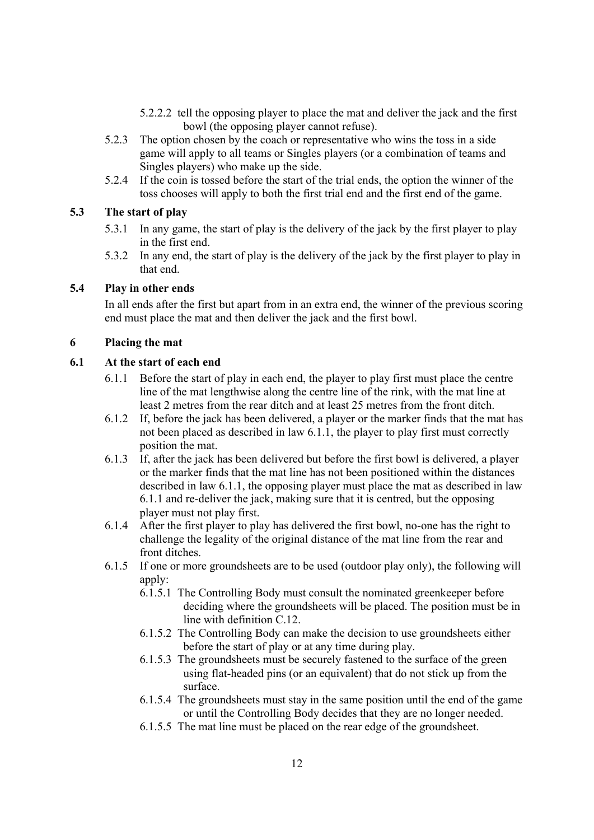- 5.2.2.2 tell the opposing player to place the mat and deliver the jack and the first bowl (the opposing player cannot refuse).
- 5.2.3 The option chosen by the coach or representative who wins the toss in a side game will apply to all teams or Singles players (or a combination of teams and Singles players) who make up the side.
- 5.2.4 If the coin is tossed before the start of the trial ends, the option the winner of the toss chooses will apply to both the first trial end and the first end of the game.

# **5.3 The start of play**

- 5.3.1 In any game, the start of play is the delivery of the jack by the first player to play in the first end.
- 5.3.2 In any end, the start of play is the delivery of the jack by the first player to play in that end.

#### **5.4 Play in other ends**

In all ends after the first but apart from in an extra end, the winner of the previous scoring end must place the mat and then deliver the jack and the first bowl.

#### **6 Placing the mat**

#### **6.1 At the start of each end**

- 6.1.1 Before the start of play in each end, the player to play first must place the centre line of the mat lengthwise along the centre line of the rink, with the mat line at least 2 metres from the rear ditch and at least 25 metres from the front ditch.
- 6.1.2 If, before the jack has been delivered, a player or the marker finds that the mat has not been placed as described in law 6.1.1, the player to play first must correctly position the mat.
- 6.1.3 If, after the jack has been delivered but before the first bowl is delivered, a player or the marker finds that the mat line has not been positioned within the distances described in law 6.1.1, the opposing player must place the mat as described in law 6.1.1 and re-deliver the jack, making sure that it is centred, but the opposing player must not play first.
- 6.1.4 After the first player to play has delivered the first bowl, no-one has the right to challenge the legality of the original distance of the mat line from the rear and front ditches.
- 6.1.5 If one or more groundsheets are to be used (outdoor play only), the following will apply:
	- 6.1.5.1 The Controlling Body must consult the nominated greenkeeper before deciding where the groundsheets will be placed. The position must be in line with definition C.12.
	- 6.1.5.2 The Controlling Body can make the decision to use groundsheets either before the start of play or at any time during play.
	- 6.1.5.3 The groundsheets must be securely fastened to the surface of the green using flat-headed pins (or an equivalent) that do not stick up from the surface.
	- 6.1.5.4 The groundsheets must stay in the same position until the end of the game or until the Controlling Body decides that they are no longer needed.
	- 6.1.5.5 The mat line must be placed on the rear edge of the groundsheet.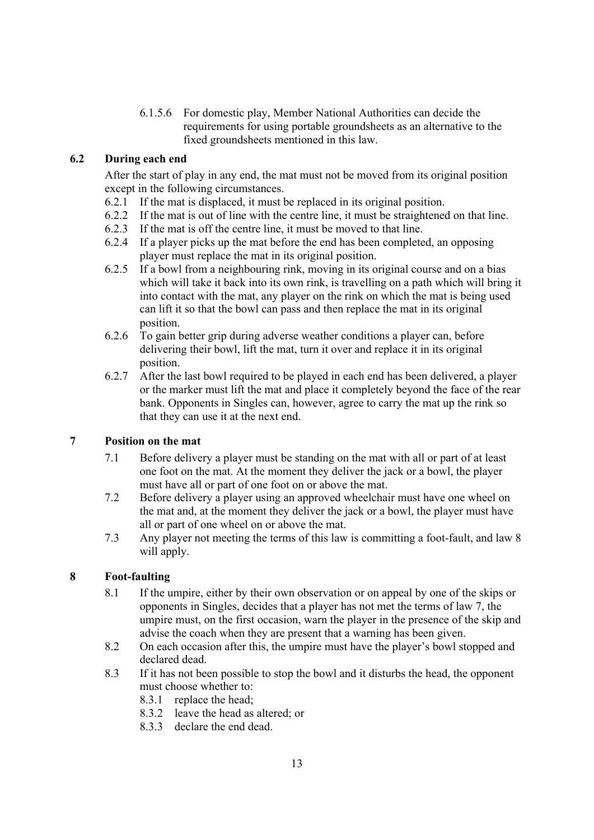6.1.5.6 For domestic play, Member National Authorities can decide the requirements for using portable groundsheets as an alternative to the fixed groundsheets mentioned in this law.

# **6.2 During each end**

After the start of play in any end, the mat must not be moved from its original position except in the following circumstances.

- 6.2.1 If the mat is displaced, it must be replaced in its original position.
- 6.2.2 If the mat is out of line with the centre line, it must be straightened on that line.
- 6.2.3 If the mat is off the centre line, it must be moved to that line.
- 6.2.4 If a player picks up the mat before the end has been completed, an opposing player must replace the mat in its original position.
- 6.2.5 If a bowl from a neighbouring rink, moving in its original course and on a bias which will take it back into its own rink, is travelling on a path which will bring it into contact with the mat, any player on the rink on which the mat is being used can lift it so that the bowl can pass and then replace the mat in its original position.
- 6.2.6 To gain better grip during adverse weather conditions a player can, before delivering their bowl, lift the mat, turn it over and replace it in its original position.
- 6.2.7 After the last bowl required to be played in each end has been delivered, a player or the marker must lift the mat and place it completely beyond the face of the rear bank. Opponents in Singles can, however, agree to carry the mat up the rink so that they can use it at the next end.

### **7 Position on the mat**

- 7.1 Before delivery a player must be standing on the mat with all or part of at least one foot on the mat. At the moment they deliver the jack or a bowl, the player must have all or part of one foot on or above the mat.
- 7.2 Before delivery a player using an approved wheelchair must have one wheel on the mat and, at the moment they deliver the jack or a bowl, the player must have all or part of one wheel on or above the mat.
- 7.3 Any player not meeting the terms of this law is committing a foot-fault, and law 8 will apply.

### **8 Foot-faulting**

- 8.1 If the umpire, either by their own observation or on appeal by one of the skips or opponents in Singles, decides that a player has not met the terms of law 7, the umpire must, on the first occasion, warn the player in the presence of the skip and advise the coach when they are present that a warning has been given.
- 8.2 On each occasion after this, the umpire must have the player's bowl stopped and declared dead.
- 8.3 If it has not been possible to stop the bowl and it disturbs the head, the opponent must choose whether to:
	- 8.3.1 replace the head;
	- 8.3.2 leave the head as altered; or
	- 8.3.3 declare the end dead.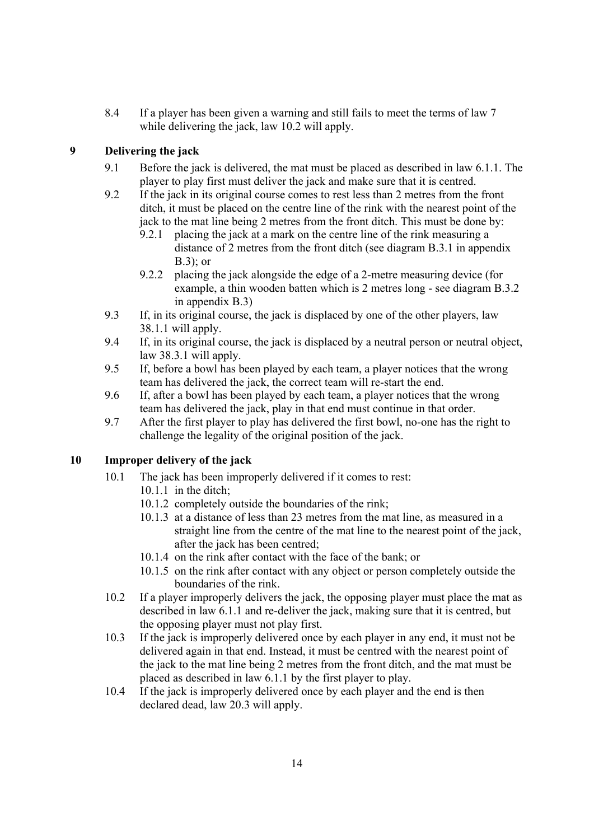8.4 If a player has been given a warning and still fails to meet the terms of law 7 while delivering the jack, law 10.2 will apply.

# **9 Delivering the jack**

- 9.1 Before the jack is delivered, the mat must be placed as described in law 6.1.1. The player to play first must deliver the jack and make sure that it is centred.
- 9.2 If the jack in its original course comes to rest less than 2 metres from the front ditch, it must be placed on the centre line of the rink with the nearest point of the jack to the mat line being 2 metres from the front ditch. This must be done by:
	- 9.2.1 placing the jack at a mark on the centre line of the rink measuring a distance of 2 metres from the front ditch (see diagram B.3.1 in appendix B.3); or
	- 9.2.2 placing the jack alongside the edge of a 2-metre measuring device (for example, a thin wooden batten which is 2 metres long - see diagram B.3.2 in appendix B.3)
- 9.3 If, in its original course, the jack is displaced by one of the other players, law 38.1.1 will apply.
- 9.4 If, in its original course, the jack is displaced by a neutral person or neutral object, law 38.3.1 will apply.
- 9.5 If, before a bowl has been played by each team, a player notices that the wrong team has delivered the jack, the correct team will re-start the end.
- 9.6 If, after a bowl has been played by each team, a player notices that the wrong team has delivered the jack, play in that end must continue in that order.
- 9.7 After the first player to play has delivered the first bowl, no-one has the right to challenge the legality of the original position of the jack.

# **10 Improper delivery of the jack**

- 10.1 The jack has been improperly delivered if it comes to rest:
	- 10.1.1 in the ditch;
	- 10.1.2 completely outside the boundaries of the rink;
	- 10.1.3 at a distance of less than 23 metres from the mat line, as measured in a straight line from the centre of the mat line to the nearest point of the jack, after the jack has been centred;
	- 10.1.4 on the rink after contact with the face of the bank; or
	- 10.1.5 on the rink after contact with any object or person completely outside the boundaries of the rink.
- 10.2 If a player improperly delivers the jack, the opposing player must place the mat as described in law 6.1.1 and re-deliver the jack, making sure that it is centred, but the opposing player must not play first.
- 10.3 If the jack is improperly delivered once by each player in any end, it must not be delivered again in that end. Instead, it must be centred with the nearest point of the jack to the mat line being 2 metres from the front ditch, and the mat must be placed as described in law 6.1.1 by the first player to play.
- 10.4 If the jack is improperly delivered once by each player and the end is then declared dead, law 20.3 will apply.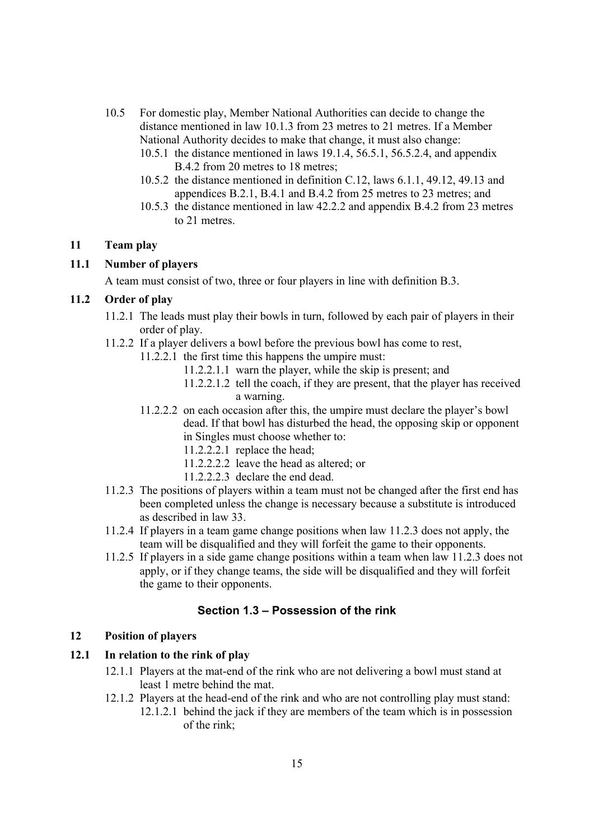- 10.5 For domestic play, Member National Authorities can decide to change the distance mentioned in law 10.1.3 from 23 metres to 21 metres. If a Member National Authority decides to make that change, it must also change:
	- 10.5.1 the distance mentioned in laws 19.1.4, 56.5.1, 56.5.2.4, and appendix B.4.2 from 20 metres to 18 metres;
	- 10.5.2 the distance mentioned in definition C.12, laws 6.1.1, 49.12, 49.13 and appendices B.2.1, B.4.1 and B.4.2 from 25 metres to 23 metres; and
	- 10.5.3 the distance mentioned in law 42.2.2 and appendix B.4.2 from 23 metres to 21 metres.

### **11 Team play**

### **11.1 Number of players**

A team must consist of two, three or four players in line with definition B.3.

### **11.2 Order of play**

- 11.2.1 The leads must play their bowls in turn, followed by each pair of players in their order of play.
- 11.2.2 If a player delivers a bowl before the previous bowl has come to rest,
	- 11.2.2.1 the first time this happens the umpire must:
		- 11.2.2.1.1 warn the player, while the skip is present; and
		- 11.2.2.1.2 tell the coach, if they are present, that the player has received a warning.
	- 11.2.2.2 on each occasion after this, the umpire must declare the player's bowl dead. If that bowl has disturbed the head, the opposing skip or opponent in Singles must choose whether to:
		- 11.2.2.2.1 replace the head;
		- 11.2.2.2.2 leave the head as altered; or
		- 11.2.2.2.3 declare the end dead.
- 11.2.3 The positions of players within a team must not be changed after the first end has been completed unless the change is necessary because a substitute is introduced as described in law 33.
- 11.2.4 If players in a team game change positions when law 11.2.3 does not apply, the team will be disqualified and they will forfeit the game to their opponents.
- 11.2.5 If players in a side game change positions within a team when law 11.2.3 does not apply, or if they change teams, the side will be disqualified and they will forfeit the game to their opponents.

### **Section 1.3 – Possession of the rink**

#### **12 Position of players**

#### **12.1 In relation to the rink of play**

- 12.1.1 Players at the mat-end of the rink who are not delivering a bowl must stand at least 1 metre behind the mat.
- 12.1.2 Players at the head-end of the rink and who are not controlling play must stand:
	- 12.1.2.1 behind the jack if they are members of the team which is in possession of the rink;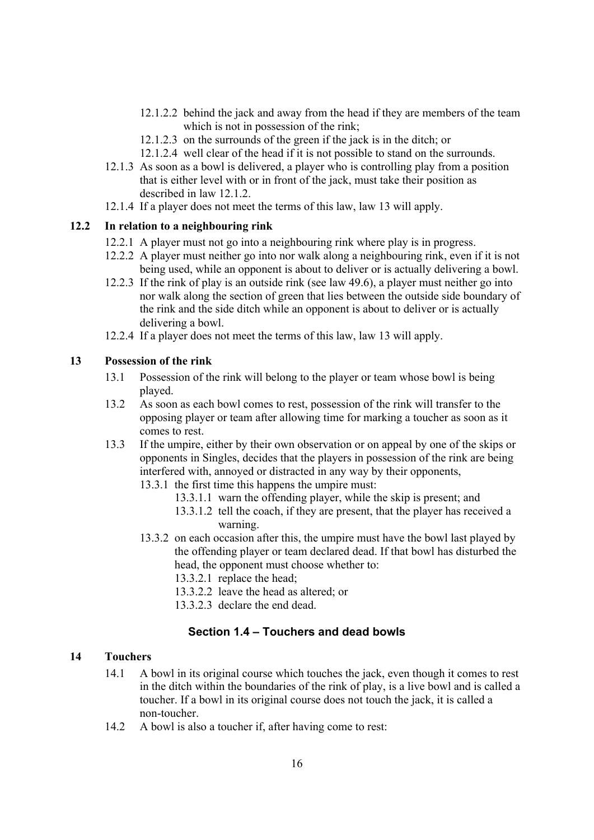- 12.1.2.2 behind the jack and away from the head if they are members of the team which is not in possession of the rink;
- 12.1.2.3 on the surrounds of the green if the jack is in the ditch; or
- 12.1.2.4 well clear of the head if it is not possible to stand on the surrounds.
- 12.1.3 As soon as a bowl is delivered, a player who is controlling play from a position that is either level with or in front of the jack, must take their position as described in law 12.1.2.
- 12.1.4 If a player does not meet the terms of this law, law 13 will apply.

#### **12.2 In relation to a neighbouring rink**

- 12.2.1 A player must not go into a neighbouring rink where play is in progress.
- 12.2.2 A player must neither go into nor walk along a neighbouring rink, even if it is not being used, while an opponent is about to deliver or is actually delivering a bowl.
- 12.2.3 If the rink of play is an outside rink (see law 49.6), a player must neither go into nor walk along the section of green that lies between the outside side boundary of the rink and the side ditch while an opponent is about to deliver or is actually delivering a bowl.
- 12.2.4 If a player does not meet the terms of this law, law 13 will apply.

#### **13 Possession of the rink**

- 13.1 Possession of the rink will belong to the player or team whose bowl is being played.
- 13.2 As soon as each bowl comes to rest, possession of the rink will transfer to the opposing player or team after allowing time for marking a toucher as soon as it comes to rest.
- 13.3 If the umpire, either by their own observation or on appeal by one of the skips or opponents in Singles, decides that the players in possession of the rink are being interfered with, annoyed or distracted in any way by their opponents,
	- 13.3.1 the first time this happens the umpire must:
		- 13.3.1.1 warn the offending player, while the skip is present; and
		- 13.3.1.2 tell the coach, if they are present, that the player has received a warning.
	- 13.3.2 on each occasion after this, the umpire must have the bowl last played by the offending player or team declared dead. If that bowl has disturbed the head, the opponent must choose whether to:
		- 13.3.2.1 replace the head;
		- 13.3.2.2 leave the head as altered; or
		- 13.3.2.3 declare the end dead.

### **Section 1.4 – Touchers and dead bowls**

# **14 Touchers**

- 14.1 A bowl in its original course which touches the jack, even though it comes to rest in the ditch within the boundaries of the rink of play, is a live bowl and is called a toucher. If a bowl in its original course does not touch the jack, it is called a non-toucher.
- 14.2 A bowl is also a toucher if, after having come to rest: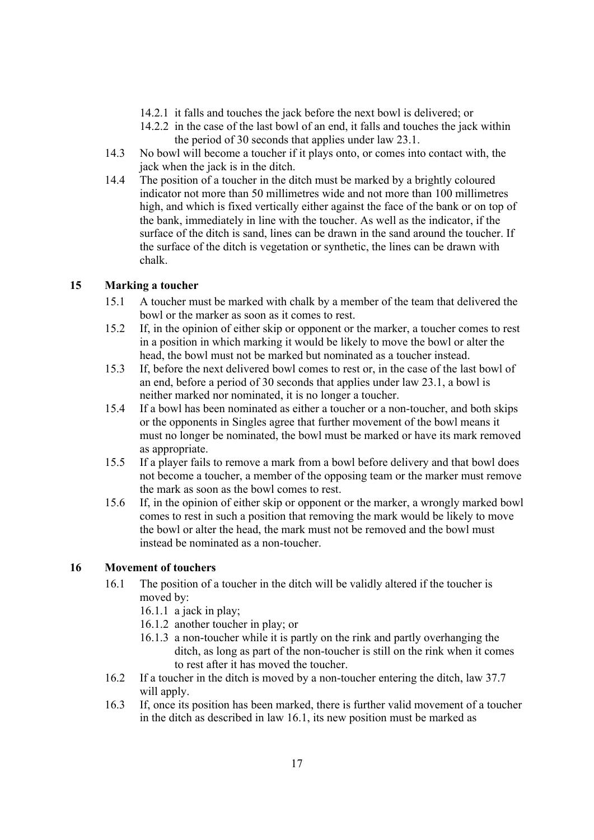- 14.2.1 it falls and touches the jack before the next bowl is delivered; or
- 14.2.2 in the case of the last bowl of an end, it falls and touches the jack within the period of 30 seconds that applies under law 23.1.
- 14.3 No bowl will become a toucher if it plays onto, or comes into contact with, the jack when the jack is in the ditch.
- 14.4 The position of a toucher in the ditch must be marked by a brightly coloured indicator not more than 50 millimetres wide and not more than 100 millimetres high, and which is fixed vertically either against the face of the bank or on top of the bank, immediately in line with the toucher. As well as the indicator, if the surface of the ditch is sand, lines can be drawn in the sand around the toucher. If the surface of the ditch is vegetation or synthetic, the lines can be drawn with chalk.

## **15 Marking a toucher**

- 15.1 A toucher must be marked with chalk by a member of the team that delivered the bowl or the marker as soon as it comes to rest.
- 15.2 If, in the opinion of either skip or opponent or the marker, a toucher comes to rest in a position in which marking it would be likely to move the bowl or alter the head, the bowl must not be marked but nominated as a toucher instead.
- 15.3 If, before the next delivered bowl comes to rest or, in the case of the last bowl of an end, before a period of 30 seconds that applies under law 23.1, a bowl is neither marked nor nominated, it is no longer a toucher.
- 15.4 If a bowl has been nominated as either a toucher or a non-toucher, and both skips or the opponents in Singles agree that further movement of the bowl means it must no longer be nominated, the bowl must be marked or have its mark removed as appropriate.
- 15.5 If a player fails to remove a mark from a bowl before delivery and that bowl does not become a toucher, a member of the opposing team or the marker must remove the mark as soon as the bowl comes to rest.
- 15.6 If, in the opinion of either skip or opponent or the marker, a wrongly marked bowl comes to rest in such a position that removing the mark would be likely to move the bowl or alter the head, the mark must not be removed and the bowl must instead be nominated as a non-toucher.

### **16 Movement of touchers**

- 16.1 The position of a toucher in the ditch will be validly altered if the toucher is moved by:
	- 16.1.1 a jack in play;
	- 16.1.2 another toucher in play; or
	- 16.1.3 a non-toucher while it is partly on the rink and partly overhanging the ditch, as long as part of the non-toucher is still on the rink when it comes to rest after it has moved the toucher.
- 16.2 If a toucher in the ditch is moved by a non-toucher entering the ditch, law 37.7 will apply.
- 16.3 If, once its position has been marked, there is further valid movement of a toucher in the ditch as described in law 16.1, its new position must be marked as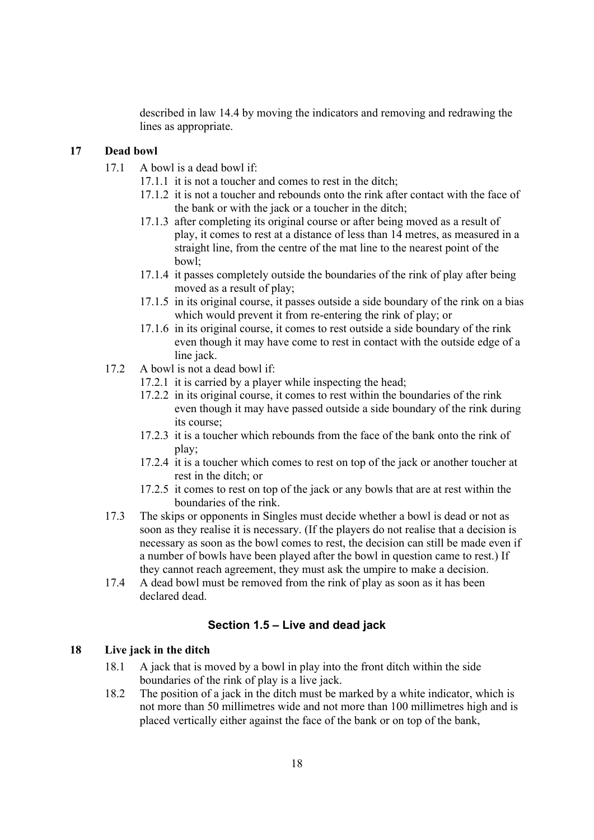described in law 14.4 by moving the indicators and removing and redrawing the lines as appropriate.

### **17 Dead bowl**

- 17.1 A bowl is a dead bowl if:
	- 17.1.1 it is not a toucher and comes to rest in the ditch;
	- 17.1.2 it is not a toucher and rebounds onto the rink after contact with the face of the bank or with the jack or a toucher in the ditch;
	- 17.1.3 after completing its original course or after being moved as a result of play, it comes to rest at a distance of less than 14 metres, as measured in a straight line, from the centre of the mat line to the nearest point of the bowl;
	- 17.1.4 it passes completely outside the boundaries of the rink of play after being moved as a result of play;
	- 17.1.5 in its original course, it passes outside a side boundary of the rink on a bias which would prevent it from re-entering the rink of play; or
	- 17.1.6 in its original course, it comes to rest outside a side boundary of the rink even though it may have come to rest in contact with the outside edge of a line jack.
- 17.2 A bowl is not a dead bowl if:
	- 17.2.1 it is carried by a player while inspecting the head;
	- 17.2.2 in its original course, it comes to rest within the boundaries of the rink even though it may have passed outside a side boundary of the rink during its course;
	- 17.2.3 it is a toucher which rebounds from the face of the bank onto the rink of play;
	- 17.2.4 it is a toucher which comes to rest on top of the jack or another toucher at rest in the ditch; or
	- 17.2.5 it comes to rest on top of the jack or any bowls that are at rest within the boundaries of the rink.
- 17.3 The skips or opponents in Singles must decide whether a bowl is dead or not as soon as they realise it is necessary. (If the players do not realise that a decision is necessary as soon as the bowl comes to rest, the decision can still be made even if a number of bowls have been played after the bowl in question came to rest.) If they cannot reach agreement, they must ask the umpire to make a decision.
- 17.4 A dead bowl must be removed from the rink of play as soon as it has been declared dead.

### **Section 1.5 – Live and dead jack**

### **18 Live jack in the ditch**

- 18.1 A jack that is moved by a bowl in play into the front ditch within the side boundaries of the rink of play is a live jack.
- 18.2 The position of a jack in the ditch must be marked by a white indicator, which is not more than 50 millimetres wide and not more than 100 millimetres high and is placed vertically either against the face of the bank or on top of the bank,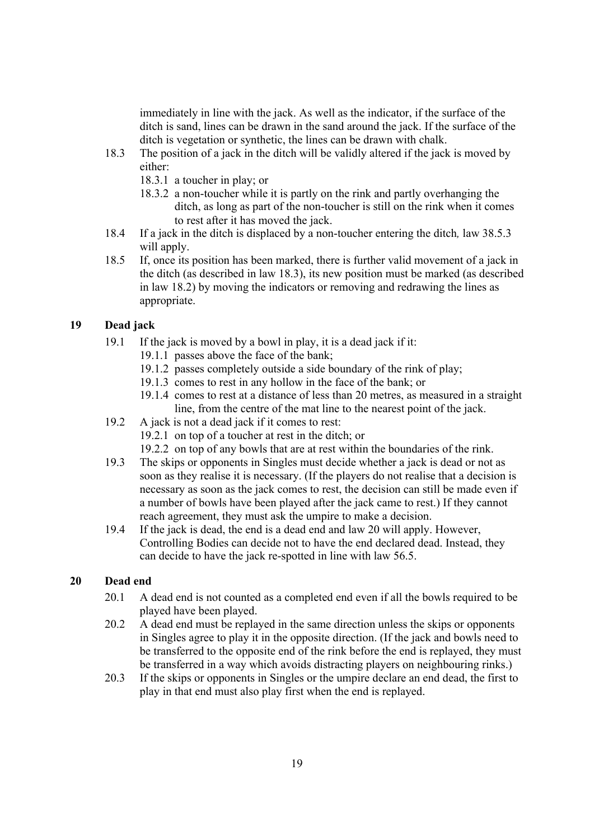immediately in line with the jack. As well as the indicator, if the surface of the ditch is sand, lines can be drawn in the sand around the jack. If the surface of the ditch is vegetation or synthetic, the lines can be drawn with chalk.

- 18.3 The position of a jack in the ditch will be validly altered if the jack is moved by either:
	- 18.3.1 a toucher in play; or
	- 18.3.2 a non-toucher while it is partly on the rink and partly overhanging the ditch, as long as part of the non-toucher is still on the rink when it comes to rest after it has moved the jack.
- 18.4 If a jack in the ditch is displaced by a non-toucher entering the ditch*,* law 38.5.3 will apply.
- 18.5 If, once its position has been marked, there is further valid movement of a jack in the ditch (as described in law 18.3), its new position must be marked (as described in law 18.2) by moving the indicators or removing and redrawing the lines as appropriate.

### **19 Dead jack**

- 19.1 If the jack is moved by a bowl in play, it is a dead jack if it:
	- 19.1.1 passes above the face of the bank;
	- 19.1.2 passes completely outside a side boundary of the rink of play;
	- 19.1.3 comes to rest in any hollow in the face of the bank; or
	- 19.1.4 comes to rest at a distance of less than 20 metres, as measured in a straight line, from the centre of the mat line to the nearest point of the jack.
- 19.2 A jack is not a dead jack if it comes to rest:
	- 19.2.1 on top of a toucher at rest in the ditch; or
	- 19.2.2 on top of any bowls that are at rest within the boundaries of the rink.
- 19.3 The skips or opponents in Singles must decide whether a jack is dead or not as soon as they realise it is necessary. (If the players do not realise that a decision is necessary as soon as the jack comes to rest, the decision can still be made even if a number of bowls have been played after the jack came to rest.) If they cannot reach agreement, they must ask the umpire to make a decision.
- 19.4 If the jack is dead, the end is a dead end and law 20 will apply. However, Controlling Bodies can decide not to have the end declared dead. Instead, they can decide to have the jack re-spotted in line with law 56.5.

### **20 Dead end**

- 20.1 A dead end is not counted as a completed end even if all the bowls required to be played have been played.
- 20.2 A dead end must be replayed in the same direction unless the skips or opponents in Singles agree to play it in the opposite direction. (If the jack and bowls need to be transferred to the opposite end of the rink before the end is replayed, they must be transferred in a way which avoids distracting players on neighbouring rinks.)
- 20.3 If the skips or opponents in Singles or the umpire declare an end dead, the first to play in that end must also play first when the end is replayed.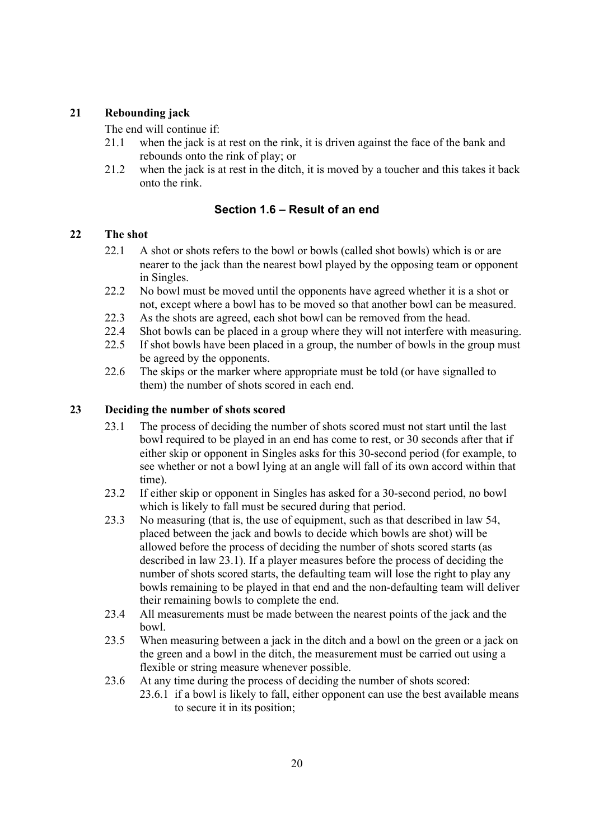# **21 Rebounding jack**

The end will continue if:

- 21.1 when the jack is at rest on the rink, it is driven against the face of the bank and rebounds onto the rink of play; or
- 21.2 when the jack is at rest in the ditch, it is moved by a toucher and this takes it back onto the rink.

# **Section 1.6 – Result of an end**

### **22 The shot**

- 22.1 A shot or shots refers to the bowl or bowls (called shot bowls) which is or are nearer to the jack than the nearest bowl played by the opposing team or opponent in Singles.
- 22.2 No bowl must be moved until the opponents have agreed whether it is a shot or not, except where a bowl has to be moved so that another bowl can be measured.
- 22.3 As the shots are agreed, each shot bowl can be removed from the head.
- 22.4 Shot bowls can be placed in a group where they will not interfere with measuring.
- 22.5 If shot bowls have been placed in a group, the number of bowls in the group must be agreed by the opponents.
- 22.6 The skips or the marker where appropriate must be told (or have signalled to them) the number of shots scored in each end.

## **23 Deciding the number of shots scored**

- 23.1 The process of deciding the number of shots scored must not start until the last bowl required to be played in an end has come to rest, or 30 seconds after that if either skip or opponent in Singles asks for this 30-second period (for example, to see whether or not a bowl lying at an angle will fall of its own accord within that time).
- 23.2 If either skip or opponent in Singles has asked for a 30-second period, no bowl which is likely to fall must be secured during that period.
- 23.3 No measuring (that is, the use of equipment, such as that described in law 54, placed between the jack and bowls to decide which bowls are shot) will be allowed before the process of deciding the number of shots scored starts (as described in law 23.1). If a player measures before the process of deciding the number of shots scored starts, the defaulting team will lose the right to play any bowls remaining to be played in that end and the non-defaulting team will deliver their remaining bowls to complete the end.
- 23.4 All measurements must be made between the nearest points of the jack and the bowl.
- 23.5 When measuring between a jack in the ditch and a bowl on the green or a jack on the green and a bowl in the ditch, the measurement must be carried out using a flexible or string measure whenever possible.
- 23.6 At any time during the process of deciding the number of shots scored: 23.6.1 if a bowl is likely to fall, either opponent can use the best available means to secure it in its position;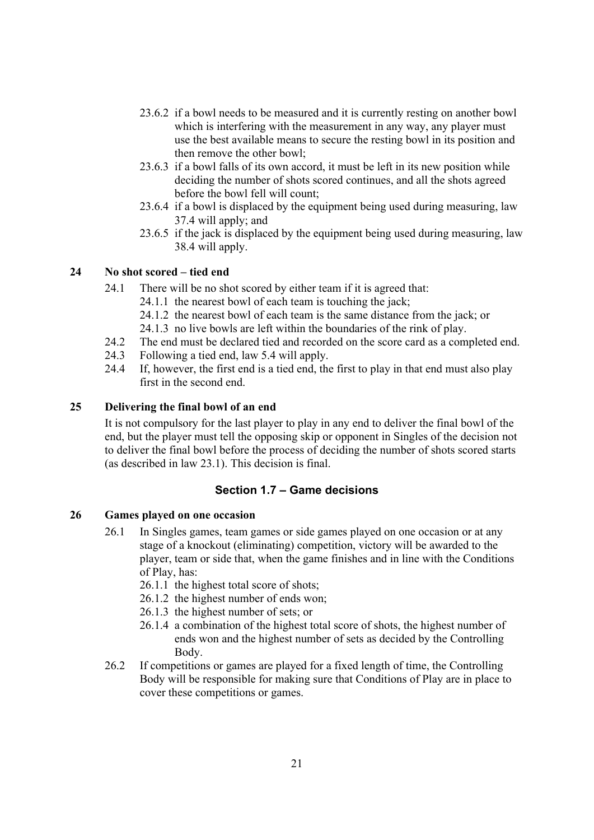- 23.6.2 if a bowl needs to be measured and it is currently resting on another bowl which is interfering with the measurement in any way, any player must use the best available means to secure the resting bowl in its position and then remove the other bowl;
- 23.6.3 if a bowl falls of its own accord, it must be left in its new position while deciding the number of shots scored continues, and all the shots agreed before the bowl fell will count;
- 23.6.4 if a bowl is displaced by the equipment being used during measuring, law 37.4 will apply; and
- 23.6.5 if the jack is displaced by the equipment being used during measuring, law 38.4 will apply.

### **24 No shot scored – tied end**

- 24.1 There will be no shot scored by either team if it is agreed that:
	- 24.1.1 the nearest bowl of each team is touching the jack;
	- 24.1.2 the nearest bowl of each team is the same distance from the jack; or
	- 24.1.3 no live bowls are left within the boundaries of the rink of play.
- 24.2 The end must be declared tied and recorded on the score card as a completed end.
- 24.3 Following a tied end, law 5.4 will apply.
- 24.4 If, however, the first end is a tied end, the first to play in that end must also play first in the second end.

#### **25 Delivering the final bowl of an end**

It is not compulsory for the last player to play in any end to deliver the final bowl of the end, but the player must tell the opposing skip or opponent in Singles of the decision not to deliver the final bowl before the process of deciding the number of shots scored starts (as described in law 23.1). This decision is final.

#### **Section 1.7 – Game decisions**

#### **26 Games played on one occasion**

- 26.1 In Singles games, team games or side games played on one occasion or at any stage of a knockout (eliminating) competition, victory will be awarded to the player, team or side that, when the game finishes and in line with the Conditions of Play, has:
	- 26.1.1 the highest total score of shots;
	- 26.1.2 the highest number of ends won;
	- 26.1.3 the highest number of sets; or
	- 26.1.4 a combination of the highest total score of shots, the highest number of ends won and the highest number of sets as decided by the Controlling Body.
- 26.2 If competitions or games are played for a fixed length of time, the Controlling Body will be responsible for making sure that Conditions of Play are in place to cover these competitions or games.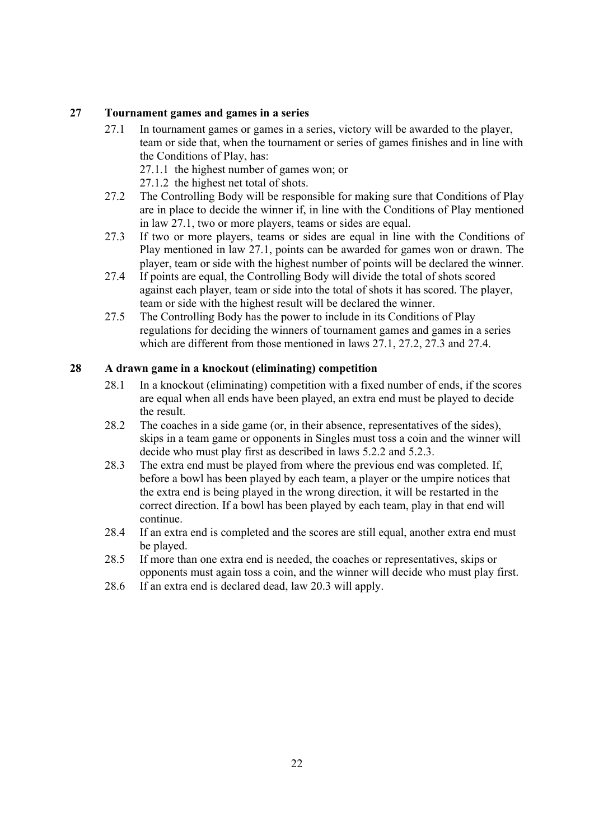### **27 Tournament games and games in a series**

- 27.1 In tournament games or games in a series, victory will be awarded to the player, team or side that, when the tournament or series of games finishes and in line with the Conditions of Play, has:
	- 27.1.1 the highest number of games won; or
	- 27.1.2 the highest net total of shots.
- 27.2 The Controlling Body will be responsible for making sure that Conditions of Play are in place to decide the winner if, in line with the Conditions of Play mentioned in law 27.1, two or more players, teams or sides are equal.
- 27.3 If two or more players, teams or sides are equal in line with the Conditions of Play mentioned in law 27.1, points can be awarded for games won or drawn. The player, team or side with the highest number of points will be declared the winner.
- 27.4 If points are equal, the Controlling Body will divide the total of shots scored against each player, team or side into the total of shots it has scored. The player, team or side with the highest result will be declared the winner.
- 27.5 The Controlling Body has the power to include in its Conditions of Play regulations for deciding the winners of tournament games and games in a series which are different from those mentioned in laws 27.1, 27.2, 27.3 and 27.4.

# **28 A drawn game in a knockout (eliminating) competition**

- 28.1 In a knockout (eliminating) competition with a fixed number of ends, if the scores are equal when all ends have been played, an extra end must be played to decide the result.
- 28.2 The coaches in a side game (or, in their absence, representatives of the sides), skips in a team game or opponents in Singles must toss a coin and the winner will decide who must play first as described in laws 5.2.2 and 5.2.3.
- 28.3 The extra end must be played from where the previous end was completed. If, before a bowl has been played by each team, a player or the umpire notices that the extra end is being played in the wrong direction, it will be restarted in the correct direction. If a bowl has been played by each team, play in that end will continue.
- 28.4 If an extra end is completed and the scores are still equal, another extra end must be played.
- 28.5 If more than one extra end is needed, the coaches or representatives, skips or opponents must again toss a coin, and the winner will decide who must play first.
- 28.6 If an extra end is declared dead, law 20.3 will apply.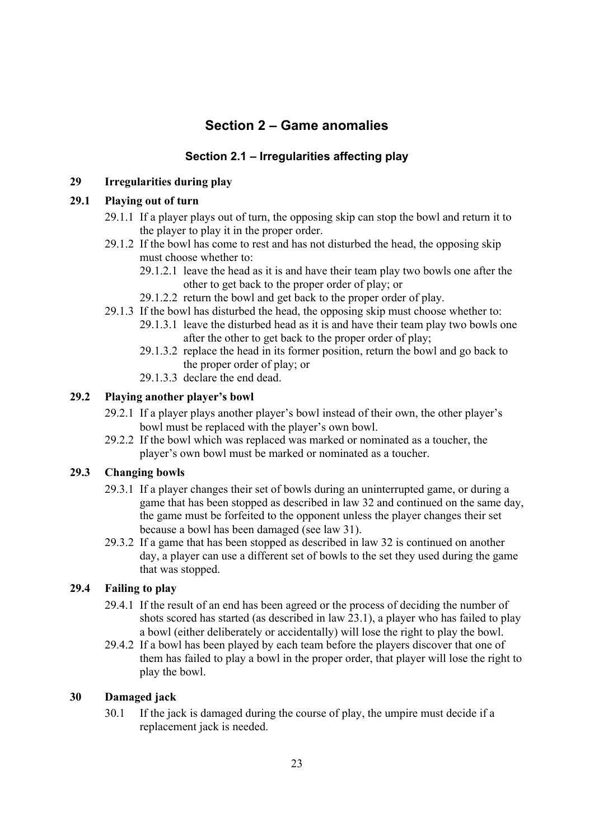# **Section 2 – Game anomalies**

# **Section 2.1 – Irregularities affecting play**

# **29 Irregularities during play**

### **29.1 Playing out of turn**

- 29.1.1 If a player plays out of turn, the opposing skip can stop the bowl and return it to the player to play it in the proper order.
- 29.1.2 If the bowl has come to rest and has not disturbed the head, the opposing skip must choose whether to:
	- 29.1.2.1 leave the head as it is and have their team play two bowls one after the other to get back to the proper order of play; or
	- 29.1.2.2 return the bowl and get back to the proper order of play.
- 29.1.3 If the bowl has disturbed the head, the opposing skip must choose whether to:
	- 29.1.3.1 leave the disturbed head as it is and have their team play two bowls one after the other to get back to the proper order of play;
	- 29.1.3.2 replace the head in its former position, return the bowl and go back to the proper order of play; or
	- 29.1.3.3. declare the end dead.

### **29.2 Playing another player's bowl**

- 29.2.1 If a player plays another player's bowl instead of their own, the other player's bowl must be replaced with the player's own bowl.
- 29.2.2 If the bowl which was replaced was marked or nominated as a toucher, the player's own bowl must be marked or nominated as a toucher.

### **29.3 Changing bowls**

- 29.3.1 If a player changes their set of bowls during an uninterrupted game, or during a game that has been stopped as described in law 32 and continued on the same day, the game must be forfeited to the opponent unless the player changes their set because a bowl has been damaged (see law 31).
- 29.3.2 If a game that has been stopped as described in law 32 is continued on another day, a player can use a different set of bowls to the set they used during the game that was stopped.

### **29.4 Failing to play**

- 29.4.1 If the result of an end has been agreed or the process of deciding the number of shots scored has started (as described in law 23.1), a player who has failed to play a bowl (either deliberately or accidentally) will lose the right to play the bowl.
- 29.4.2 If a bowl has been played by each team before the players discover that one of them has failed to play a bowl in the proper order, that player will lose the right to play the bowl.

### **30 Damaged jack**

30.1 If the jack is damaged during the course of play, the umpire must decide if a replacement jack is needed.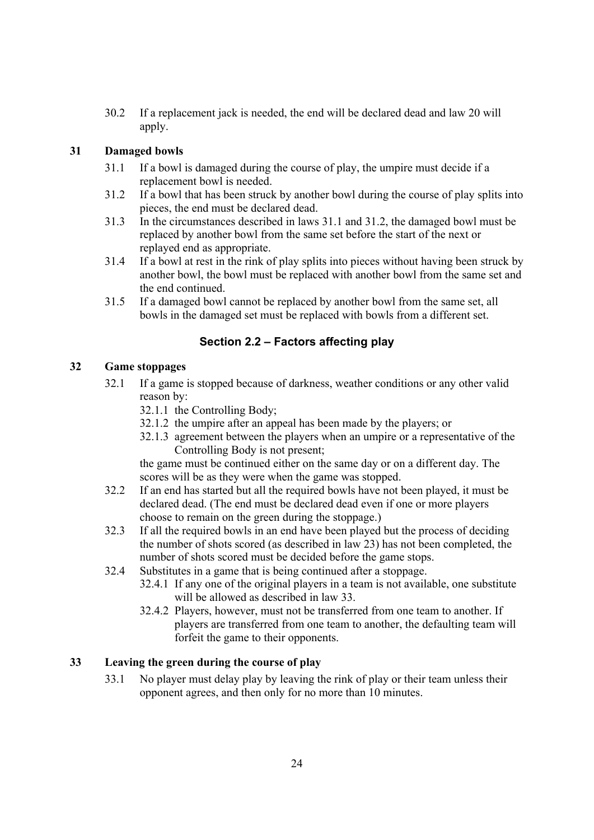30.2 If a replacement jack is needed, the end will be declared dead and law 20 will apply.

## **31 Damaged bowls**

- 31.1 If a bowl is damaged during the course of play, the umpire must decide if a replacement bowl is needed.
- 31.2 If a bowl that has been struck by another bowl during the course of play splits into pieces, the end must be declared dead.
- 31.3 In the circumstances described in laws 31.1 and 31.2, the damaged bowl must be replaced by another bowl from the same set before the start of the next or replayed end as appropriate.
- 31.4 If a bowl at rest in the rink of play splits into pieces without having been struck by another bowl, the bowl must be replaced with another bowl from the same set and the end continued.
- 31.5 If a damaged bowl cannot be replaced by another bowl from the same set, all bowls in the damaged set must be replaced with bowls from a different set.

# **Section 2.2 – Factors affecting play**

# **32 Game stoppages**

- 32.1 If a game is stopped because of darkness, weather conditions or any other valid reason by:
	- 32.1.1 the Controlling Body;
	- 32.1.2 the umpire after an appeal has been made by the players; or
	- 32.1.3 agreement between the players when an umpire or a representative of the Controlling Body is not present;

the game must be continued either on the same day or on a different day. The scores will be as they were when the game was stopped.

- 32.2 If an end has started but all the required bowls have not been played, it must be declared dead. (The end must be declared dead even if one or more players choose to remain on the green during the stoppage.)
- 32.3 If all the required bowls in an end have been played but the process of deciding the number of shots scored (as described in law 23) has not been completed, the number of shots scored must be decided before the game stops.
- 32.4 Substitutes in a game that is being continued after a stoppage.
	- 32.4.1 If any one of the original players in a team is not available, one substitute will be allowed as described in law 33.
	- 32.4.2 Players, however, must not be transferred from one team to another. If players are transferred from one team to another, the defaulting team will forfeit the game to their opponents.

# **33 Leaving the green during the course of play**

33.1 No player must delay play by leaving the rink of play or their team unless their opponent agrees, and then only for no more than 10 minutes.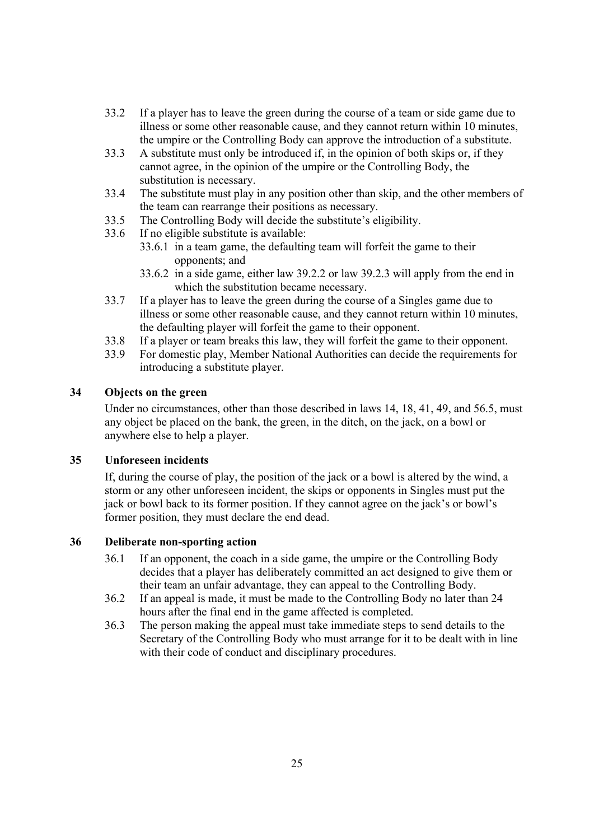- 33.2 If a player has to leave the green during the course of a team or side game due to illness or some other reasonable cause, and they cannot return within 10 minutes, the umpire or the Controlling Body can approve the introduction of a substitute.
- 33.3 A substitute must only be introduced if, in the opinion of both skips or, if they cannot agree, in the opinion of the umpire or the Controlling Body, the substitution is necessary.
- 33.4 The substitute must play in any position other than skip, and the other members of the team can rearrange their positions as necessary.
- 33.5 The Controlling Body will decide the substitute's eligibility.
- 33.6 If no eligible substitute is available:
	- 33.6.1 in a team game, the defaulting team will forfeit the game to their opponents; and
	- 33.6.2 in a side game, either law 39.2.2 or law 39.2.3 will apply from the end in which the substitution became necessary.
- 33.7 If a player has to leave the green during the course of a Singles game due to illness or some other reasonable cause, and they cannot return within 10 minutes, the defaulting player will forfeit the game to their opponent.
- 33.8 If a player or team breaks this law, they will forfeit the game to their opponent.
- 33.9 For domestic play, Member National Authorities can decide the requirements for introducing a substitute player.

## **34 Objects on the green**

Under no circumstances, other than those described in laws 14, 18, 41, 49, and 56.5, must any object be placed on the bank, the green, in the ditch, on the jack, on a bowl or anywhere else to help a player.

### **35 Unforeseen incidents**

If, during the course of play, the position of the jack or a bowl is altered by the wind, a storm or any other unforeseen incident, the skips or opponents in Singles must put the jack or bowl back to its former position. If they cannot agree on the jack's or bowl's former position, they must declare the end dead.

# **36 Deliberate non-sporting action**

- 36.1 If an opponent, the coach in a side game, the umpire or the Controlling Body decides that a player has deliberately committed an act designed to give them or their team an unfair advantage, they can appeal to the Controlling Body.
- 36.2 If an appeal is made, it must be made to the Controlling Body no later than 24 hours after the final end in the game affected is completed.
- 36.3 The person making the appeal must take immediate steps to send details to the Secretary of the Controlling Body who must arrange for it to be dealt with in line with their code of conduct and disciplinary procedures.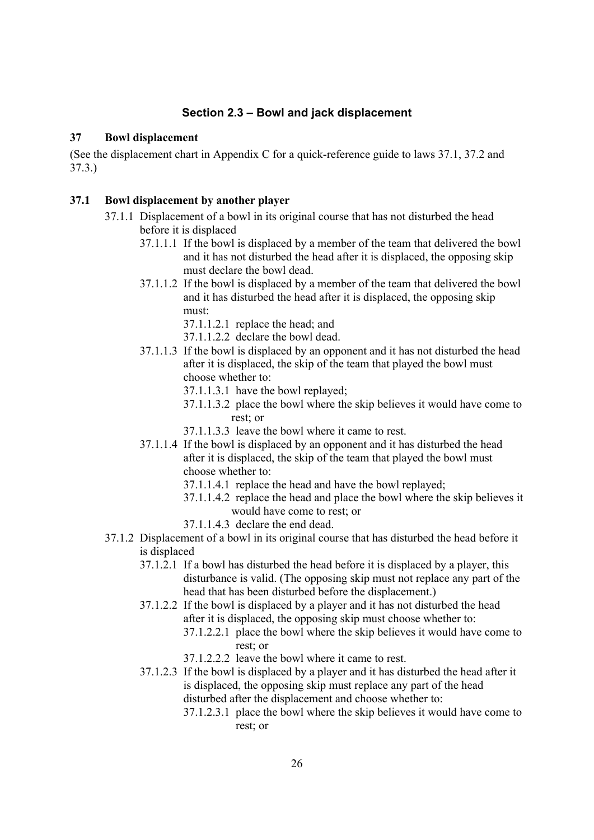# **Section 2.3 – Bowl and jack displacement**

#### **37 Bowl displacement**

(See the displacement chart in Appendix C for a quick-reference guide to laws 37.1, 37.2 and 37.3.)

#### **37.1 Bowl displacement by another player**

- 37.1.1 Displacement of a bowl in its original course that has not disturbed the head before it is displaced
	- 37.1.1.1 If the bowl is displaced by a member of the team that delivered the bowl and it has not disturbed the head after it is displaced, the opposing skip must declare the bowl dead.
	- 37.1.1.2 If the bowl is displaced by a member of the team that delivered the bowl and it has disturbed the head after it is displaced, the opposing skip must:
		- 37.1.1.2.1 replace the head; and
		- 37.1.1.2.2 declare the bowl dead.
	- 37.1.1.3 If the bowl is displaced by an opponent and it has not disturbed the head after it is displaced, the skip of the team that played the bowl must choose whether to:
		- 37.1.1.3.1 have the bowl replayed;
		- 37.1.1.3.2 place the bowl where the skip believes it would have come to rest; or
		- 37.1.1.3.3 leave the bowl where it came to rest.
	- 37.1.1.4 If the bowl is displaced by an opponent and it has disturbed the head after it is displaced, the skip of the team that played the bowl must choose whether to:
		- 37.1.1.4.1 replace the head and have the bowl replayed;
		- 37.1.1.4.2 replace the head and place the bowl where the skip believes it would have come to rest; or
		- 37.1.1.4.3 declare the end dead.
- 37.1.2 Displacement of a bowl in its original course that has disturbed the head before it is displaced
	- 37.1.2.1 If a bowl has disturbed the head before it is displaced by a player, this disturbance is valid. (The opposing skip must not replace any part of the head that has been disturbed before the displacement.)
	- 37.1.2.2 If the bowl is displaced by a player and it has not disturbed the head after it is displaced, the opposing skip must choose whether to:
		- 37.1.2.2.1 place the bowl where the skip believes it would have come to rest; or
		- 37.1.2.2.2 leave the bowl where it came to rest.
	- 37.1.2.3 If the bowl is displaced by a player and it has disturbed the head after it is displaced, the opposing skip must replace any part of the head disturbed after the displacement and choose whether to:
		- 37.1.2.3.1 place the bowl where the skip believes it would have come to rest; or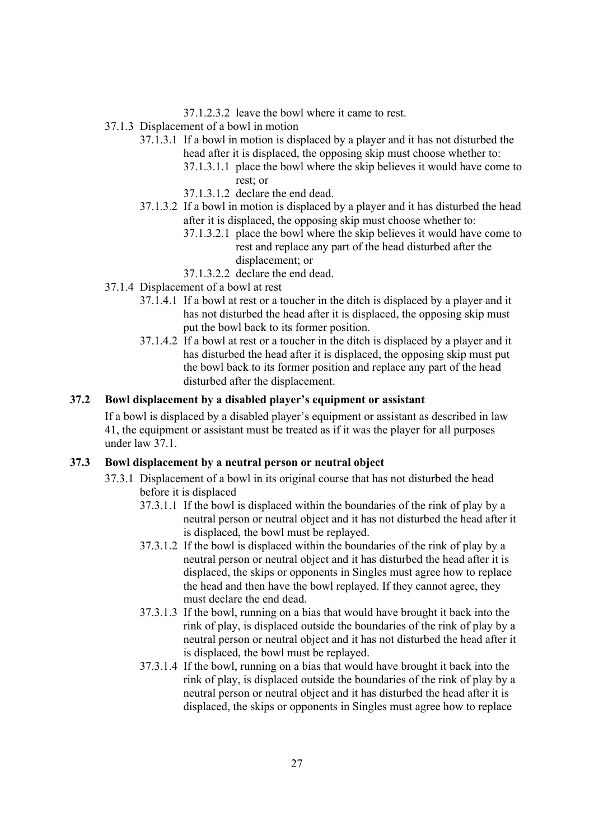- 37.1.2.3.2 leave the bowl where it came to rest.
- 37.1.3 Displacement of a bowl in motion
	- 37.1.3.1 If a bowl in motion is displaced by a player and it has not disturbed the head after it is displaced, the opposing skip must choose whether to:
		- 37.1.3.1.1 place the bowl where the skip believes it would have come to rest; or
		- 37.1.3.1.2 declare the end dead.
	- 37.1.3.2 If a bowl in motion is displaced by a player and it has disturbed the head after it is displaced, the opposing skip must choose whether to:
		- 37.1.3.2.1 place the bowl where the skip believes it would have come to rest and replace any part of the head disturbed after the displacement; or
		- 37.1.3.2.2 declare the end dead.
- 37.1.4 Displacement of a bowl at rest
	- 37.1.4.1 If a bowl at rest or a toucher in the ditch is displaced by a player and it has not disturbed the head after it is displaced, the opposing skip must put the bowl back to its former position.
	- 37.1.4.2 If a bowl at rest or a toucher in the ditch is displaced by a player and it has disturbed the head after it is displaced, the opposing skip must put the bowl back to its former position and replace any part of the head disturbed after the displacement.

#### **37.2 Bowl displacement by a disabled player's equipment or assistant**

If a bowl is displaced by a disabled player's equipment or assistant as described in law 41, the equipment or assistant must be treated as if it was the player for all purposes under law 37.1.

#### **37.3 Bowl displacement by a neutral person or neutral object**

- 37.3.1 Displacement of a bowl in its original course that has not disturbed the head before it is displaced
	- 37.3.1.1 If the bowl is displaced within the boundaries of the rink of play by a neutral person or neutral object and it has not disturbed the head after it is displaced, the bowl must be replayed.
	- 37.3.1.2 If the bowl is displaced within the boundaries of the rink of play by a neutral person or neutral object and it has disturbed the head after it is displaced, the skips or opponents in Singles must agree how to replace the head and then have the bowl replayed. If they cannot agree, they must declare the end dead.
	- 37.3.1.3 If the bowl, running on a bias that would have brought it back into the rink of play, is displaced outside the boundaries of the rink of play by a neutral person or neutral object and it has not disturbed the head after it is displaced, the bowl must be replayed.
	- 37.3.1.4 If the bowl, running on a bias that would have brought it back into the rink of play, is displaced outside the boundaries of the rink of play by a neutral person or neutral object and it has disturbed the head after it is displaced, the skips or opponents in Singles must agree how to replace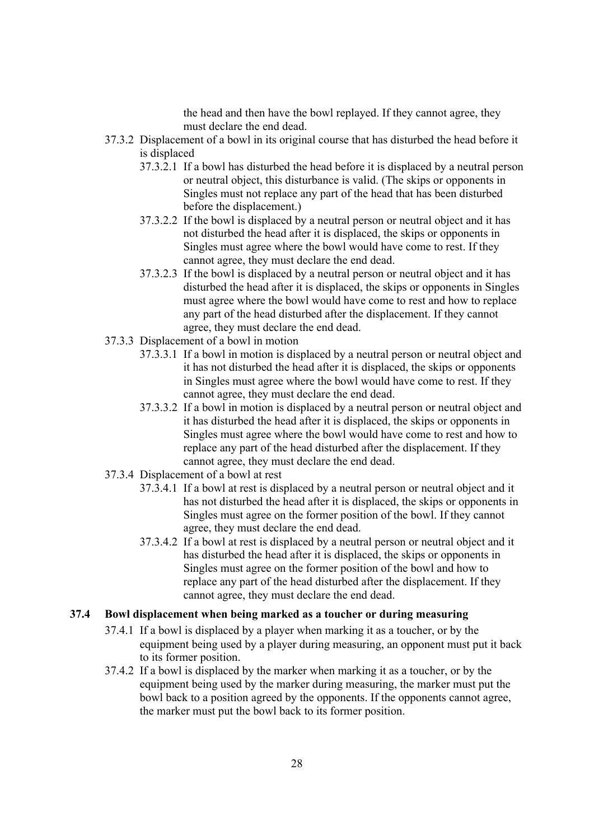the head and then have the bowl replayed. If they cannot agree, they must declare the end dead.

- 37.3.2 Displacement of a bowl in its original course that has disturbed the head before it is displaced
	- 37.3.2.1 If a bowl has disturbed the head before it is displaced by a neutral person or neutral object, this disturbance is valid. (The skips or opponents in Singles must not replace any part of the head that has been disturbed before the displacement.)
	- 37.3.2.2 If the bowl is displaced by a neutral person or neutral object and it has not disturbed the head after it is displaced, the skips or opponents in Singles must agree where the bowl would have come to rest. If they cannot agree, they must declare the end dead.
	- 37.3.2.3 If the bowl is displaced by a neutral person or neutral object and it has disturbed the head after it is displaced, the skips or opponents in Singles must agree where the bowl would have come to rest and how to replace any part of the head disturbed after the displacement. If they cannot agree, they must declare the end dead.
- 37.3.3 Displacement of a bowl in motion
	- 37.3.3.1 If a bowl in motion is displaced by a neutral person or neutral object and it has not disturbed the head after it is displaced, the skips or opponents in Singles must agree where the bowl would have come to rest. If they cannot agree, they must declare the end dead.
	- 37.3.3.2 If a bowl in motion is displaced by a neutral person or neutral object and it has disturbed the head after it is displaced, the skips or opponents in Singles must agree where the bowl would have come to rest and how to replace any part of the head disturbed after the displacement. If they cannot agree, they must declare the end dead.
- 37.3.4 Displacement of a bowl at rest
	- 37.3.4.1 If a bowl at rest is displaced by a neutral person or neutral object and it has not disturbed the head after it is displaced, the skips or opponents in Singles must agree on the former position of the bowl. If they cannot agree, they must declare the end dead.
	- 37.3.4.2 If a bowl at rest is displaced by a neutral person or neutral object and it has disturbed the head after it is displaced, the skips or opponents in Singles must agree on the former position of the bowl and how to replace any part of the head disturbed after the displacement. If they cannot agree, they must declare the end dead.

### **37.4 Bowl displacement when being marked as a toucher or during measuring**

- 37.4.1 If a bowl is displaced by a player when marking it as a toucher, or by the equipment being used by a player during measuring, an opponent must put it back to its former position.
- 37.4.2 If a bowl is displaced by the marker when marking it as a toucher, or by the equipment being used by the marker during measuring, the marker must put the bowl back to a position agreed by the opponents. If the opponents cannot agree, the marker must put the bowl back to its former position.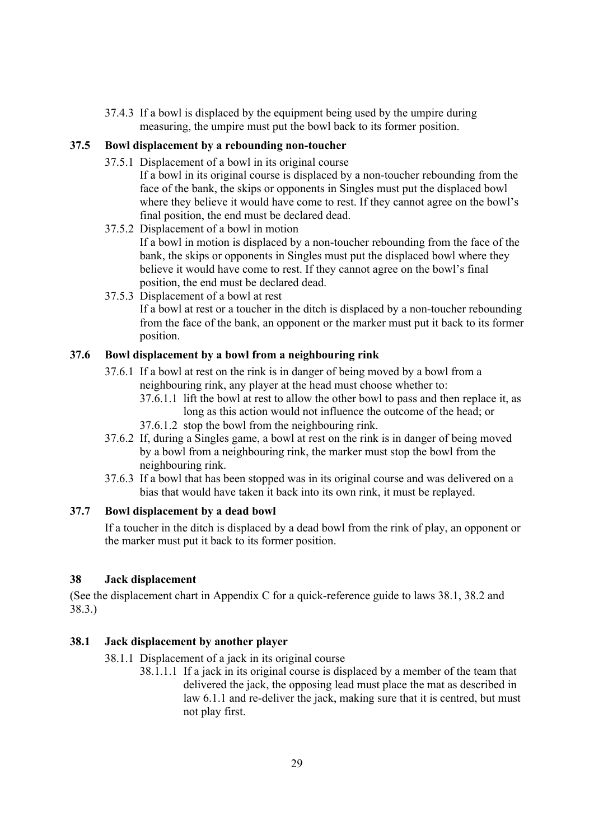37.4.3 If a bowl is displaced by the equipment being used by the umpire during measuring, the umpire must put the bowl back to its former position.

### **37.5 Bowl displacement by a rebounding non-toucher**

- 37.5.1 Displacement of a bowl in its original course
	- If a bowl in its original course is displaced by a non-toucher rebounding from the face of the bank, the skips or opponents in Singles must put the displaced bowl where they believe it would have come to rest. If they cannot agree on the bowl's final position, the end must be declared dead.
- 37.5.2 Displacement of a bowl in motion If a bowl in motion is displaced by a non-toucher rebounding from the face of the bank, the skips or opponents in Singles must put the displaced bowl where they believe it would have come to rest. If they cannot agree on the bowl's final position, the end must be declared dead.
- 37.5.3 Displacement of a bowl at rest

If a bowl at rest or a toucher in the ditch is displaced by a non-toucher rebounding from the face of the bank, an opponent or the marker must put it back to its former position.

#### **37.6 Bowl displacement by a bowl from a neighbouring rink**

- 37.6.1 If a bowl at rest on the rink is in danger of being moved by a bowl from a neighbouring rink, any player at the head must choose whether to:
	- 37.6.1.1 lift the bowl at rest to allow the other bowl to pass and then replace it, as long as this action would not influence the outcome of the head; or
	- 37.6.1.2 stop the bowl from the neighbouring rink.
- 37.6.2 If, during a Singles game, a bowl at rest on the rink is in danger of being moved by a bowl from a neighbouring rink, the marker must stop the bowl from the neighbouring rink.
- 37.6.3 If a bowl that has been stopped was in its original course and was delivered on a bias that would have taken it back into its own rink, it must be replayed.

### **37.7 Bowl displacement by a dead bowl**

If a toucher in the ditch is displaced by a dead bowl from the rink of play, an opponent or the marker must put it back to its former position.

### **38 Jack displacement**

(See the displacement chart in Appendix C for a quick-reference guide to laws 38.1, 38.2 and 38.3.)

#### **38.1 Jack displacement by another player**

- 38.1.1 Displacement of a jack in its original course
	- 38.1.1.1 If a jack in its original course is displaced by a member of the team that delivered the jack, the opposing lead must place the mat as described in law 6.1.1 and re-deliver the jack, making sure that it is centred, but must not play first.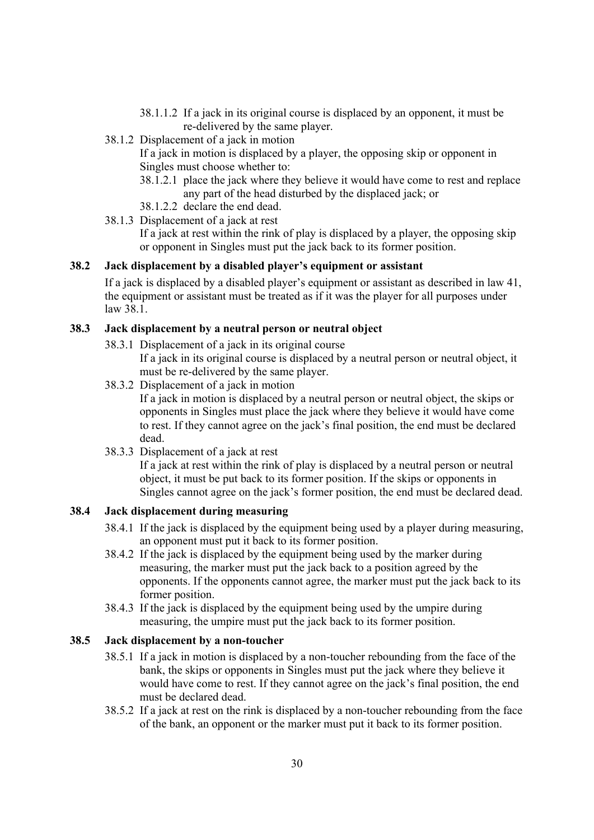- 38.1.1.2 If a jack in its original course is displaced by an opponent, it must be re-delivered by the same player.
- 38.1.2 Displacement of a jack in motion

If a jack in motion is displaced by a player, the opposing skip or opponent in Singles must choose whether to:

- 38.1.2.1 place the jack where they believe it would have come to rest and replace any part of the head disturbed by the displaced jack; or
- 38.1.2.2 declare the end dead.
- 38.1.3 Displacement of a jack at rest

If a jack at rest within the rink of play is displaced by a player, the opposing skip or opponent in Singles must put the jack back to its former position.

#### **38.2 Jack displacement by a disabled player's equipment or assistant**

If a jack is displaced by a disabled player's equipment or assistant as described in law 41, the equipment or assistant must be treated as if it was the player for all purposes under law 38.1.

### **38.3 Jack displacement by a neutral person or neutral object**

38.3.1 Displacement of a jack in its original course

If a jack in its original course is displaced by a neutral person or neutral object, it must be re-delivered by the same player.

38.3.2 Displacement of a jack in motion

If a jack in motion is displaced by a neutral person or neutral object, the skips or opponents in Singles must place the jack where they believe it would have come to rest. If they cannot agree on the jack's final position, the end must be declared dead.

38.3.3 Displacement of a jack at rest

If a jack at rest within the rink of play is displaced by a neutral person or neutral object, it must be put back to its former position. If the skips or opponents in Singles cannot agree on the jack's former position, the end must be declared dead.

#### **38.4 Jack displacement during measuring**

- 38.4.1 If the jack is displaced by the equipment being used by a player during measuring, an opponent must put it back to its former position.
- 38.4.2 If the jack is displaced by the equipment being used by the marker during measuring, the marker must put the jack back to a position agreed by the opponents. If the opponents cannot agree, the marker must put the jack back to its former position.
- 38.4.3 If the jack is displaced by the equipment being used by the umpire during measuring, the umpire must put the jack back to its former position.

### **38.5 Jack displacement by a non-toucher**

- 38.5.1 If a jack in motion is displaced by a non-toucher rebounding from the face of the bank, the skips or opponents in Singles must put the jack where they believe it would have come to rest. If they cannot agree on the jack's final position, the end must be declared dead.
- 38.5.2 If a jack at rest on the rink is displaced by a non-toucher rebounding from the face of the bank, an opponent or the marker must put it back to its former position.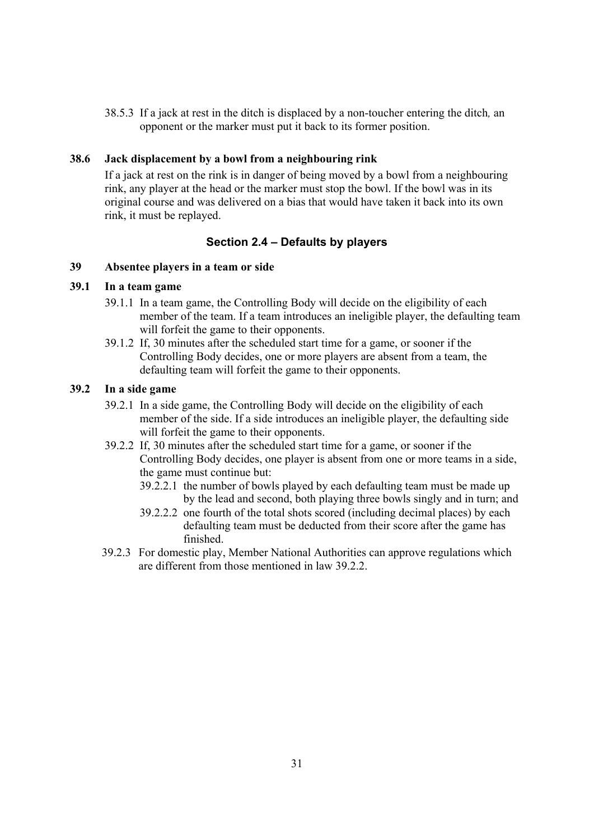38.5.3 If a jack at rest in the ditch is displaced by a non-toucher entering the ditch*,* an opponent or the marker must put it back to its former position.

### **38.6 Jack displacement by a bowl from a neighbouring rink**

If a jack at rest on the rink is in danger of being moved by a bowl from a neighbouring rink, any player at the head or the marker must stop the bowl. If the bowl was in its original course and was delivered on a bias that would have taken it back into its own rink, it must be replayed.

### **Section 2.4 – Defaults by players**

#### **39 Absentee players in a team or side**

### **39.1 In a team game**

- 39.1.1 In a team game, the Controlling Body will decide on the eligibility of each member of the team. If a team introduces an ineligible player, the defaulting team will forfeit the game to their opponents.
- 39.1.2 If, 30 minutes after the scheduled start time for a game, or sooner if the Controlling Body decides, one or more players are absent from a team, the defaulting team will forfeit the game to their opponents.

### **39.2 In a side game**

- 39.2.1 In a side game, the Controlling Body will decide on the eligibility of each member of the side. If a side introduces an ineligible player, the defaulting side will forfeit the game to their opponents.
- 39.2.2 If, 30 minutes after the scheduled start time for a game, or sooner if the Controlling Body decides, one player is absent from one or more teams in a side, the game must continue but:
	- 39.2.2.1 the number of bowls played by each defaulting team must be made up by the lead and second, both playing three bowls singly and in turn; and
	- 39.2.2.2 one fourth of the total shots scored (including decimal places) by each defaulting team must be deducted from their score after the game has finished.
- 39.2.3 For domestic play, Member National Authorities can approve regulations which are different from those mentioned in law 39.2.2.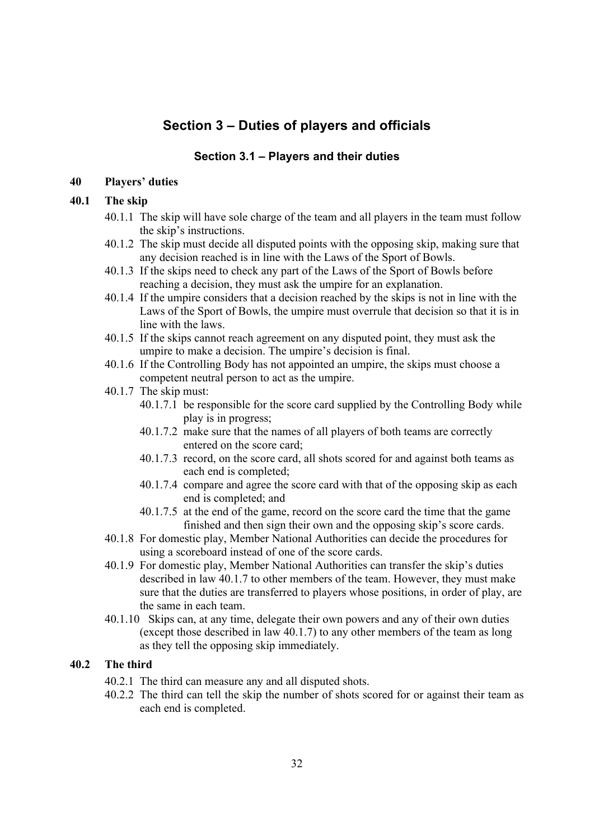# **Section 3 – Duties of players and officials**

### **Section 3.1 – Players and their duties**

### **40 Players' duties**

#### **40.1 The skip**

- 40.1.1 The skip will have sole charge of the team and all players in the team must follow the skip's instructions.
- 40.1.2 The skip must decide all disputed points with the opposing skip, making sure that any decision reached is in line with the Laws of the Sport of Bowls.
- 40.1.3 If the skips need to check any part of the Laws of the Sport of Bowls before reaching a decision, they must ask the umpire for an explanation.
- 40.1.4 If the umpire considers that a decision reached by the skips is not in line with the Laws of the Sport of Bowls, the umpire must overrule that decision so that it is in line with the laws.
- 40.1.5 If the skips cannot reach agreement on any disputed point, they must ask the umpire to make a decision. The umpire's decision is final.
- 40.1.6 If the Controlling Body has not appointed an umpire, the skips must choose a competent neutral person to act as the umpire.
- 40.1.7 The skip must:
	- 40.1.7.1 be responsible for the score card supplied by the Controlling Body while play is in progress;
	- 40.1.7.2 make sure that the names of all players of both teams are correctly entered on the score card;
	- 40.1.7.3 record, on the score card, all shots scored for and against both teams as each end is completed;
	- 40.1.7.4 compare and agree the score card with that of the opposing skip as each end is completed; and
	- 40.1.7.5 at the end of the game, record on the score card the time that the game finished and then sign their own and the opposing skip's score cards.
- 40.1.8 For domestic play, Member National Authorities can decide the procedures for using a scoreboard instead of one of the score cards.
- 40.1.9 For domestic play, Member National Authorities can transfer the skip's duties described in law 40.1.7 to other members of the team. However, they must make sure that the duties are transferred to players whose positions, in order of play, are the same in each team.
- 40.1.10 Skips can, at any time, delegate their own powers and any of their own duties (except those described in law 40.1.7) to any other members of the team as long as they tell the opposing skip immediately.

### **40.2 The third**

- 40.2.1 The third can measure any and all disputed shots.
- 40.2.2 The third can tell the skip the number of shots scored for or against their team as each end is completed.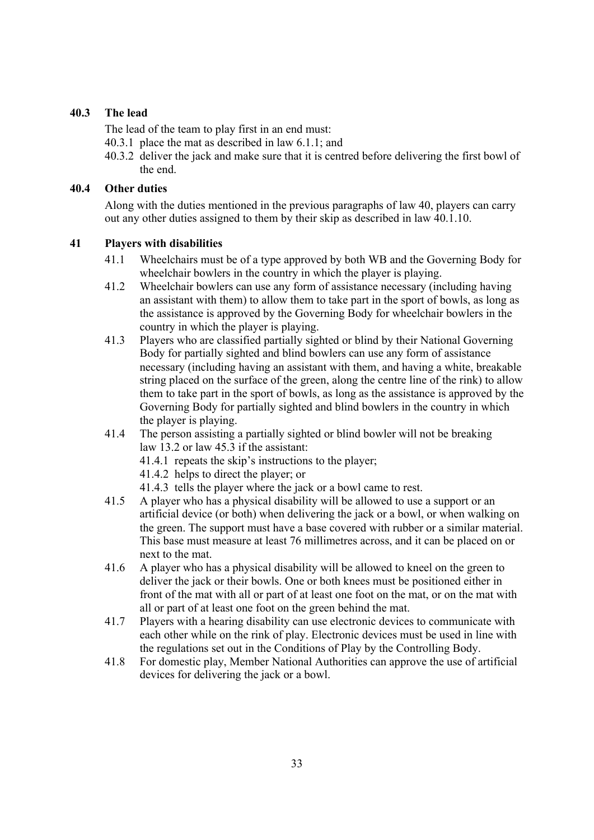# **40.3 The lead**

The lead of the team to play first in an end must:

- 40.3.1 place the mat as described in law 6.1.1; and
- 40.3.2 deliver the jack and make sure that it is centred before delivering the first bowl of the end.

### **40.4 Other duties**

Along with the duties mentioned in the previous paragraphs of law 40, players can carry out any other duties assigned to them by their skip as described in law 40.1.10.

## **41 Players with disabilities**

- 41.1 Wheelchairs must be of a type approved by both WB and the Governing Body for wheelchair bowlers in the country in which the player is playing.
- 41.2 Wheelchair bowlers can use any form of assistance necessary (including having an assistant with them) to allow them to take part in the sport of bowls, as long as the assistance is approved by the Governing Body for wheelchair bowlers in the country in which the player is playing.
- 41.3 Players who are classified partially sighted or blind by their National Governing Body for partially sighted and blind bowlers can use any form of assistance necessary (including having an assistant with them, and having a white, breakable string placed on the surface of the green, along the centre line of the rink) to allow them to take part in the sport of bowls, as long as the assistance is approved by the Governing Body for partially sighted and blind bowlers in the country in which the player is playing.
- 41.4 The person assisting a partially sighted or blind bowler will not be breaking law 13.2 or law 45.3 if the assistant:
	- 41.4.1 repeats the skip's instructions to the player;
	- 41.4.2 helps to direct the player; or
	- 41.4.3 tells the player where the jack or a bowl came to rest.
- 41.5 A player who has a physical disability will be allowed to use a support or an artificial device (or both) when delivering the jack or a bowl, or when walking on the green. The support must have a base covered with rubber or a similar material. This base must measure at least 76 millimetres across, and it can be placed on or next to the mat.
- 41.6 A player who has a physical disability will be allowed to kneel on the green to deliver the jack or their bowls. One or both knees must be positioned either in front of the mat with all or part of at least one foot on the mat, or on the mat with all or part of at least one foot on the green behind the mat.
- 41.7 Players with a hearing disability can use electronic devices to communicate with each other while on the rink of play. Electronic devices must be used in line with the regulations set out in the Conditions of Play by the Controlling Body.
- 41.8 For domestic play, Member National Authorities can approve the use of artificial devices for delivering the jack or a bowl.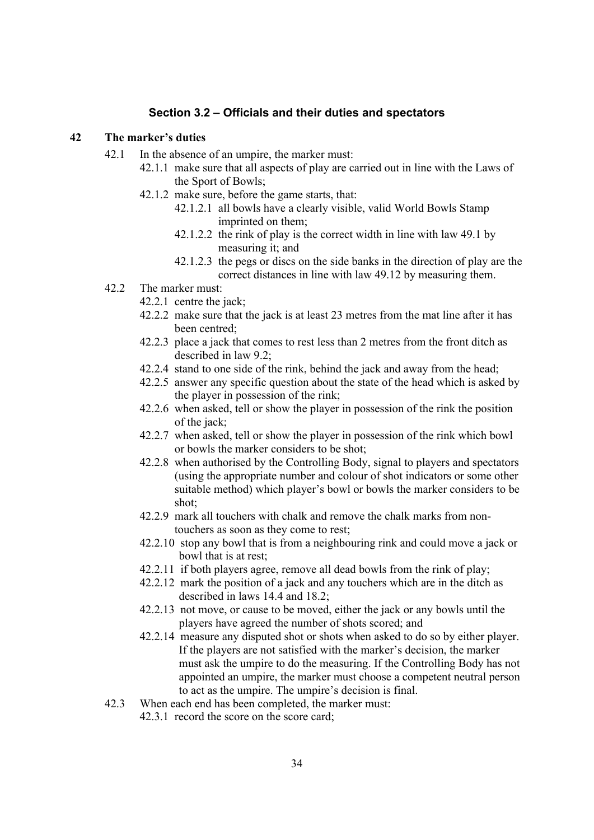#### **Section 3.2 – Officials and their duties and spectators**

#### **42 The marker's duties**

- 42.1 In the absence of an umpire, the marker must:
	- 42.1.1 make sure that all aspects of play are carried out in line with the Laws of the Sport of Bowls;
	- 42.1.2 make sure, before the game starts, that:
		- 42.1.2.1 all bowls have a clearly visible, valid World Bowls Stamp imprinted on them;
		- 42.1.2.2 the rink of play is the correct width in line with law 49.1 by measuring it; and
		- 42.1.2.3 the pegs or discs on the side banks in the direction of play are the correct distances in line with law 49.12 by measuring them.
- 42.2 The marker must:
	- 42.2.1 centre the jack;
	- 42.2.2 make sure that the jack is at least 23 metres from the mat line after it has been centred;
	- 42.2.3 place a jack that comes to rest less than 2 metres from the front ditch as described in law 9.2;
	- 42.2.4 stand to one side of the rink, behind the jack and away from the head;
	- 42.2.5 answer any specific question about the state of the head which is asked by the player in possession of the rink;
	- 42.2.6 when asked, tell or show the player in possession of the rink the position of the jack;
	- 42.2.7 when asked, tell or show the player in possession of the rink which bowl or bowls the marker considers to be shot;
	- 42.2.8 when authorised by the Controlling Body, signal to players and spectators (using the appropriate number and colour of shot indicators or some other suitable method) which player's bowl or bowls the marker considers to be shot;
	- 42.2.9 mark all touchers with chalk and remove the chalk marks from nontouchers as soon as they come to rest;
	- 42.2.10 stop any bowl that is from a neighbouring rink and could move a jack or bowl that is at rest;
	- 42.2.11 if both players agree, remove all dead bowls from the rink of play;
	- 42.2.12 mark the position of a jack and any touchers which are in the ditch as described in laws 14.4 and 18.2;
	- 42.2.13 not move, or cause to be moved, either the jack or any bowls until the players have agreed the number of shots scored; and
	- 42.2.14 measure any disputed shot or shots when asked to do so by either player. If the players are not satisfied with the marker's decision, the marker must ask the umpire to do the measuring. If the Controlling Body has not appointed an umpire, the marker must choose a competent neutral person to act as the umpire. The umpire's decision is final.
- 42.3 When each end has been completed, the marker must:
	- 42.3.1 record the score on the score card;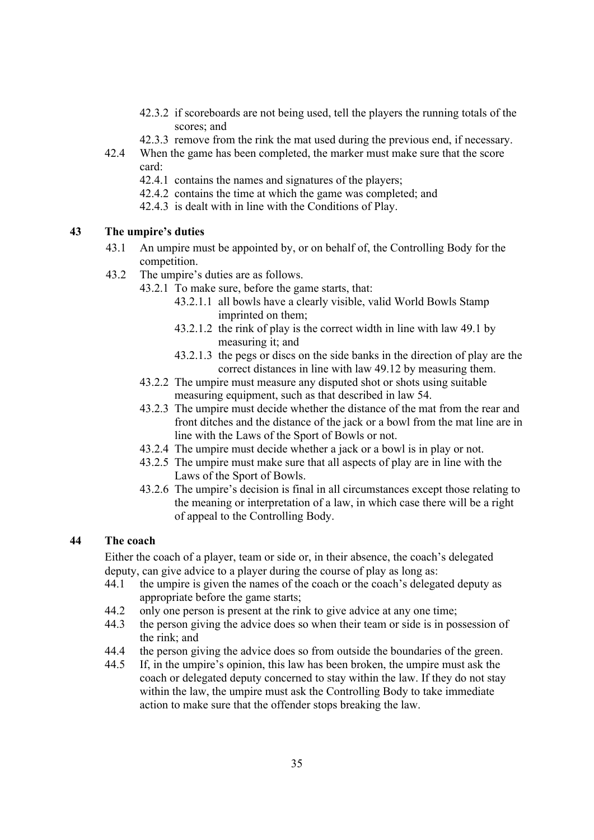- 42.3.2 if scoreboards are not being used, tell the players the running totals of the scores; and
- 42.3.3 remove from the rink the mat used during the previous end, if necessary.
- 42.4 When the game has been completed, the marker must make sure that the score card:
	- 42.4.1 contains the names and signatures of the players;
	- 42.4.2 contains the time at which the game was completed; and
	- 42.4.3 is dealt with in line with the Conditions of Play.

## **43 The umpire's duties**

- 43.1 An umpire must be appointed by, or on behalf of, the Controlling Body for the competition.
- 43.2 The umpire's duties are as follows.
	- 43.2.1 To make sure, before the game starts, that:
		- 43.2.1.1 all bowls have a clearly visible, valid World Bowls Stamp imprinted on them;
		- 43.2.1.2 the rink of play is the correct width in line with law 49.1 by measuring it; and
		- 43.2.1.3 the pegs or discs on the side banks in the direction of play are the correct distances in line with law 49.12 by measuring them.
	- 43.2.2 The umpire must measure any disputed shot or shots using suitable measuring equipment, such as that described in law 54.
	- 43.2.3 The umpire must decide whether the distance of the mat from the rear and front ditches and the distance of the jack or a bowl from the mat line are in line with the Laws of the Sport of Bowls or not.
	- 43.2.4 The umpire must decide whether a jack or a bowl is in play or not.
	- 43.2.5 The umpire must make sure that all aspects of play are in line with the Laws of the Sport of Bowls.
	- 43.2.6 The umpire's decision is final in all circumstances except those relating to the meaning or interpretation of a law, in which case there will be a right of appeal to the Controlling Body.

# **44 The coach**

Either the coach of a player, team or side or, in their absence, the coach's delegated deputy, can give advice to a player during the course of play as long as:

- 44.1 the umpire is given the names of the coach or the coach's delegated deputy as appropriate before the game starts;
- 44.2 only one person is present at the rink to give advice at any one time;
- 44.3 the person giving the advice does so when their team or side is in possession of the rink; and
- 44.4 the person giving the advice does so from outside the boundaries of the green.
- 44.5 If, in the umpire's opinion, this law has been broken, the umpire must ask the coach or delegated deputy concerned to stay within the law. If they do not stay within the law, the umpire must ask the Controlling Body to take immediate action to make sure that the offender stops breaking the law.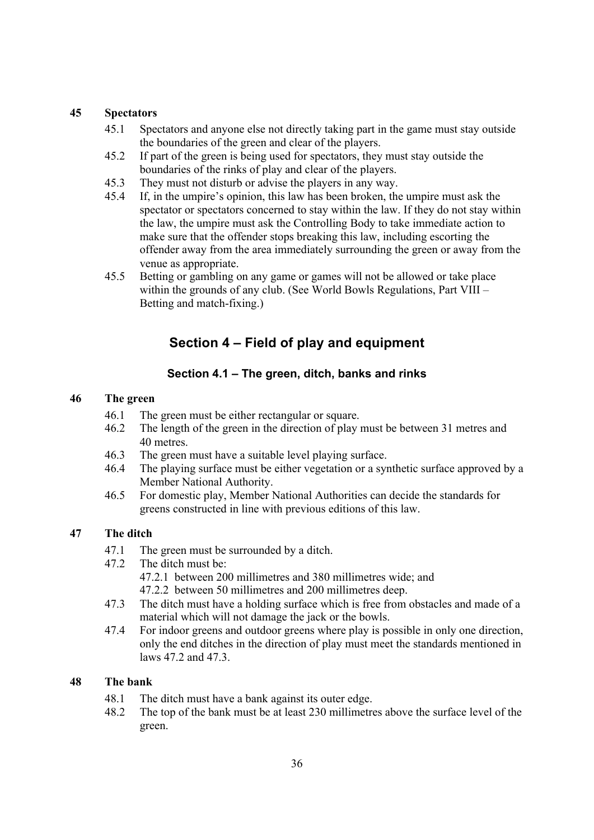#### **45 Spectators**

- 45.1 Spectators and anyone else not directly taking part in the game must stay outside the boundaries of the green and clear of the players.
- 45.2 If part of the green is being used for spectators, they must stay outside the boundaries of the rinks of play and clear of the players.
- 45.3 They must not disturb or advise the players in any way.
- 45.4 If, in the umpire's opinion, this law has been broken, the umpire must ask the spectator or spectators concerned to stay within the law. If they do not stay within the law, the umpire must ask the Controlling Body to take immediate action to make sure that the offender stops breaking this law, including escorting the offender away from the area immediately surrounding the green or away from the venue as appropriate.
- 45.5 Betting or gambling on any game or games will not be allowed or take place within the grounds of any club. (See World Bowls Regulations, Part VIII – Betting and match-fixing.)

# **Section 4 – Field of play and equipment**

## **Section 4.1 – The green, ditch, banks and rinks**

## **46 The green**

- 46.1 The green must be either rectangular or square.
- 46.2 The length of the green in the direction of play must be between 31 metres and 40 metres.
- 46.3 The green must have a suitable level playing surface.
- 46.4 The playing surface must be either vegetation or a synthetic surface approved by a Member National Authority.
- 46.5 For domestic play, Member National Authorities can decide the standards for greens constructed in line with previous editions of this law.

# **47 The ditch**

- 47.1 The green must be surrounded by a ditch.
- 47.2 The ditch must be:
	- 47.2.1 between 200 millimetres and 380 millimetres wide; and
	- 47.2.2 between 50 millimetres and 200 millimetres deep.
- 47.3 The ditch must have a holding surface which is free from obstacles and made of a material which will not damage the jack or the bowls.
- 47.4 For indoor greens and outdoor greens where play is possible in only one direction, only the end ditches in the direction of play must meet the standards mentioned in laws 47.2 and 47.3.

# **48 The bank**

- 48.1 The ditch must have a bank against its outer edge.
- 48.2 The top of the bank must be at least 230 millimetres above the surface level of the green.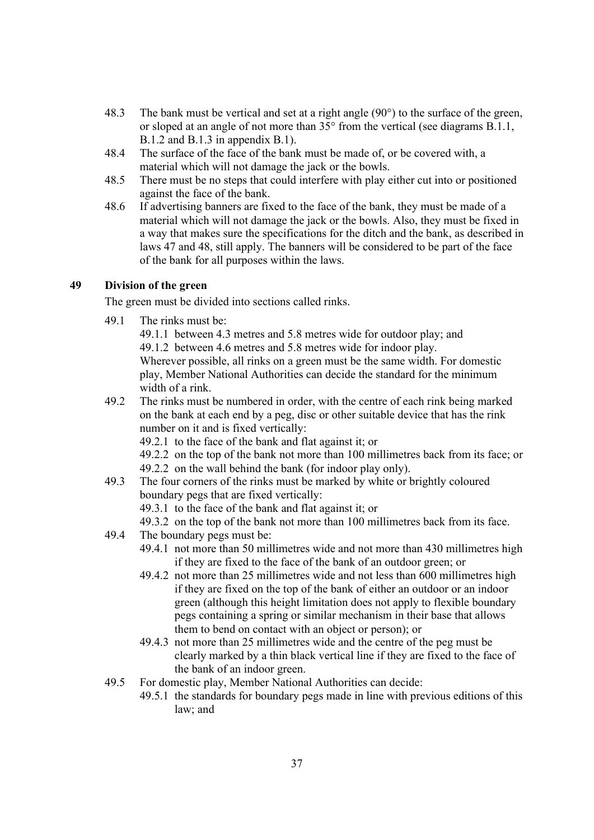- 48.3 The bank must be vertical and set at a right angle (90°) to the surface of the green, or sloped at an angle of not more than  $35^{\circ}$  from the vertical (see diagrams B.1.1, B.1.2 and B.1.3 in appendix B.1).
- 48.4 The surface of the face of the bank must be made of, or be covered with, a material which will not damage the jack or the bowls.
- 48.5 There must be no steps that could interfere with play either cut into or positioned against the face of the bank.
- 48.6 If advertising banners are fixed to the face of the bank, they must be made of a material which will not damage the jack or the bowls. Also, they must be fixed in a way that makes sure the specifications for the ditch and the bank, as described in laws 47 and 48, still apply. The banners will be considered to be part of the face of the bank for all purposes within the laws.

# **49 Division of the green**

The green must be divided into sections called rinks.

49.1 The rinks must be:

49.1.1 between 4.3 metres and 5.8 metres wide for outdoor play; and 49.1.2 between 4.6 metres and 5.8 metres wide for indoor play.

Wherever possible, all rinks on a green must be the same width. For domestic play, Member National Authorities can decide the standard for the minimum width of a rink.

49.2 The rinks must be numbered in order, with the centre of each rink being marked on the bank at each end by a peg, disc or other suitable device that has the rink number on it and is fixed vertically:

49.2.1 to the face of the bank and flat against it; or

49.2.2 on the top of the bank not more than 100 millimetres back from its face; or 49.2.2 on the wall behind the bank (for indoor play only).

49.3 The four corners of the rinks must be marked by white or brightly coloured boundary pegs that are fixed vertically:

49.3.1 to the face of the bank and flat against it; or

49.3.2 on the top of the bank not more than 100 millimetres back from its face.

- 49.4 The boundary pegs must be:
	- 49.4.1 not more than 50 millimetres wide and not more than 430 millimetres high if they are fixed to the face of the bank of an outdoor green; or
	- 49.4.2 not more than 25 millimetres wide and not less than 600 millimetres high if they are fixed on the top of the bank of either an outdoor or an indoor green (although this height limitation does not apply to flexible boundary pegs containing a spring or similar mechanism in their base that allows them to bend on contact with an object or person); or
	- 49.4.3 not more than 25 millimetres wide and the centre of the peg must be clearly marked by a thin black vertical line if they are fixed to the face of the bank of an indoor green.
- 49.5 For domestic play, Member National Authorities can decide:
	- 49.5.1 the standards for boundary pegs made in line with previous editions of this law; and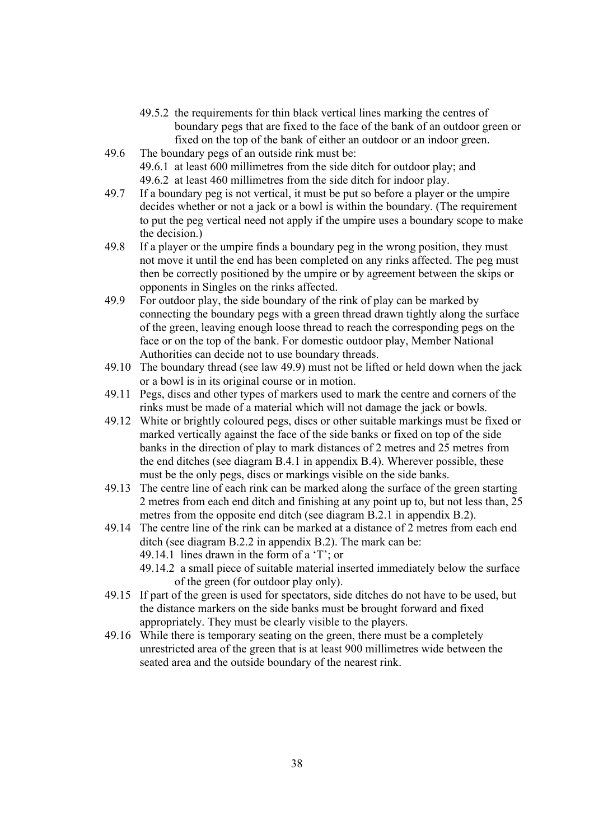- 49.5.2 the requirements for thin black vertical lines marking the centres of boundary pegs that are fixed to the face of the bank of an outdoor green or fixed on the top of the bank of either an outdoor or an indoor green.
- 49.6 The boundary pegs of an outside rink must be: 49.6.1 at least 600 millimetres from the side ditch for outdoor play; and 49.6.2 at least 460 millimetres from the side ditch for indoor play.
- 49.7 If a boundary peg is not vertical, it must be put so before a player or the umpire decides whether or not a jack or a bowl is within the boundary. (The requirement to put the peg vertical need not apply if the umpire uses a boundary scope to make the decision.)
- 49.8 If a player or the umpire finds a boundary peg in the wrong position, they must not move it until the end has been completed on any rinks affected. The peg must then be correctly positioned by the umpire or by agreement between the skips or opponents in Singles on the rinks affected.
- 49.9 For outdoor play, the side boundary of the rink of play can be marked by connecting the boundary pegs with a green thread drawn tightly along the surface of the green, leaving enough loose thread to reach the corresponding pegs on the face or on the top of the bank. For domestic outdoor play, Member National Authorities can decide not to use boundary threads.
- 49.10 The boundary thread (see law 49.9) must not be lifted or held down when the jack or a bowl is in its original course or in motion.
- 49.11 Pegs, discs and other types of markers used to mark the centre and corners of the rinks must be made of a material which will not damage the jack or bowls.
- 49.12 White or brightly coloured pegs, discs or other suitable markings must be fixed or marked vertically against the face of the side banks or fixed on top of the side banks in the direction of play to mark distances of 2 metres and 25 metres from the end ditches (see diagram B.4.1 in appendix B.4). Wherever possible, these must be the only pegs, discs or markings visible on the side banks.
- 49.13 The centre line of each rink can be marked along the surface of the green starting 2 metres from each end ditch and finishing at any point up to, but not less than, 25 metres from the opposite end ditch (see diagram B.2.1 in appendix B.2).
- 49.14 The centre line of the rink can be marked at a distance of 2 metres from each end ditch (see diagram B.2.2 in appendix B.2). The mark can be: 49.14.1 lines drawn in the form of a 'T'; or
	- 49.14.2 a small piece of suitable material inserted immediately below the surface of the green (for outdoor play only).
- 49.15 If part of the green is used for spectators, side ditches do not have to be used, but the distance markers on the side banks must be brought forward and fixed appropriately. They must be clearly visible to the players.
- 49.16 While there is temporary seating on the green, there must be a completely unrestricted area of the green that is at least 900 millimetres wide between the seated area and the outside boundary of the nearest rink.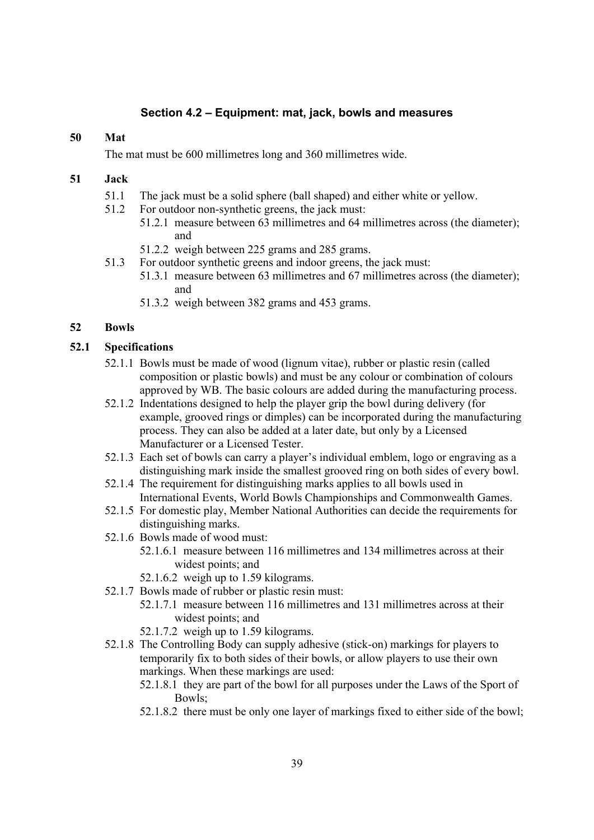## **Section 4.2 – Equipment: mat, jack, bowls and measures**

#### **50 Mat**

The mat must be 600 millimetres long and 360 millimetres wide.

### **51 Jack**

- 51.1 The jack must be a solid sphere (ball shaped) and either white or yellow.
- 51.2 For outdoor non-synthetic greens, the jack must:
	- 51.2.1 measure between 63 millimetres and 64 millimetres across (the diameter); and
	- 51.2.2 weigh between 225 grams and 285 grams.
- 51.3 For outdoor synthetic greens and indoor greens, the jack must:
	- 51.3.1 measure between 63 millimetres and 67 millimetres across (the diameter); and
	- 51.3.2 weigh between 382 grams and 453 grams.

#### **52 Bowls**

#### **52.1 Specifications**

- 52.1.1 Bowls must be made of wood (lignum vitae), rubber or plastic resin (called composition or plastic bowls) and must be any colour or combination of colours approved by WB. The basic colours are added during the manufacturing process.
- 52.1.2 Indentations designed to help the player grip the bowl during delivery (for example, grooved rings or dimples) can be incorporated during the manufacturing process. They can also be added at a later date, but only by a Licensed Manufacturer or a Licensed Tester.
- 52.1.3 Each set of bowls can carry a player's individual emblem, logo or engraving as a distinguishing mark inside the smallest grooved ring on both sides of every bowl.
- 52.1.4 The requirement for distinguishing marks applies to all bowls used in International Events, World Bowls Championships and Commonwealth Games.
- 52.1.5 For domestic play, Member National Authorities can decide the requirements for distinguishing marks.
- 52.1.6 Bowls made of wood must:
	- 52.1.6.1 measure between 116 millimetres and 134 millimetres across at their widest points; and
	- 52.1.6.2 weigh up to 1.59 kilograms.
- 52.1.7 Bowls made of rubber or plastic resin must:
	- 52.1.7.1 measure between 116 millimetres and 131 millimetres across at their widest points; and
	- 52.1.7.2 weigh up to 1.59 kilograms.
- 52.1.8 The Controlling Body can supply adhesive (stick-on) markings for players to temporarily fix to both sides of their bowls, or allow players to use their own markings. When these markings are used:
	- 52.1.8.1 they are part of the bowl for all purposes under the Laws of the Sport of Bowls;
	- 52.1.8.2 there must be only one layer of markings fixed to either side of the bowl;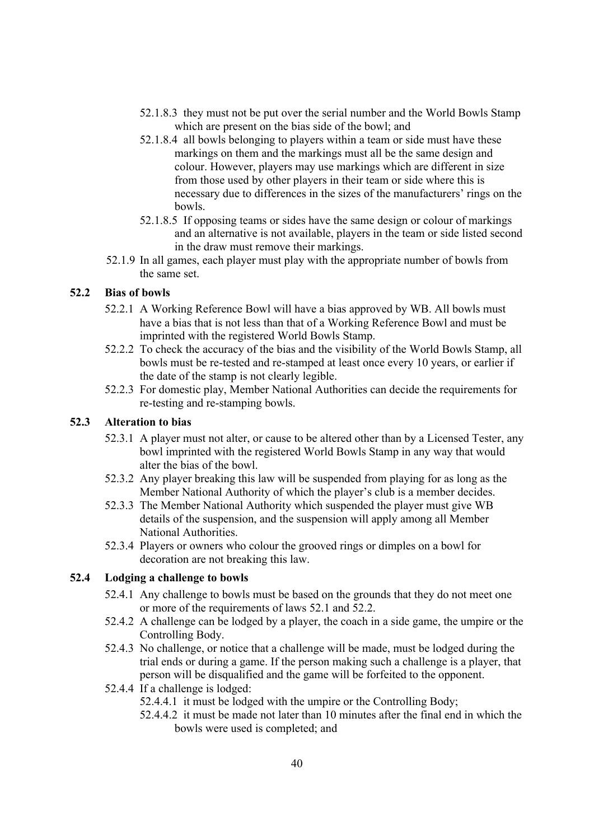- 52.1.8.3 they must not be put over the serial number and the World Bowls Stamp which are present on the bias side of the bowl; and
- 52.1.8.4 all bowls belonging to players within a team or side must have these markings on them and the markings must all be the same design and colour. However, players may use markings which are different in size from those used by other players in their team or side where this is necessary due to differences in the sizes of the manufacturers' rings on the bowls.
- 52.1.8.5 If opposing teams or sides have the same design or colour of markings and an alternative is not available, players in the team or side listed second in the draw must remove their markings.
- 52.1.9 In all games, each player must play with the appropriate number of bowls from the same set.

### **52.2 Bias of bowls**

- 52.2.1 A Working Reference Bowl will have a bias approved by WB. All bowls must have a bias that is not less than that of a Working Reference Bowl and must be imprinted with the registered World Bowls Stamp.
- 52.2.2 To check the accuracy of the bias and the visibility of the World Bowls Stamp, all bowls must be re-tested and re-stamped at least once every 10 years, or earlier if the date of the stamp is not clearly legible.
- 52.2.3 For domestic play, Member National Authorities can decide the requirements for re-testing and re-stamping bowls.

## **52.3 Alteration to bias**

- 52.3.1 A player must not alter, or cause to be altered other than by a Licensed Tester, any bowl imprinted with the registered World Bowls Stamp in any way that would alter the bias of the bowl.
- 52.3.2 Any player breaking this law will be suspended from playing for as long as the Member National Authority of which the player's club is a member decides.
- 52.3.3 The Member National Authority which suspended the player must give WB details of the suspension, and the suspension will apply among all Member National Authorities.
- 52.3.4 Players or owners who colour the grooved rings or dimples on a bowl for decoration are not breaking this law.

### **52.4 Lodging a challenge to bowls**

- 52.4.1 Any challenge to bowls must be based on the grounds that they do not meet one or more of the requirements of laws 52.1 and 52.2.
- 52.4.2 A challenge can be lodged by a player, the coach in a side game, the umpire or the Controlling Body.
- 52.4.3 No challenge, or notice that a challenge will be made, must be lodged during the trial ends or during a game. If the person making such a challenge is a player, that person will be disqualified and the game will be forfeited to the opponent.
- 52.4.4 If a challenge is lodged:

52.4.4.1 it must be lodged with the umpire or the Controlling Body;

52.4.4.2 it must be made not later than 10 minutes after the final end in which the bowls were used is completed; and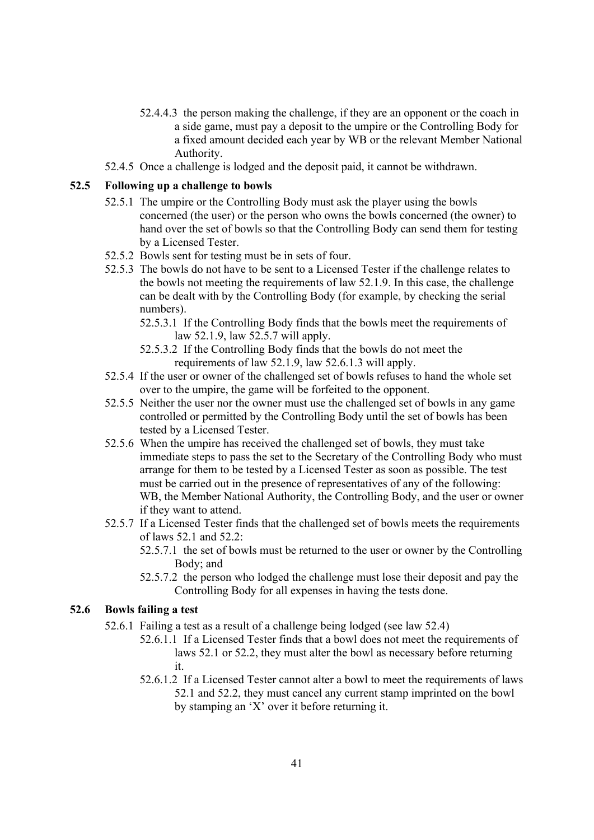- 52.4.4.3 the person making the challenge, if they are an opponent or the coach in a side game, must pay a deposit to the umpire or the Controlling Body for a fixed amount decided each year by WB or the relevant Member National Authority.
- 52.4.5 Once a challenge is lodged and the deposit paid, it cannot be withdrawn.

#### **52.5 Following up a challenge to bowls**

- 52.5.1 The umpire or the Controlling Body must ask the player using the bowls concerned (the user) or the person who owns the bowls concerned (the owner) to hand over the set of bowls so that the Controlling Body can send them for testing by a Licensed Tester.
- 52.5.2 Bowls sent for testing must be in sets of four.
- 52.5.3 The bowls do not have to be sent to a Licensed Tester if the challenge relates to the bowls not meeting the requirements of law 52.1.9. In this case, the challenge can be dealt with by the Controlling Body (for example, by checking the serial numbers).
	- 52.5.3.1 If the Controlling Body finds that the bowls meet the requirements of law 52.1.9, law 52.5.7 will apply.
	- 52.5.3.2 If the Controlling Body finds that the bowls do not meet the requirements of law 52.1.9, law 52.6.1.3 will apply.
- 52.5.4 If the user or owner of the challenged set of bowls refuses to hand the whole set over to the umpire, the game will be forfeited to the opponent.
- 52.5.5 Neither the user nor the owner must use the challenged set of bowls in any game controlled or permitted by the Controlling Body until the set of bowls has been tested by a Licensed Tester.
- 52.5.6 When the umpire has received the challenged set of bowls, they must take immediate steps to pass the set to the Secretary of the Controlling Body who must arrange for them to be tested by a Licensed Tester as soon as possible. The test must be carried out in the presence of representatives of any of the following: WB, the Member National Authority, the Controlling Body, and the user or owner if they want to attend.
- 52.5.7 If a Licensed Tester finds that the challenged set of bowls meets the requirements of laws 52.1 and 52.2:
	- 52.5.7.1 the set of bowls must be returned to the user or owner by the Controlling Body; and
	- 52.5.7.2 the person who lodged the challenge must lose their deposit and pay the Controlling Body for all expenses in having the tests done.

### **52.6 Bowls failing a test**

- 52.6.1 Failing a test as a result of a challenge being lodged (see law 52.4)
	- 52.6.1.1 If a Licensed Tester finds that a bowl does not meet the requirements of laws 52.1 or 52.2, they must alter the bowl as necessary before returning it.
		- 52.6.1.2 If a Licensed Tester cannot alter a bowl to meet the requirements of laws 52.1 and 52.2, they must cancel any current stamp imprinted on the bowl by stamping an 'X' over it before returning it.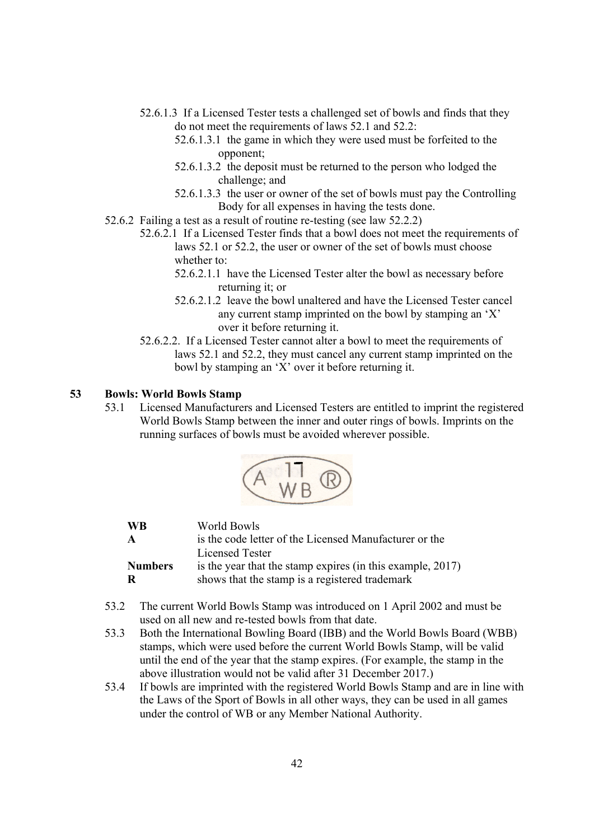- 52.6.1.3 If a Licensed Tester tests a challenged set of bowls and finds that they do not meet the requirements of laws 52.1 and 52.2:
	- 52.6.1.3.1 the game in which they were used must be forfeited to the opponent;
	- 52.6.1.3.2 the deposit must be returned to the person who lodged the challenge; and
	- 52.6.1.3.3 the user or owner of the set of bowls must pay the Controlling Body for all expenses in having the tests done.
- 52.6.2 Failing a test as a result of routine re-testing (see law 52.2.2)
	- 52.6.2.1 If a Licensed Tester finds that a bowl does not meet the requirements of laws 52.1 or 52.2, the user or owner of the set of bowls must choose whether to:
		- 52.6.2.1.1 have the Licensed Tester alter the bowl as necessary before returning it; or
		- 52.6.2.1.2 leave the bowl unaltered and have the Licensed Tester cancel any current stamp imprinted on the bowl by stamping an 'X' over it before returning it.
	- 52.6.2.2. If a Licensed Tester cannot alter a bowl to meet the requirements of laws 52.1 and 52.2, they must cancel any current stamp imprinted on the bowl by stamping an 'X' over it before returning it.

#### **53 Bowls: World Bowls Stamp**

53.1 Licensed Manufacturers and Licensed Testers are entitled to imprint the registered World Bowls Stamp between the inner and outer rings of bowls. Imprints on the running surfaces of bowls must be avoided wherever possible.



| <b>WB</b>           | World Bowls                                                                                                  |
|---------------------|--------------------------------------------------------------------------------------------------------------|
| $\mathbf{A}$        | is the code letter of the Licensed Manufacturer or the                                                       |
|                     | Licensed Tester                                                                                              |
| <b>Numbers</b><br>R | is the year that the stamp expires (in this example, 2017)<br>shows that the stamp is a registered trademark |

- 53.2 The current World Bowls Stamp was introduced on 1 April 2002 and must be used on all new and re-tested bowls from that date.
- 53.3 Both the International Bowling Board (IBB) and the World Bowls Board (WBB) stamps, which were used before the current World Bowls Stamp, will be valid until the end of the year that the stamp expires. (For example, the stamp in the above illustration would not be valid after 31 December 2017.)
- 53.4 If bowls are imprinted with the registered World Bowls Stamp and are in line with the Laws of the Sport of Bowls in all other ways, they can be used in all games under the control of WB or any Member National Authority.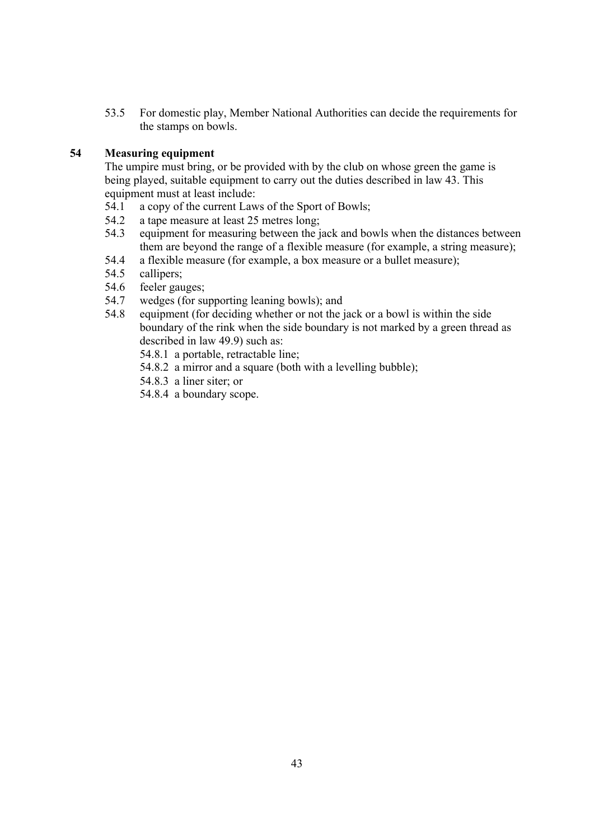53.5 For domestic play, Member National Authorities can decide the requirements for the stamps on bowls.

### **54 Measuring equipment**

The umpire must bring, or be provided with by the club on whose green the game is being played, suitable equipment to carry out the duties described in law 43. This equipment must at least include:

- 54.1 a copy of the current Laws of the Sport of Bowls;
- 54.2 a tape measure at least 25 metres long;
- 54.3 equipment for measuring between the jack and bowls when the distances between them are beyond the range of a flexible measure (for example, a string measure);
- 54.4 a flexible measure (for example, a box measure or a bullet measure);
- 54.5 callipers;
- 54.6 feeler gauges;
- 54.7 wedges (for supporting leaning bowls); and
- 54.8 equipment (for deciding whether or not the jack or a bowl is within the side boundary of the rink when the side boundary is not marked by a green thread as described in law 49.9) such as:
	- 54.8.1 a portable, retractable line;
	- 54.8.2 a mirror and a square (both with a levelling bubble);
	- 54.8.3 a liner siter; or
	- 54.8.4 a boundary scope.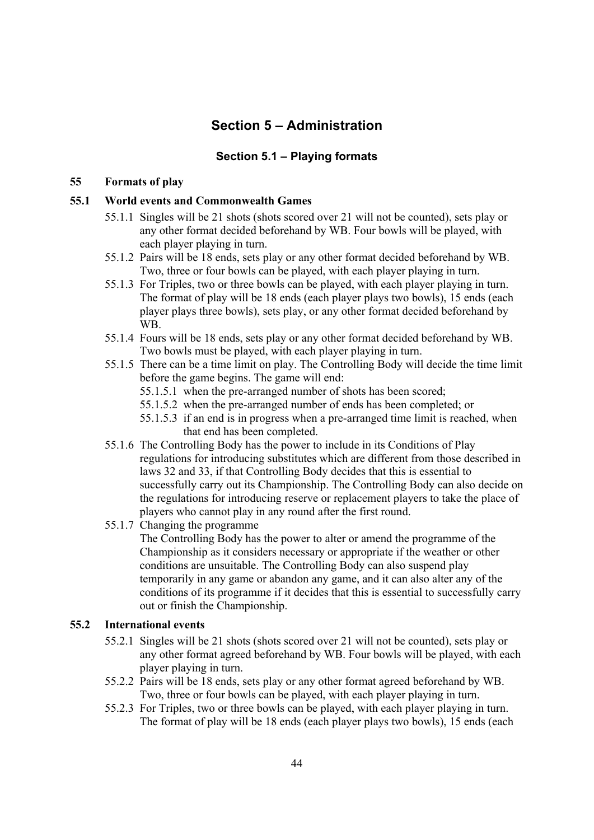# **Section 5 – Administration**

# **Section 5.1 – Playing formats**

### **55 Formats of play**

### **55.1 World events and Commonwealth Games**

- 55.1.1 Singles will be 21 shots (shots scored over 21 will not be counted), sets play or any other format decided beforehand by WB. Four bowls will be played, with each player playing in turn.
- 55.1.2 Pairs will be 18 ends, sets play or any other format decided beforehand by WB. Two, three or four bowls can be played, with each player playing in turn.
- 55.1.3 For Triples, two or three bowls can be played, with each player playing in turn. The format of play will be 18 ends (each player plays two bowls), 15 ends (each player plays three bowls), sets play, or any other format decided beforehand by WB.
- 55.1.4 Fours will be 18 ends, sets play or any other format decided beforehand by WB. Two bowls must be played, with each player playing in turn.
- 55.1.5 There can be a time limit on play. The Controlling Body will decide the time limit before the game begins. The game will end:
	- 55.1.5.1 when the pre-arranged number of shots has been scored;
	- 55.1.5.2 when the pre-arranged number of ends has been completed; or
	- 55.1.5.3 if an end is in progress when a pre-arranged time limit is reached, when that end has been completed.
- 55.1.6 The Controlling Body has the power to include in its Conditions of Play regulations for introducing substitutes which are different from those described in laws 32 and 33, if that Controlling Body decides that this is essential to successfully carry out its Championship. The Controlling Body can also decide on the regulations for introducing reserve or replacement players to take the place of players who cannot play in any round after the first round.
- 55.1.7 Changing the programme

The Controlling Body has the power to alter or amend the programme of the Championship as it considers necessary or appropriate if the weather or other conditions are unsuitable. The Controlling Body can also suspend play temporarily in any game or abandon any game, and it can also alter any of the conditions of its programme if it decides that this is essential to successfully carry out or finish the Championship.

#### **55.2 International events**

- 55.2.1 Singles will be 21 shots (shots scored over 21 will not be counted), sets play or any other format agreed beforehand by WB. Four bowls will be played, with each player playing in turn.
- 55.2.2 Pairs will be 18 ends, sets play or any other format agreed beforehand by WB. Two, three or four bowls can be played, with each player playing in turn.
- 55.2.3 For Triples, two or three bowls can be played, with each player playing in turn. The format of play will be 18 ends (each player plays two bowls), 15 ends (each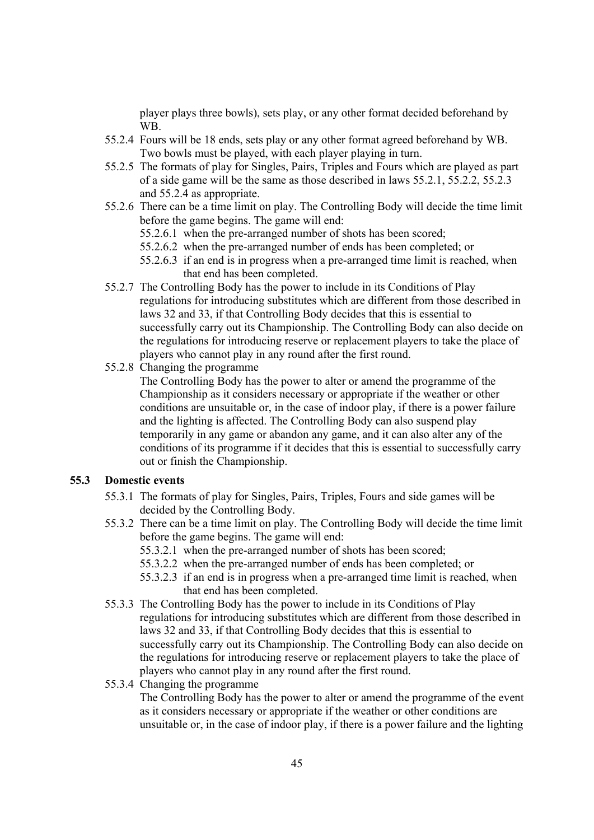player plays three bowls), sets play, or any other format decided beforehand by WB.

- 55.2.4 Fours will be 18 ends, sets play or any other format agreed beforehand by WB. Two bowls must be played, with each player playing in turn.
- 55.2.5 The formats of play for Singles, Pairs, Triples and Fours which are played as part of a side game will be the same as those described in laws 55.2.1, 55.2.2, 55.2.3 and 55.2.4 as appropriate.
- 55.2.6 There can be a time limit on play. The Controlling Body will decide the time limit before the game begins. The game will end:
	- 55.2.6.1 when the pre-arranged number of shots has been scored;
	- 55.2.6.2 when the pre-arranged number of ends has been completed; or
	- 55.2.6.3 if an end is in progress when a pre-arranged time limit is reached, when that end has been completed.
- 55.2.7 The Controlling Body has the power to include in its Conditions of Play regulations for introducing substitutes which are different from those described in laws 32 and 33, if that Controlling Body decides that this is essential to successfully carry out its Championship. The Controlling Body can also decide on the regulations for introducing reserve or replacement players to take the place of players who cannot play in any round after the first round.
- 55.2.8 Changing the programme

The Controlling Body has the power to alter or amend the programme of the Championship as it considers necessary or appropriate if the weather or other conditions are unsuitable or, in the case of indoor play, if there is a power failure and the lighting is affected. The Controlling Body can also suspend play temporarily in any game or abandon any game, and it can also alter any of the conditions of its programme if it decides that this is essential to successfully carry out or finish the Championship.

#### **55.3 Domestic events**

- 55.3.1 The formats of play for Singles, Pairs, Triples, Fours and side games will be decided by the Controlling Body.
- 55.3.2 There can be a time limit on play. The Controlling Body will decide the time limit before the game begins. The game will end:
	- 55.3.2.1 when the pre-arranged number of shots has been scored;
	- 55.3.2.2 when the pre-arranged number of ends has been completed; or
	- 55.3.2.3 if an end is in progress when a pre-arranged time limit is reached, when that end has been completed.
- 55.3.3 The Controlling Body has the power to include in its Conditions of Play regulations for introducing substitutes which are different from those described in laws 32 and 33, if that Controlling Body decides that this is essential to successfully carry out its Championship. The Controlling Body can also decide on the regulations for introducing reserve or replacement players to take the place of players who cannot play in any round after the first round.
- 55.3.4 Changing the programme

The Controlling Body has the power to alter or amend the programme of the event as it considers necessary or appropriate if the weather or other conditions are unsuitable or, in the case of indoor play, if there is a power failure and the lighting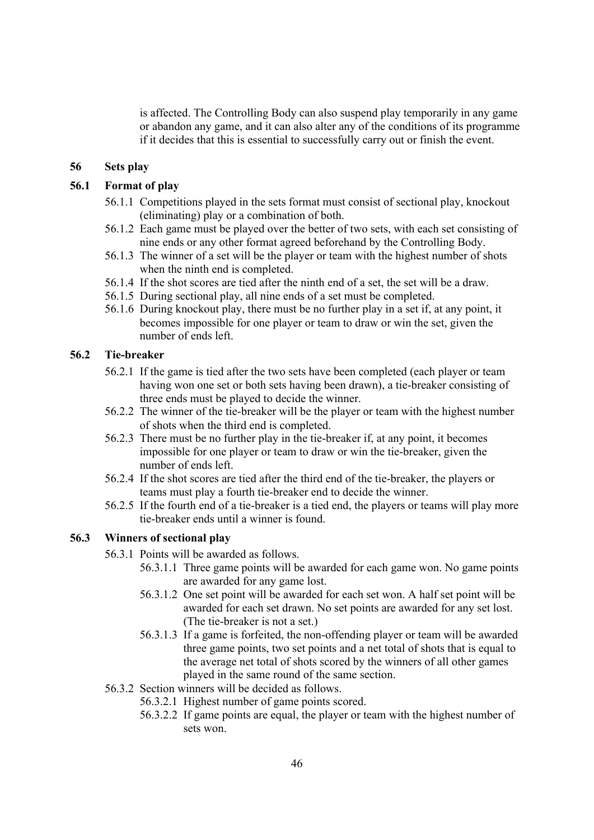is affected. The Controlling Body can also suspend play temporarily in any game or abandon any game, and it can also alter any of the conditions of its programme if it decides that this is essential to successfully carry out or finish the event.

### **56 Sets play**

#### **56.1 Format of play**

- 56.1.1 Competitions played in the sets format must consist of sectional play, knockout (eliminating) play or a combination of both.
- 56.1.2 Each game must be played over the better of two sets, with each set consisting of nine ends or any other format agreed beforehand by the Controlling Body.
- 56.1.3 The winner of a set will be the player or team with the highest number of shots when the ninth end is completed.
- 56.1.4 If the shot scores are tied after the ninth end of a set, the set will be a draw.
- 56.1.5 During sectional play, all nine ends of a set must be completed.
- 56.1.6 During knockout play, there must be no further play in a set if, at any point, it becomes impossible for one player or team to draw or win the set, given the number of ends left.

### **56.2 Tie-breaker**

- 56.2.1 If the game is tied after the two sets have been completed (each player or team having won one set or both sets having been drawn), a tie-breaker consisting of three ends must be played to decide the winner.
- 56.2.2 The winner of the tie-breaker will be the player or team with the highest number of shots when the third end is completed.
- 56.2.3 There must be no further play in the tie-breaker if, at any point, it becomes impossible for one player or team to draw or win the tie-breaker, given the number of ends left.
- 56.2.4 If the shot scores are tied after the third end of the tie-breaker, the players or teams must play a fourth tie-breaker end to decide the winner.
- 56.2.5 If the fourth end of a tie-breaker is a tied end, the players or teams will play more tie-breaker ends until a winner is found.

#### **56.3 Winners of sectional play**

- 56.3.1 Points will be awarded as follows.
	- 56.3.1.1 Three game points will be awarded for each game won. No game points are awarded for any game lost.
	- 56.3.1.2 One set point will be awarded for each set won. A half set point will be awarded for each set drawn. No set points are awarded for any set lost. (The tie-breaker is not a set.)
	- 56.3.1.3 If a game is forfeited, the non-offending player or team will be awarded three game points, two set points and a net total of shots that is equal to the average net total of shots scored by the winners of all other games played in the same round of the same section.
- 56.3.2 Section winners will be decided as follows.
	- 56.3.2.1 Highest number of game points scored.
	- 56.3.2.2 If game points are equal, the player or team with the highest number of sets won.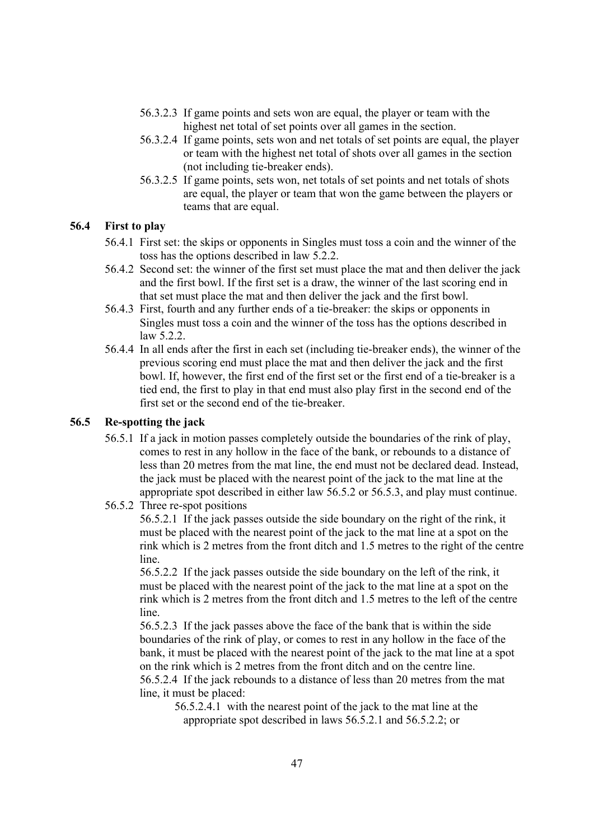- 56.3.2.3 If game points and sets won are equal, the player or team with the highest net total of set points over all games in the section.
- 56.3.2.4 If game points, sets won and net totals of set points are equal, the player or team with the highest net total of shots over all games in the section (not including tie-breaker ends).
- 56.3.2.5 If game points, sets won, net totals of set points and net totals of shots are equal, the player or team that won the game between the players or teams that are equal.

## **56.4 First to play**

- 56.4.1 First set: the skips or opponents in Singles must toss a coin and the winner of the toss has the options described in law 5.2.2.
- 56.4.2 Second set: the winner of the first set must place the mat and then deliver the jack and the first bowl. If the first set is a draw, the winner of the last scoring end in that set must place the mat and then deliver the jack and the first bowl.
- 56.4.3 First, fourth and any further ends of a tie-breaker: the skips or opponents in Singles must toss a coin and the winner of the toss has the options described in law  $5.2.2$
- 56.4.4 In all ends after the first in each set (including tie-breaker ends), the winner of the previous scoring end must place the mat and then deliver the jack and the first bowl. If, however, the first end of the first set or the first end of a tie-breaker is a tied end, the first to play in that end must also play first in the second end of the first set or the second end of the tie-breaker.

## **56.5 Re-spotting the jack**

- 56.5.1 If a jack in motion passes completely outside the boundaries of the rink of play, comes to rest in any hollow in the face of the bank, or rebounds to a distance of less than 20 metres from the mat line, the end must not be declared dead. Instead, the jack must be placed with the nearest point of the jack to the mat line at the appropriate spot described in either law 56.5.2 or 56.5.3, and play must continue.
- 56.5.2 Three re-spot positions

56.5.2.1 If the jack passes outside the side boundary on the right of the rink, it must be placed with the nearest point of the jack to the mat line at a spot on the rink which is 2 metres from the front ditch and 1.5 metres to the right of the centre line.

56.5.2.2 If the jack passes outside the side boundary on the left of the rink, it must be placed with the nearest point of the jack to the mat line at a spot on the rink which is 2 metres from the front ditch and 1.5 metres to the left of the centre line.

56.5.2.3 If the jack passes above the face of the bank that is within the side boundaries of the rink of play, or comes to rest in any hollow in the face of the bank, it must be placed with the nearest point of the jack to the mat line at a spot on the rink which is 2 metres from the front ditch and on the centre line. 56.5.2.4 If the jack rebounds to a distance of less than 20 metres from the mat line, it must be placed:

56.5.2.4.1 with the nearest point of the jack to the mat line at the appropriate spot described in laws 56.5.2.1 and 56.5.2.2; or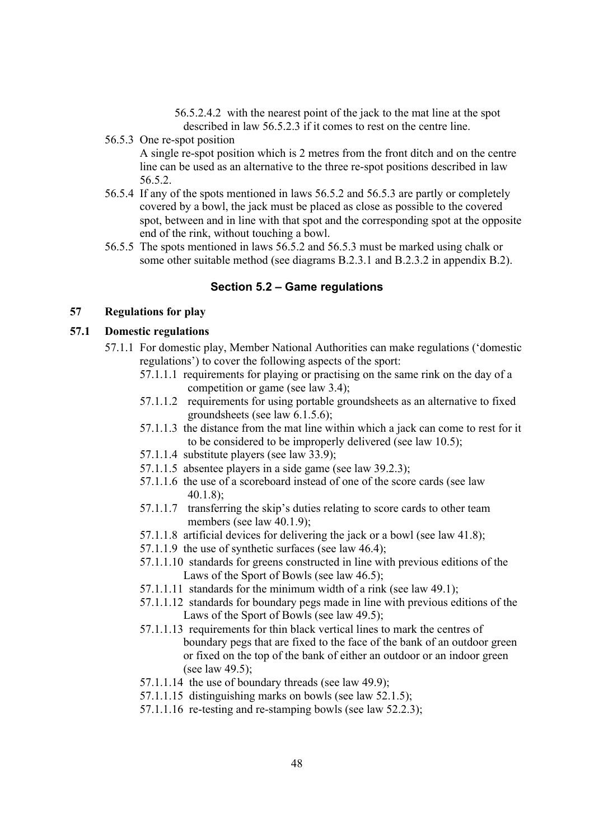56.5.2.4.2 with the nearest point of the jack to the mat line at the spot described in law 56.5.2.3 if it comes to rest on the centre line.

56.5.3 One re-spot position

A single re-spot position which is 2 metres from the front ditch and on the centre line can be used as an alternative to the three re-spot positions described in law 56.5.2.

- 56.5.4 If any of the spots mentioned in laws 56.5.2 and 56.5.3 are partly or completely covered by a bowl, the jack must be placed as close as possible to the covered spot, between and in line with that spot and the corresponding spot at the opposite end of the rink, without touching a bowl.
- 56.5.5 The spots mentioned in laws 56.5.2 and 56.5.3 must be marked using chalk or some other suitable method (see diagrams B.2.3.1 and B.2.3.2 in appendix B.2).

#### **Section 5.2 – Game regulations**

## **57 Regulations for play**

### **57.1 Domestic regulations**

- 57.1.1 For domestic play, Member National Authorities can make regulations ('domestic regulations') to cover the following aspects of the sport:
	- 57.1.1.1 requirements for playing or practising on the same rink on the day of a competition or game (see law 3.4);
	- 57.1.1.2 requirements for using portable groundsheets as an alternative to fixed groundsheets (see law 6.1.5.6);
	- 57.1.1.3 the distance from the mat line within which a jack can come to rest for it to be considered to be improperly delivered (see law 10.5);
	- 57.1.1.4 substitute players (see law 33.9);
	- 57.1.1.5 absentee players in a side game (see law 39.2.3);
	- 57.1.1.6 the use of a scoreboard instead of one of the score cards (see law 40.1.8);
	- 57.1.1.7 transferring the skip's duties relating to score cards to other team members (see law 40.1.9);
	- 57.1.1.8 artificial devices for delivering the jack or a bowl (see law 41.8);
	- 57.1.1.9 the use of synthetic surfaces (see law 46.4);
	- 57.1.1.10 standards for greens constructed in line with previous editions of the Laws of the Sport of Bowls (see law 46.5):
	- 57.1.1.11 standards for the minimum width of a rink (see law 49.1);
	- 57.1.1.12 standards for boundary pegs made in line with previous editions of the Laws of the Sport of Bowls (see law 49.5);
	- 57.1.1.13 requirements for thin black vertical lines to mark the centres of boundary pegs that are fixed to the face of the bank of an outdoor green or fixed on the top of the bank of either an outdoor or an indoor green (see law 49.5);
	- 57.1.1.14 the use of boundary threads (see law 49.9);
	- 57.1.1.15 distinguishing marks on bowls (see law 52.1.5);
	- 57.1.1.16 re-testing and re-stamping bowls (see law 52.2.3);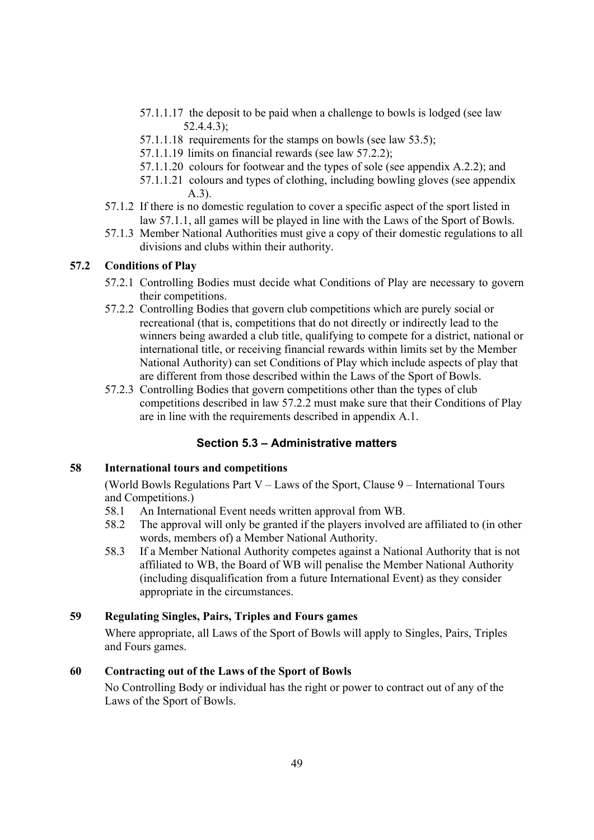- 57.1.1.17 the deposit to be paid when a challenge to bowls is lodged (see law 52.4.4.3);
- 57.1.1.18 requirements for the stamps on bowls (see law 53.5);
- 57.1.1.19 limits on financial rewards (see law 57.2.2);
- 57.1.1.20 colours for footwear and the types of sole (see appendix A.2.2); and
- 57.1.1.21 colours and types of clothing, including bowling gloves (see appendix A.3).
- 57.1.2 If there is no domestic regulation to cover a specific aspect of the sport listed in law 57.1.1, all games will be played in line with the Laws of the Sport of Bowls.
- 57.1.3 Member National Authorities must give a copy of their domestic regulations to all divisions and clubs within their authority.

## **57.2 Conditions of Play**

- 57.2.1 Controlling Bodies must decide what Conditions of Play are necessary to govern their competitions.
- 57.2.2 Controlling Bodies that govern club competitions which are purely social or recreational (that is, competitions that do not directly or indirectly lead to the winners being awarded a club title, qualifying to compete for a district, national or international title, or receiving financial rewards within limits set by the Member National Authority) can set Conditions of Play which include aspects of play that are different from those described within the Laws of the Sport of Bowls.
- 57.2.3 Controlling Bodies that govern competitions other than the types of club competitions described in law 57.2.2 must make sure that their Conditions of Play are in line with the requirements described in appendix A.1.

# **Section 5.3 – Administrative matters**

### **58 International tours and competitions**

(World Bowls Regulations Part V – Laws of the Sport, Clause 9 – International Tours and Competitions.)

- 58.1 An International Event needs written approval from WB.
- 58.2 The approval will only be granted if the players involved are affiliated to (in other words, members of) a Member National Authority.
- 58.3 If a Member National Authority competes against a National Authority that is not affiliated to WB, the Board of WB will penalise the Member National Authority (including disqualification from a future International Event) as they consider appropriate in the circumstances.

# **59 Regulating Singles, Pairs, Triples and Fours games**

Where appropriate, all Laws of the Sport of Bowls will apply to Singles, Pairs, Triples and Fours games.

# **60 Contracting out of the Laws of the Sport of Bowls**

No Controlling Body or individual has the right or power to contract out of any of the Laws of the Sport of Bowls.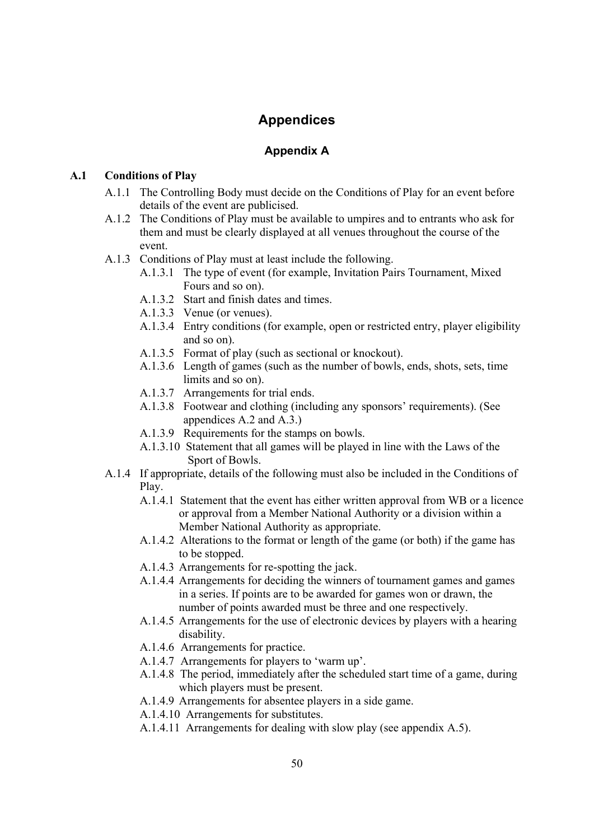# **Appendices**

# **Appendix A**

### **A.1 Conditions of Play**

- A.1.1 The Controlling Body must decide on the Conditions of Play for an event before details of the event are publicised.
- A.1.2 The Conditions of Play must be available to umpires and to entrants who ask for them and must be clearly displayed at all venues throughout the course of the event.
- A.1.3 Conditions of Play must at least include the following.
	- A.1.3.1 The type of event (for example, Invitation Pairs Tournament, Mixed Fours and so on).
	- A.1.3.2 Start and finish dates and times.
	- A.1.3.3 Venue (or venues).
	- A.1.3.4 Entry conditions (for example, open or restricted entry, player eligibility and so on).
	- A.1.3.5 Format of play (such as sectional or knockout).
	- A.1.3.6 Length of games (such as the number of bowls, ends, shots, sets, time limits and so on).
	- A.1.3.7 Arrangements for trial ends.
	- A.1.3.8 Footwear and clothing (including any sponsors' requirements). (See appendices A.2 and A.3.)
	- A.1.3.9 Requirements for the stamps on bowls.
	- A.1.3.10 Statement that all games will be played in line with the Laws of the Sport of Bowls.
- A.1.4 If appropriate, details of the following must also be included in the Conditions of Play.
	- A.1.4.1 Statement that the event has either written approval from WB or a licence or approval from a Member National Authority or a division within a Member National Authority as appropriate.
	- A.1.4.2 Alterations to the format or length of the game (or both) if the game has to be stopped.
	- A.1.4.3 Arrangements for re-spotting the jack.
	- A.1.4.4 Arrangements for deciding the winners of tournament games and games in a series. If points are to be awarded for games won or drawn, the number of points awarded must be three and one respectively.
	- A.1.4.5 Arrangements for the use of electronic devices by players with a hearing disability.
	- A.1.4.6 Arrangements for practice.
	- A.1.4.7 Arrangements for players to 'warm up'.
	- A.1.4.8 The period, immediately after the scheduled start time of a game, during which players must be present.
	- A.1.4.9 Arrangements for absentee players in a side game.
	- A.1.4.10 Arrangements for substitutes.
	- A.1.4.11 Arrangements for dealing with slow play (see appendix A.5).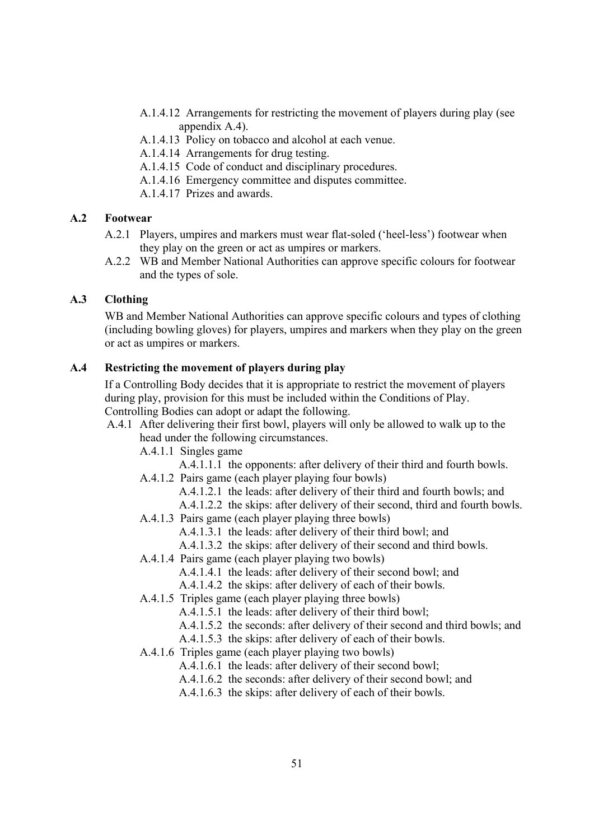- A.1.4.12 Arrangements for restricting the movement of players during play (see appendix A.4).
- A.1.4.13 Policy on tobacco and alcohol at each venue.
- A.1.4.14 Arrangements for drug testing.
- A.1.4.15 Code of conduct and disciplinary procedures.
- A.1.4.16 Emergency committee and disputes committee.
- A.1.4.17 Prizes and awards.

#### **A.2 Footwear**

- A.2.1 Players, umpires and markers must wear flat-soled ('heel-less') footwear when they play on the green or act as umpires or markers.
- A.2.2 WB and Member National Authorities can approve specific colours for footwear and the types of sole.

### **A.3 Clothing**

WB and Member National Authorities can approve specific colours and types of clothing (including bowling gloves) for players, umpires and markers when they play on the green or act as umpires or markers.

### **A.4 Restricting the movement of players during play**

If a Controlling Body decides that it is appropriate to restrict the movement of players during play, provision for this must be included within the Conditions of Play. Controlling Bodies can adopt or adapt the following.

### A.4.1 After delivering their first bowl, players will only be allowed to walk up to the head under the following circumstances.

A.4.1.1 Singles game

- A.4.1.1.1 the opponents: after delivery of their third and fourth bowls.
- A.4.1.2 Pairs game (each player playing four bowls)
	- A.4.1.2.1 the leads: after delivery of their third and fourth bowls; and

A.4.1.2.2 the skips: after delivery of their second, third and fourth bowls.

- A.4.1.3 Pairs game (each player playing three bowls)
	- A.4.1.3.1 the leads: after delivery of their third bowl; and
	- A.4.1.3.2 the skips: after delivery of their second and third bowls.
- A.4.1.4 Pairs game (each player playing two bowls)
	- A.4.1.4.1 the leads: after delivery of their second bowl; and
	- A.4.1.4.2 the skips: after delivery of each of their bowls.
- A.4.1.5 Triples game (each player playing three bowls)
	- A.4.1.5.1 the leads: after delivery of their third bowl;
	- A.4.1.5.2 the seconds: after delivery of their second and third bowls; and
	- A.4.1.5.3 the skips: after delivery of each of their bowls.
- A.4.1.6 Triples game (each player playing two bowls)
	- A.4.1.6.1 the leads: after delivery of their second bowl;
	- A.4.1.6.2 the seconds: after delivery of their second bowl; and
	- A.4.1.6.3 the skips: after delivery of each of their bowls.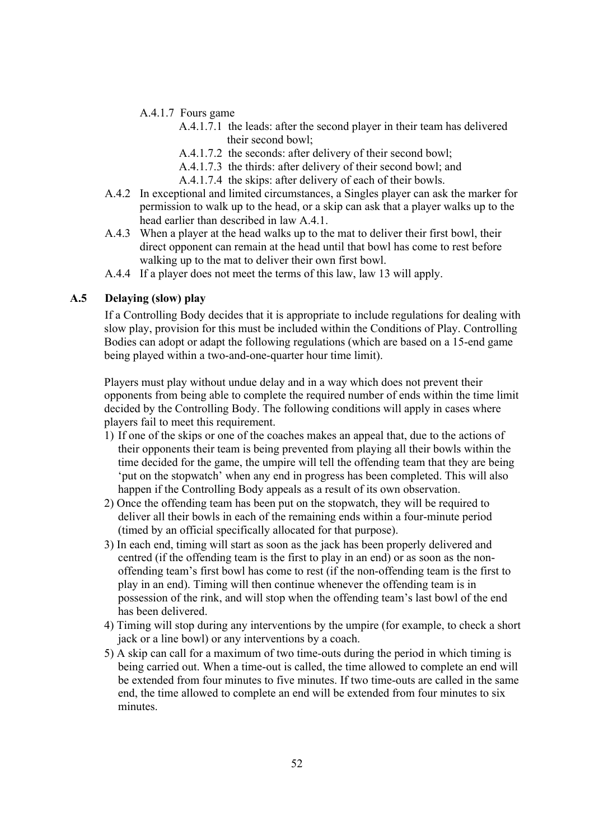- A.4.1.7 Fours game
	- A.4.1.7.1 the leads: after the second player in their team has delivered their second bowl;
	- A.4.1.7.2 the seconds: after delivery of their second bowl;
	- A.4.1.7.3 the thirds: after delivery of their second bowl; and
	- A.4.1.7.4 the skips: after delivery of each of their bowls.
- A.4.2 In exceptional and limited circumstances, a Singles player can ask the marker for permission to walk up to the head, or a skip can ask that a player walks up to the head earlier than described in law A.4.1.
- A.4.3 When a player at the head walks up to the mat to deliver their first bowl, their direct opponent can remain at the head until that bowl has come to rest before walking up to the mat to deliver their own first bowl.
- A.4.4 If a player does not meet the terms of this law, law 13 will apply.

### **A.5 Delaying (slow) play**

If a Controlling Body decides that it is appropriate to include regulations for dealing with slow play, provision for this must be included within the Conditions of Play. Controlling Bodies can adopt or adapt the following regulations (which are based on a 15-end game being played within a two-and-one-quarter hour time limit).

Players must play without undue delay and in a way which does not prevent their opponents from being able to complete the required number of ends within the time limit decided by the Controlling Body. The following conditions will apply in cases where players fail to meet this requirement.

- 1) If one of the skips or one of the coaches makes an appeal that, due to the actions of their opponents their team is being prevented from playing all their bowls within the time decided for the game, the umpire will tell the offending team that they are being 'put on the stopwatch' when any end in progress has been completed. This will also happen if the Controlling Body appeals as a result of its own observation.
- 2) Once the offending team has been put on the stopwatch, they will be required to deliver all their bowls in each of the remaining ends within a four-minute period (timed by an official specifically allocated for that purpose).
- 3) In each end, timing will start as soon as the jack has been properly delivered and centred (if the offending team is the first to play in an end) or as soon as the nonoffending team's first bowl has come to rest (if the non-offending team is the first to play in an end). Timing will then continue whenever the offending team is in possession of the rink, and will stop when the offending team's last bowl of the end has been delivered.
- 4) Timing will stop during any interventions by the umpire (for example, to check a short jack or a line bowl) or any interventions by a coach.
- 5) A skip can call for a maximum of two time-outs during the period in which timing is being carried out. When a time-out is called, the time allowed to complete an end will be extended from four minutes to five minutes. If two time-outs are called in the same end, the time allowed to complete an end will be extended from four minutes to six minutes.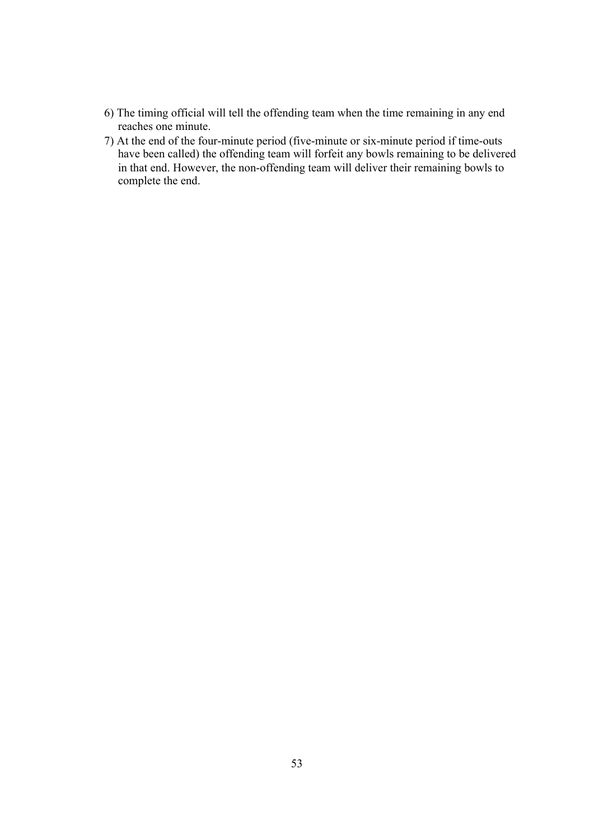- 6) The timing official will tell the offending team when the time remaining in any end reaches one minute.
- 7) At the end of the four-minute period (five-minute or six-minute period if time-outs have been called) the offending team will forfeit any bowls remaining to be delivered in that end. However, the non-offending team will deliver their remaining bowls to complete the end.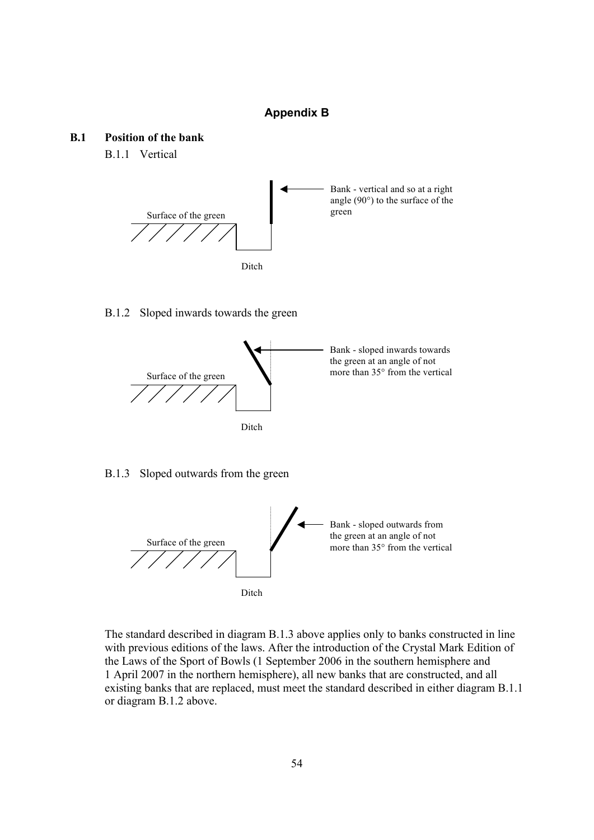#### **Appendix B**

### **B.1 Position of the bank**

B.1.1 Vertical



#### B.1.2 Sloped inwards towards the green



#### B.1.3 Sloped outwards from the green



The standard described in diagram B.1.3 above applies only to banks constructed in line with previous editions of the laws. After the introduction of the Crystal Mark Edition of the Laws of the Sport of Bowls (1 September 2006 in the southern hemisphere and 1 April 2007 in the northern hemisphere), all new banks that are constructed, and all existing banks that are replaced, must meet the standard described in either diagram B.1.1 or diagram B.1.2 above.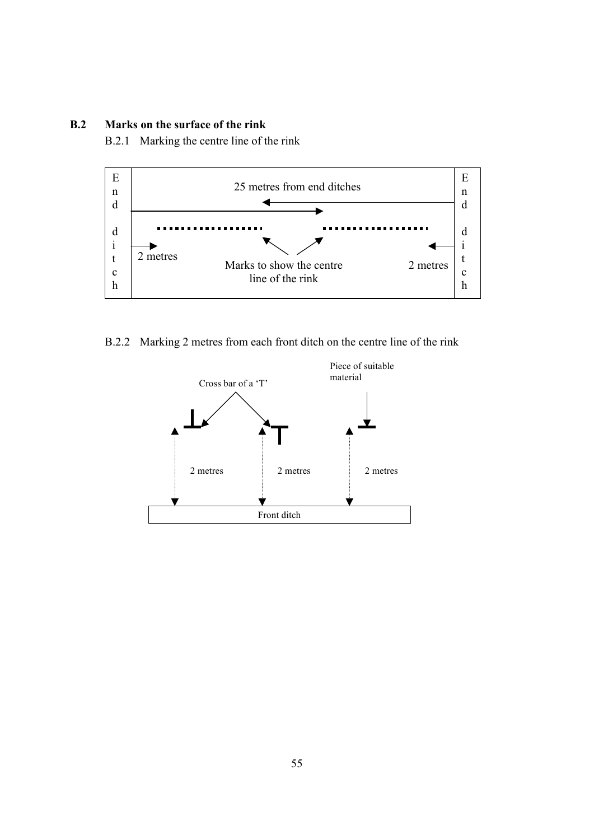### **B.2 Marks on the surface of the rink**

B.2.1 Marking the centre line of the rink



B.2.2 Marking 2 metres from each front ditch on the centre line of the rink

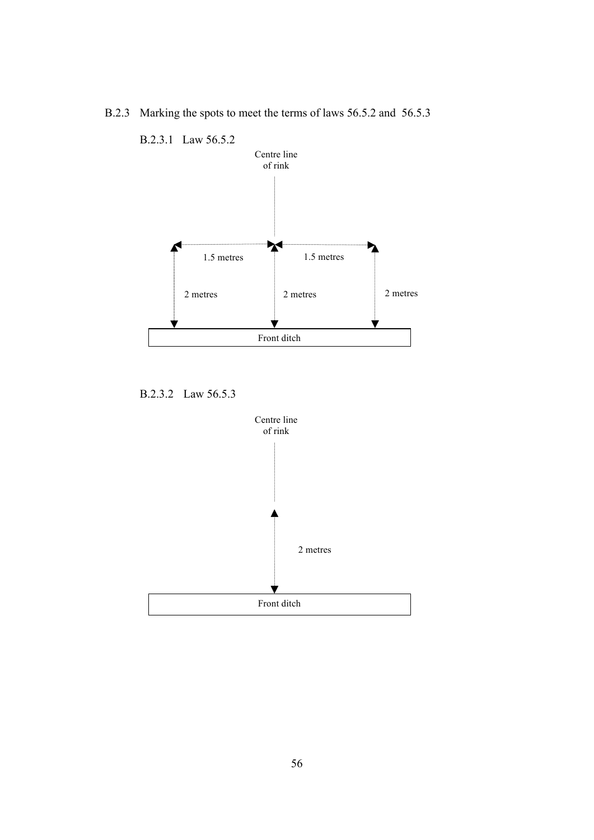

B.2.3 Marking the spots to meet the terms of laws 56.5.2 and 56.5.3

B.2.3.2 Law 56.5.3

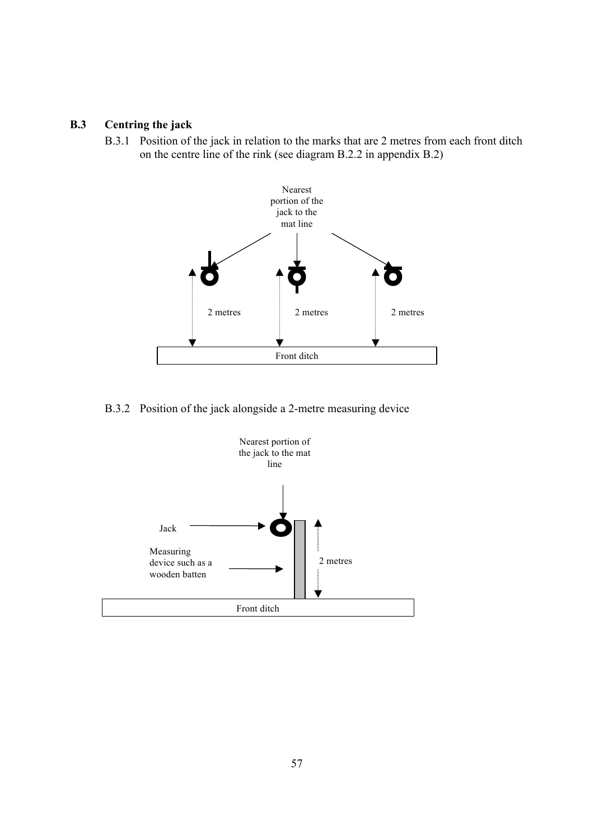# **B.3 Centring the jack**

B.3.1 Position of the jack in relation to the marks that are 2 metres from each front ditch on the centre line of the rink (see diagram B.2.2 in appendix B.2)



B.3.2 Position of the jack alongside a 2-metre measuring device

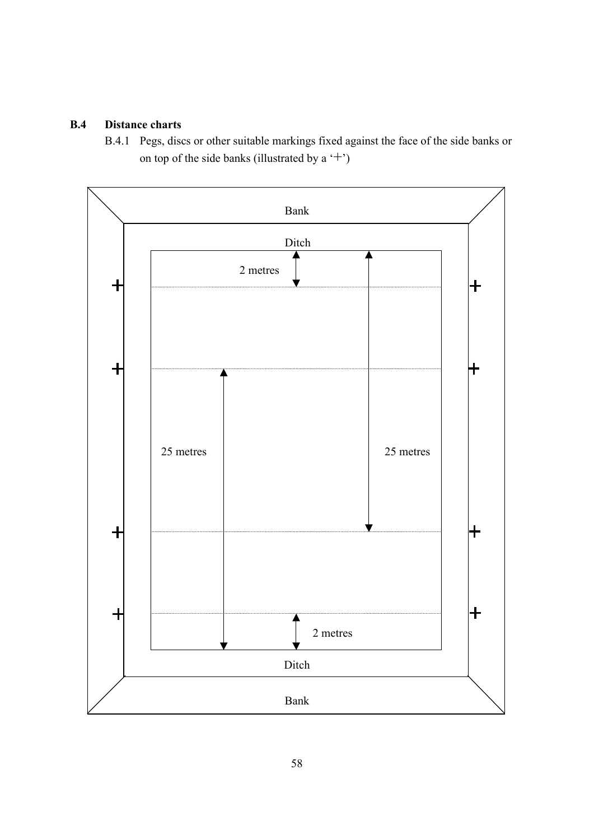# **B.4 Distance charts**

B.4.1 Pegs, discs or other suitable markings fixed against the face of the side banks or on top of the side banks (illustrated by a  $'$ +')

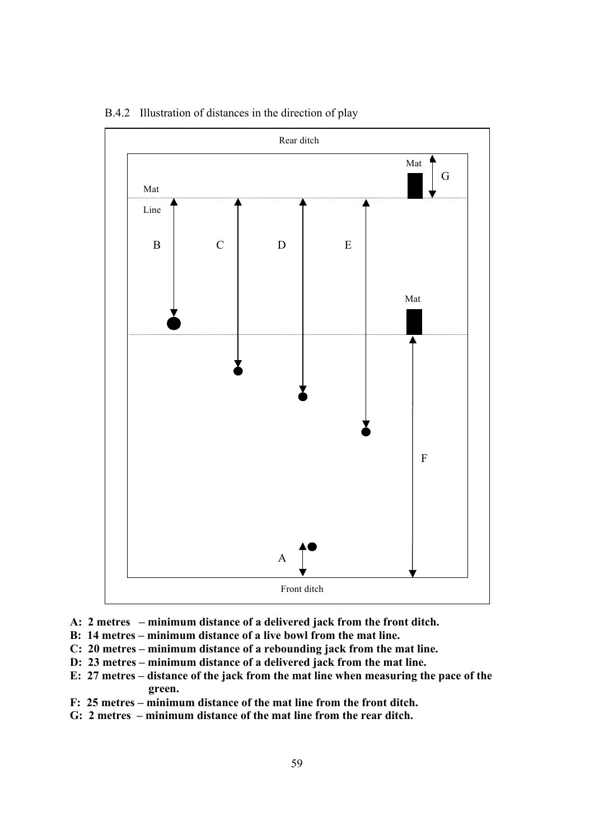

B.4.2 Illustration of distances in the direction of play

- **A: 2 metres – minimum distance of a delivered jack from the front ditch.**
- **B: 14 metres – minimum distance of a live bowl from the mat line.**
- **C: 20 metres – minimum distance of a rebounding jack from the mat line.**
- **D: 23 metres – minimum distance of a delivered jack from the mat line.**
- **E: 27 metres – distance of the jack from the mat line when measuring the pace of the green.**
- **F: 25 metres – minimum distance of the mat line from the front ditch.**
- **G: 2 metres – minimum distance of the mat line from the rear ditch.**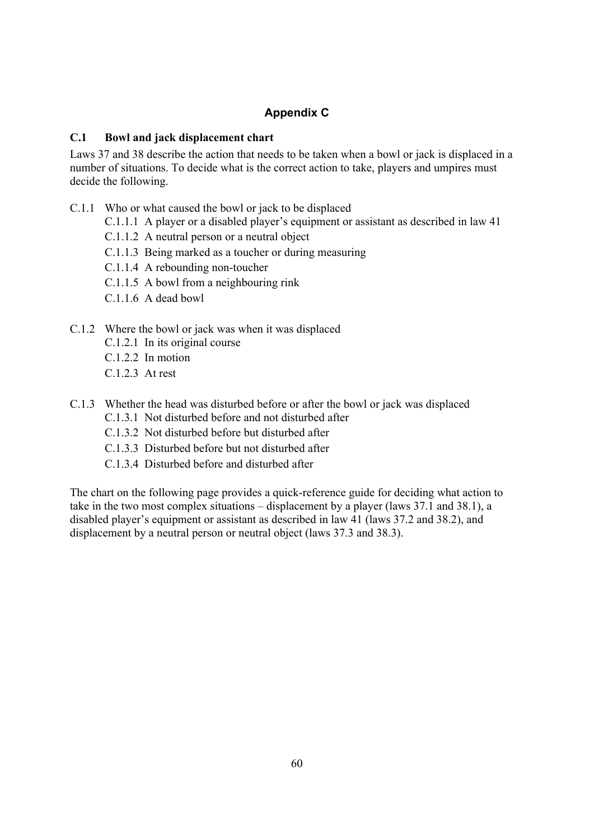# **Appendix C**

### **C.1 Bowl and jack displacement chart**

Laws 37 and 38 describe the action that needs to be taken when a bowl or jack is displaced in a number of situations. To decide what is the correct action to take, players and umpires must decide the following.

- C.1.1 Who or what caused the bowl or jack to be displaced
	- C.1.1.1 A player or a disabled player's equipment or assistant as described in law 41
		- C.1.1.2 A neutral person or a neutral object
		- C.1.1.3 Being marked as a toucher or during measuring
		- C.1.1.4 A rebounding non-toucher
		- C.1.1.5 A bowl from a neighbouring rink
		- C.1.1.6 A dead bowl
- C.1.2 Where the bowl or jack was when it was displaced
	- C.1.2.1 In its original course
	- C.1.2.2 In motion
	- $C.1.2.3$  At rest
- C.1.3 Whether the head was disturbed before or after the bowl or jack was displaced C.1.3.1 Not disturbed before and not disturbed after
	- C.1.3.2 Not disturbed before but disturbed after
	- C.1.3.3 Disturbed before but not disturbed after
	- C.1.3.4 Disturbed before and disturbed after

The chart on the following page provides a quick-reference guide for deciding what action to take in the two most complex situations – displacement by a player (laws 37.1 and 38.1), a disabled player's equipment or assistant as described in law 41 (laws 37.2 and 38.2), and displacement by a neutral person or neutral object (laws 37.3 and 38.3).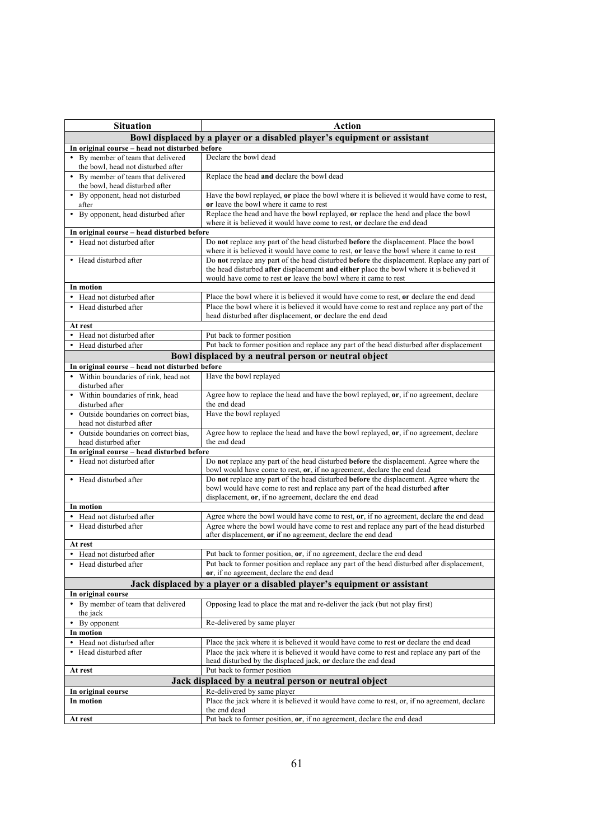| <b>Situation</b>                                                         | <b>Action</b>                                                                                                                                                                                                                                                                 |  |  |  |  |  |
|--------------------------------------------------------------------------|-------------------------------------------------------------------------------------------------------------------------------------------------------------------------------------------------------------------------------------------------------------------------------|--|--|--|--|--|
|                                                                          | Bowl displaced by a player or a disabled player's equipment or assistant                                                                                                                                                                                                      |  |  |  |  |  |
| In original course - head not disturbed before                           |                                                                                                                                                                                                                                                                               |  |  |  |  |  |
| • By member of team that delivered<br>the bowl, head not disturbed after | Declare the bowl dead                                                                                                                                                                                                                                                         |  |  |  |  |  |
| • By member of team that delivered<br>the bowl, head disturbed after     | Replace the head and declare the bowl dead                                                                                                                                                                                                                                    |  |  |  |  |  |
| • By opponent, head not disturbed<br>after                               | Have the bowl replayed, or place the bowl where it is believed it would have come to rest,<br>or leave the bowl where it came to rest                                                                                                                                         |  |  |  |  |  |
| • By opponent, head disturbed after                                      | Replace the head and have the bowl replayed, or replace the head and place the bowl<br>where it is believed it would have come to rest, or declare the end dead                                                                                                               |  |  |  |  |  |
| In original course - head disturbed before                               |                                                                                                                                                                                                                                                                               |  |  |  |  |  |
| • Head not disturbed after                                               | Do not replace any part of the head disturbed before the displacement. Place the bowl<br>where it is believed it would have come to rest, or leave the bowl where it came to rest                                                                                             |  |  |  |  |  |
| • Head disturbed after                                                   | Do not replace any part of the head disturbed <b>before</b> the displacement. Replace any part of<br>the head disturbed <b>after</b> displacement <b>and either</b> place the bowl where it is believed it<br>would have come to rest or leave the bowl where it came to rest |  |  |  |  |  |
| In motion                                                                |                                                                                                                                                                                                                                                                               |  |  |  |  |  |
| • Head not disturbed after                                               | Place the bowl where it is believed it would have come to rest, or declare the end dead                                                                                                                                                                                       |  |  |  |  |  |
| • Head disturbed after                                                   | Place the bowl where it is believed it would have come to rest and replace any part of the<br>head disturbed after displacement, or declare the end dead                                                                                                                      |  |  |  |  |  |
| At rest                                                                  |                                                                                                                                                                                                                                                                               |  |  |  |  |  |
| • Head not disturbed after                                               | Put back to former position                                                                                                                                                                                                                                                   |  |  |  |  |  |
| Head disturbed after                                                     | Put back to former position and replace any part of the head disturbed after displacement                                                                                                                                                                                     |  |  |  |  |  |
|                                                                          | Bowl displaced by a neutral person or neutral object                                                                                                                                                                                                                          |  |  |  |  |  |
| In original course - head not disturbed before                           |                                                                                                                                                                                                                                                                               |  |  |  |  |  |
| • Within boundaries of rink, head not<br>disturbed after                 | Have the bowl replayed                                                                                                                                                                                                                                                        |  |  |  |  |  |
| • Within boundaries of rink, head<br>disturbed after                     | Agree how to replace the head and have the bowl replayed, or, if no agreement, declare<br>the end dead                                                                                                                                                                        |  |  |  |  |  |
| • Outside boundaries on correct bias,<br>head not disturbed after        | Have the bowl replayed                                                                                                                                                                                                                                                        |  |  |  |  |  |
| • Outside boundaries on correct bias,<br>head disturbed after            | Agree how to replace the head and have the bowl replayed, or, if no agreement, declare<br>the end dead                                                                                                                                                                        |  |  |  |  |  |
| In original course - head disturbed before                               |                                                                                                                                                                                                                                                                               |  |  |  |  |  |
| • Head not disturbed after                                               | Do not replace any part of the head disturbed before the displacement. Agree where the<br>bowl would have come to rest, or, if no agreement, declare the end dead                                                                                                             |  |  |  |  |  |
| • Head disturbed after                                                   | Do not replace any part of the head disturbed <b>before</b> the displacement. Agree where the<br>bowl would have come to rest and replace any part of the head disturbed after<br>displacement, or, if no agreement, declare the end dead                                     |  |  |  |  |  |
| In motion                                                                |                                                                                                                                                                                                                                                                               |  |  |  |  |  |
| • Head not disturbed after                                               | Agree where the bowl would have come to rest, or, if no agreement, declare the end dead                                                                                                                                                                                       |  |  |  |  |  |
| • Head disturbed after                                                   | Agree where the bowl would have come to rest and replace any part of the head disturbed<br>after displacement, or if no agreement, declare the end dead                                                                                                                       |  |  |  |  |  |
| At rest                                                                  |                                                                                                                                                                                                                                                                               |  |  |  |  |  |
| • Head not disturbed after                                               | Put back to former position, or, if no agreement, declare the end dead                                                                                                                                                                                                        |  |  |  |  |  |
| • Head disturbed after                                                   | Put back to former position and replace any part of the head disturbed after displacement,<br>or, if no agreement, declare the end dead                                                                                                                                       |  |  |  |  |  |
|                                                                          | Jack displaced by a player or a disabled player's equipment or assistant                                                                                                                                                                                                      |  |  |  |  |  |
| In original course                                                       |                                                                                                                                                                                                                                                                               |  |  |  |  |  |
| • By member of team that delivered<br>the jack                           | Opposing lead to place the mat and re-deliver the jack (but not play first)                                                                                                                                                                                                   |  |  |  |  |  |
| • By opponent                                                            | Re-delivered by same player                                                                                                                                                                                                                                                   |  |  |  |  |  |
| In motion                                                                |                                                                                                                                                                                                                                                                               |  |  |  |  |  |
| • Head not disturbed after                                               | Place the jack where it is believed it would have come to rest or declare the end dead                                                                                                                                                                                        |  |  |  |  |  |
| • Head disturbed after                                                   | Place the jack where it is believed it would have come to rest and replace any part of the<br>head disturbed by the displaced jack, or declare the end dead                                                                                                                   |  |  |  |  |  |
| At rest                                                                  | Put back to former position                                                                                                                                                                                                                                                   |  |  |  |  |  |
| Jack displaced by a neutral person or neutral object                     |                                                                                                                                                                                                                                                                               |  |  |  |  |  |
| In original course                                                       | Re-delivered by same player                                                                                                                                                                                                                                                   |  |  |  |  |  |
| In motion                                                                | Place the jack where it is believed it would have come to rest, or, if no agreement, declare<br>the end dead                                                                                                                                                                  |  |  |  |  |  |
| At rest                                                                  | Put back to former position, or, if no agreement, declare the end dead                                                                                                                                                                                                        |  |  |  |  |  |